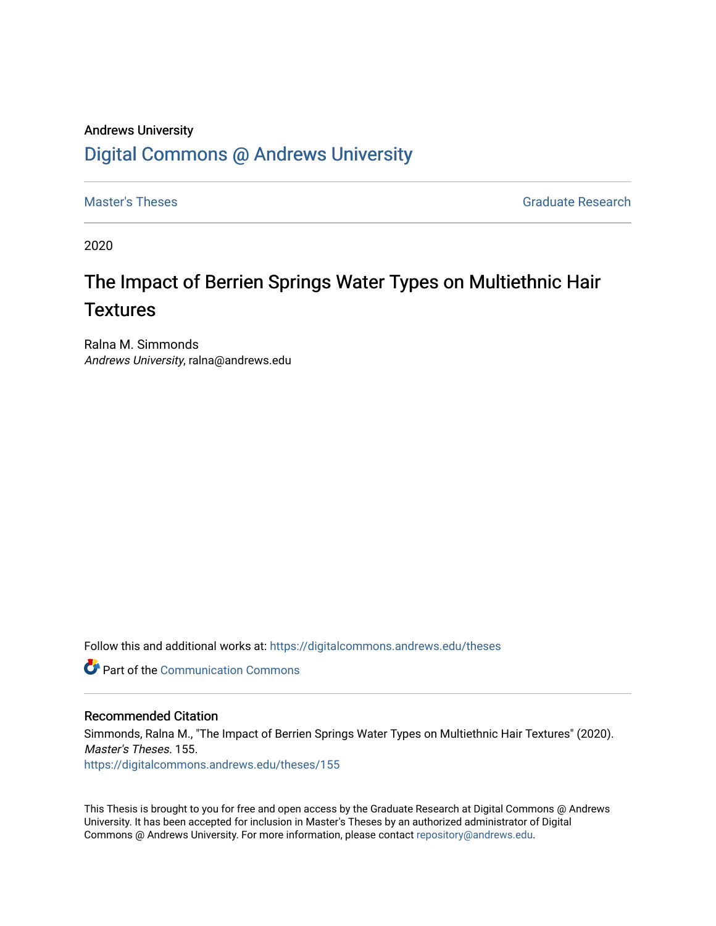# Andrews University [Digital Commons @ Andrews University](https://digitalcommons.andrews.edu/)

[Master's Theses](https://digitalcommons.andrews.edu/theses) Graduate Research

2020

# The Impact of Berrien Springs Water Types on Multiethnic Hair **Textures**

Ralna M. Simmonds Andrews University, ralna@andrews.edu

Follow this and additional works at: [https://digitalcommons.andrews.edu/theses](https://digitalcommons.andrews.edu/theses?utm_source=digitalcommons.andrews.edu%2Ftheses%2F155&utm_medium=PDF&utm_campaign=PDFCoverPages) 

**C** Part of the Communication Commons

#### Recommended Citation

Simmonds, Ralna M., "The Impact of Berrien Springs Water Types on Multiethnic Hair Textures" (2020). Master's Theses. 155. [https://digitalcommons.andrews.edu/theses/155](https://digitalcommons.andrews.edu/theses/155?utm_source=digitalcommons.andrews.edu%2Ftheses%2F155&utm_medium=PDF&utm_campaign=PDFCoverPages) 

This Thesis is brought to you for free and open access by the Graduate Research at Digital Commons @ Andrews University. It has been accepted for inclusion in Master's Theses by an authorized administrator of Digital Commons @ Andrews University. For more information, please contact [repository@andrews.edu.](mailto:repository@andrews.edu)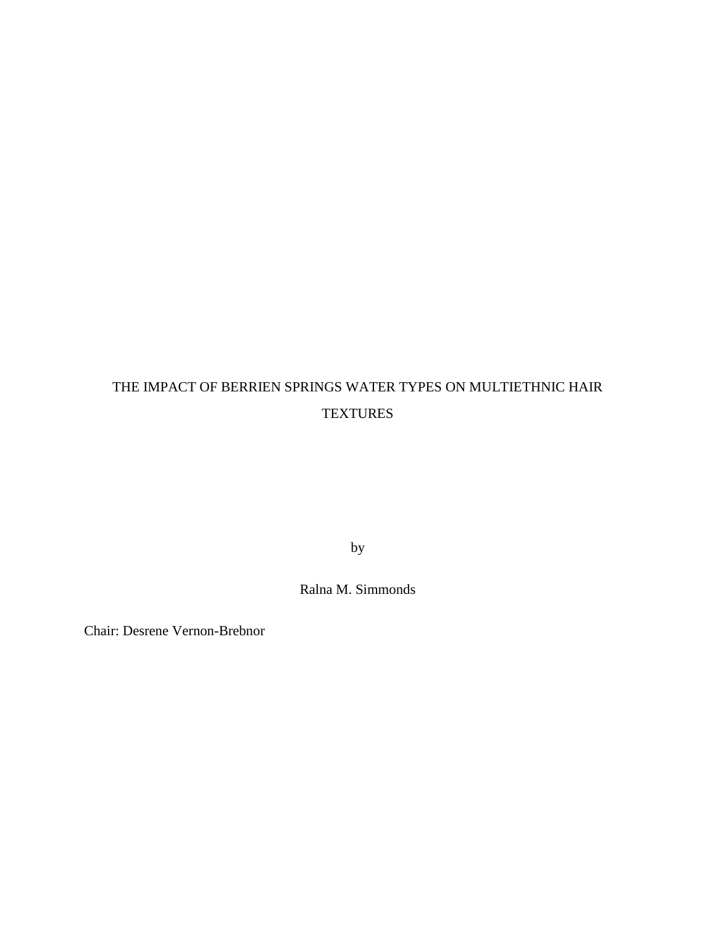# THE IMPACT OF BERRIEN SPRINGS WATER TYPES ON MULTIETHNIC HAIR **TEXTURES**

by

Ralna M. Simmonds

Chair: Desrene Vernon-Brebnor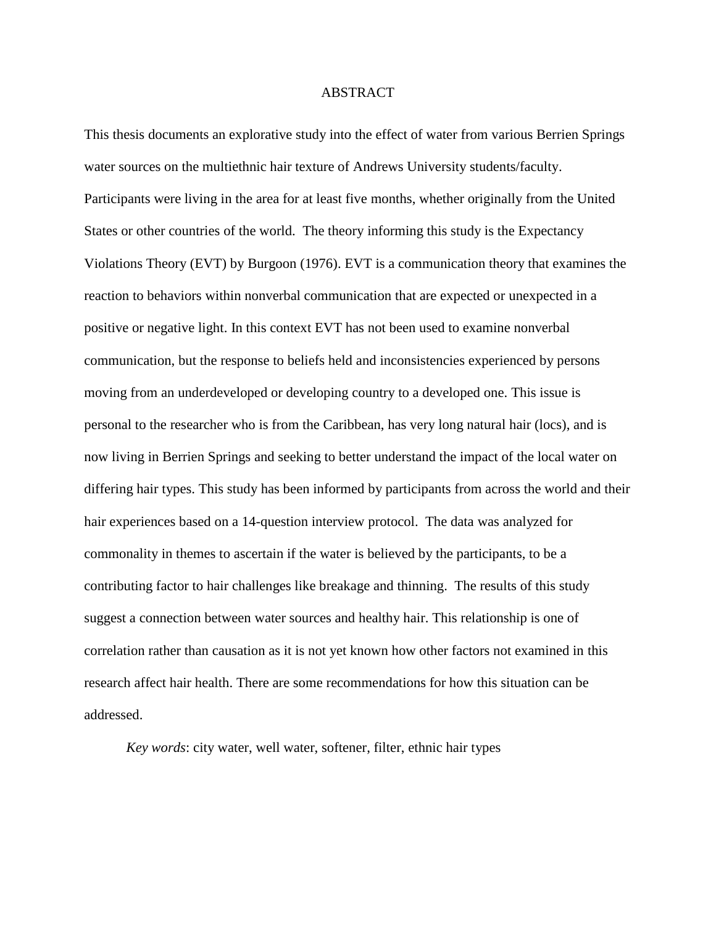#### ABSTRACT

This thesis documents an explorative study into the effect of water from various Berrien Springs water sources on the multiethnic hair texture of Andrews University students/faculty. Participants were living in the area for at least five months, whether originally from the United States or other countries of the world. The theory informing this study is the Expectancy Violations Theory (EVT) by Burgoon (1976). EVT is a communication theory that examines the reaction to behaviors within nonverbal communication that are expected or unexpected in a positive or negative light. In this context EVT has not been used to examine nonverbal communication, but the response to beliefs held and inconsistencies experienced by persons moving from an underdeveloped or developing country to a developed one. This issue is personal to the researcher who is from the Caribbean, has very long natural hair (locs), and is now living in Berrien Springs and seeking to better understand the impact of the local water on differing hair types. This study has been informed by participants from across the world and their hair experiences based on a 14-question interview protocol. The data was analyzed for commonality in themes to ascertain if the water is believed by the participants, to be a contributing factor to hair challenges like breakage and thinning. The results of this study suggest a connection between water sources and healthy hair. This relationship is one of correlation rather than causation as it is not yet known how other factors not examined in this research affect hair health. There are some recommendations for how this situation can be addressed.

*Key words*: city water, well water, softener, filter, ethnic hair types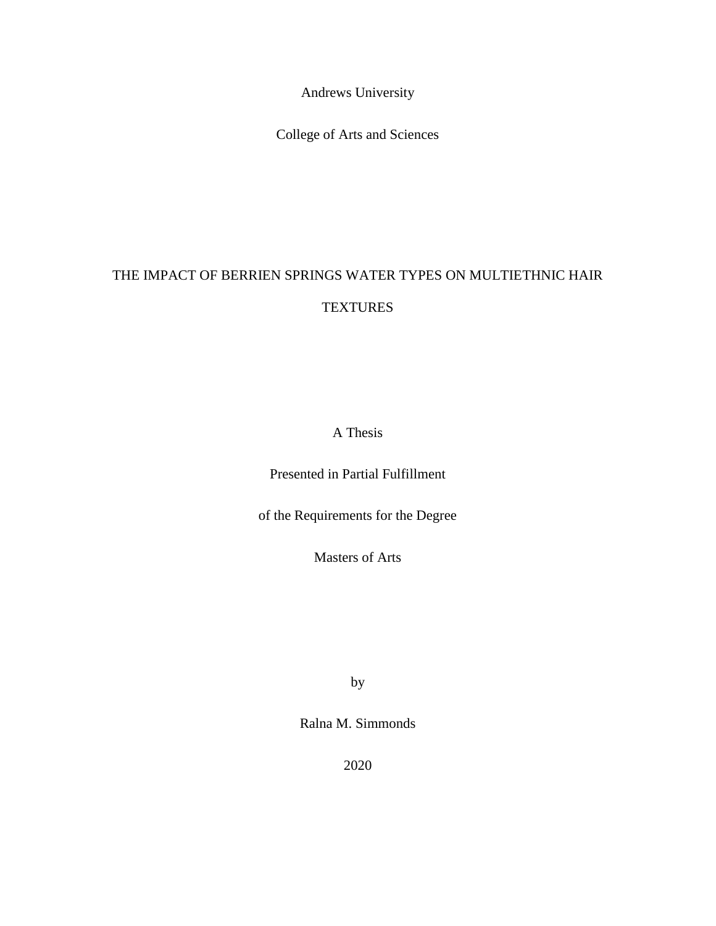Andrews University

College of Arts and Sciences

# THE IMPACT OF BERRIEN SPRINGS WATER TYPES ON MULTIETHNIC HAIR **TEXTURES**

A Thesis

Presented in Partial Fulfillment

of the Requirements for the Degree

Masters of Arts

by

Ralna M. Simmonds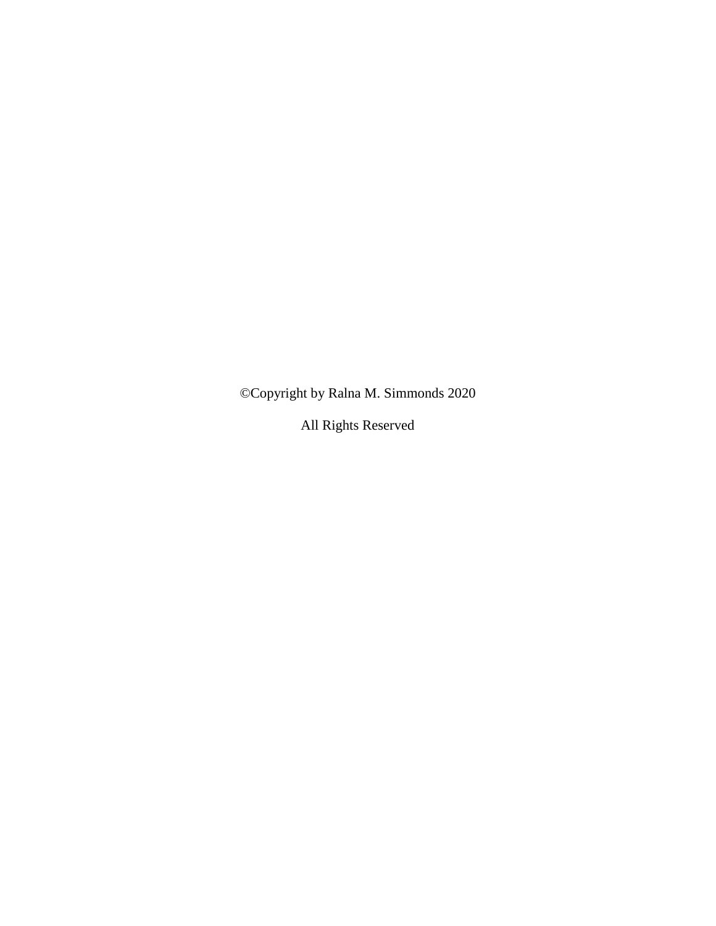©Copyright by Ralna M. Simmonds 2020

All Rights Reserved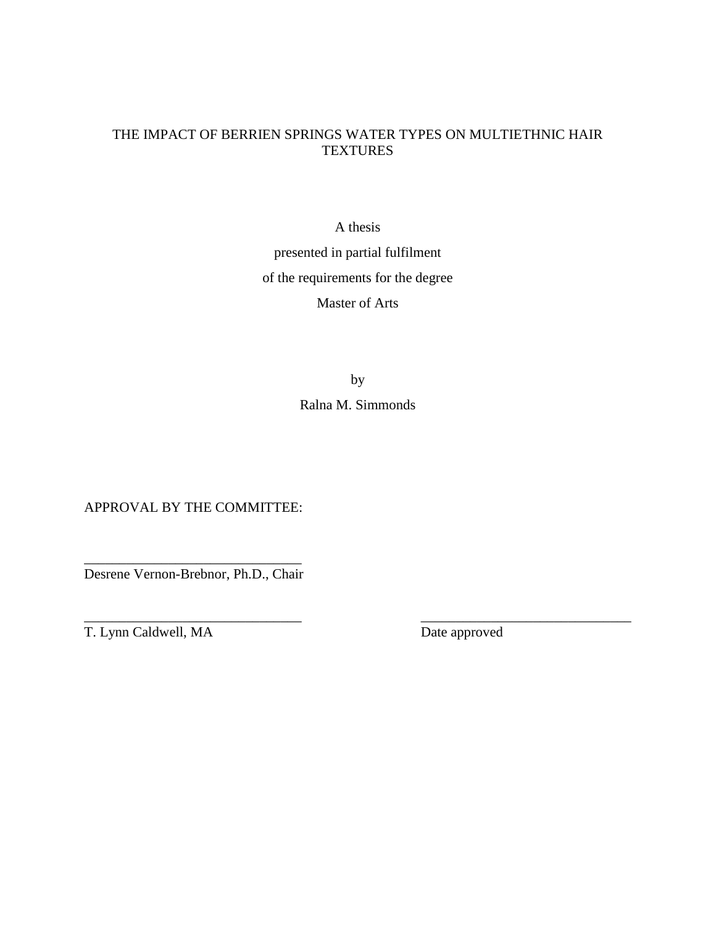# THE IMPACT OF BERRIEN SPRINGS WATER TYPES ON MULTIETHNIC HAIR **TEXTURES**

A thesis

presented in partial fulfilment of the requirements for the degree Master of Arts

> by Ralna M. Simmonds

APPROVAL BY THE COMMITTEE:

\_\_\_\_\_\_\_\_\_\_\_\_\_\_\_\_\_\_\_\_\_\_\_\_\_\_\_\_\_\_\_ Desrene Vernon-Brebnor, Ph.D., Chair

 $\overline{\phantom{a}}$  , and the contract of the contract of the contract of the contract of the contract of the contract of the contract of the contract of the contract of the contract of the contract of the contract of the contrac T. Lynn Caldwell, MA Date approved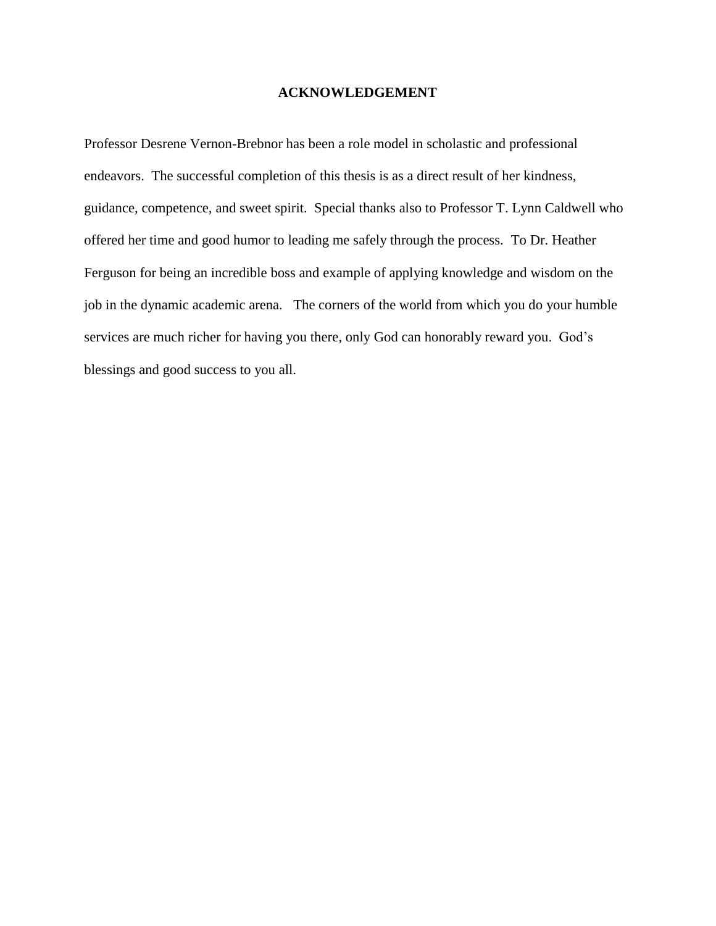#### **ACKNOWLEDGEMENT**

<span id="page-6-0"></span>Professor Desrene Vernon-Brebnor has been a role model in scholastic and professional endeavors. The successful completion of this thesis is as a direct result of her kindness, guidance, competence, and sweet spirit. Special thanks also to Professor T. Lynn Caldwell who offered her time and good humor to leading me safely through the process. To Dr. Heather Ferguson for being an incredible boss and example of applying knowledge and wisdom on the job in the dynamic academic arena. The corners of the world from which you do your humble services are much richer for having you there, only God can honorably reward you. God's blessings and good success to you all.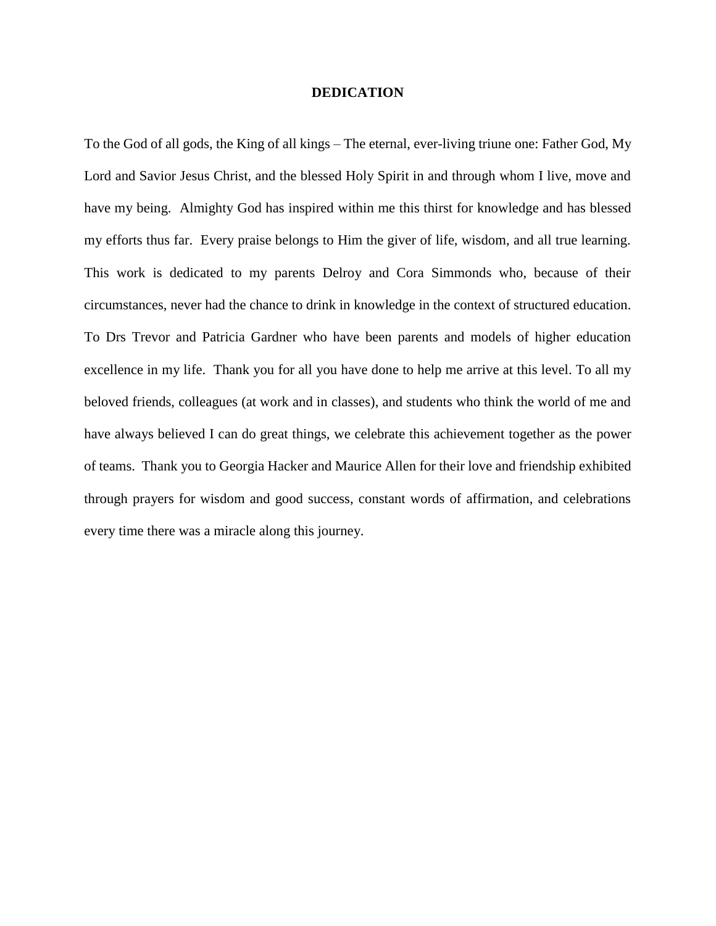#### **DEDICATION**

<span id="page-7-0"></span>To the God of all gods, the King of all kings – The eternal, ever-living triune one: Father God, My Lord and Savior Jesus Christ, and the blessed Holy Spirit in and through whom I live, move and have my being. Almighty God has inspired within me this thirst for knowledge and has blessed my efforts thus far. Every praise belongs to Him the giver of life, wisdom, and all true learning. This work is dedicated to my parents Delroy and Cora Simmonds who, because of their circumstances, never had the chance to drink in knowledge in the context of structured education. To Drs Trevor and Patricia Gardner who have been parents and models of higher education excellence in my life. Thank you for all you have done to help me arrive at this level. To all my beloved friends, colleagues (at work and in classes), and students who think the world of me and have always believed I can do great things, we celebrate this achievement together as the power of teams. Thank you to Georgia Hacker and Maurice Allen for their love and friendship exhibited through prayers for wisdom and good success, constant words of affirmation, and celebrations every time there was a miracle along this journey.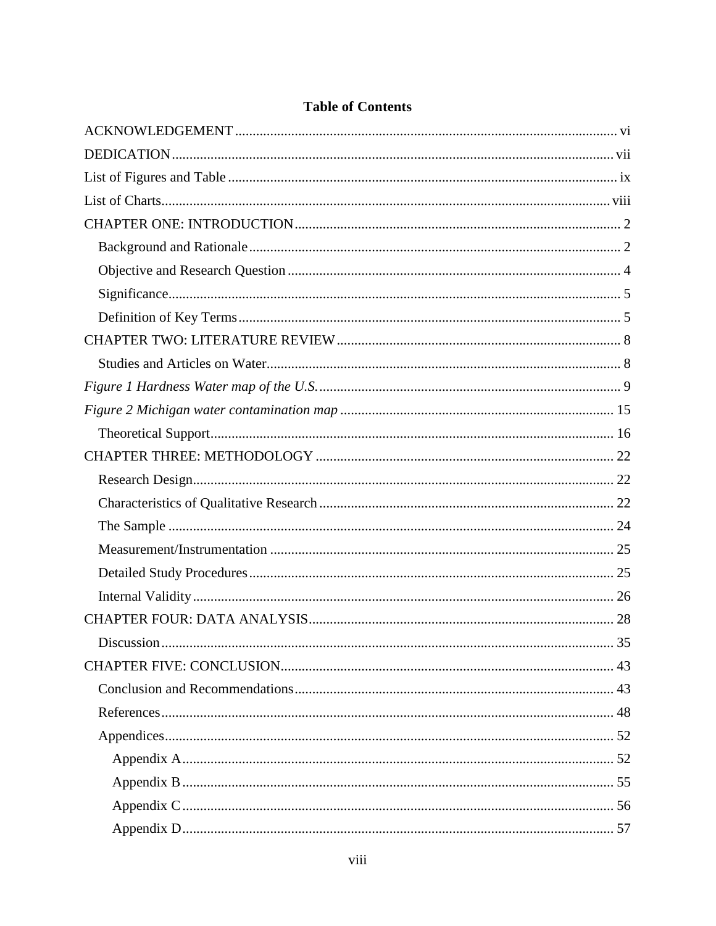| Discussion |  |
|------------|--|
|            |  |
|            |  |
|            |  |
|            |  |
|            |  |
|            |  |
|            |  |
|            |  |

# **Table of Contents**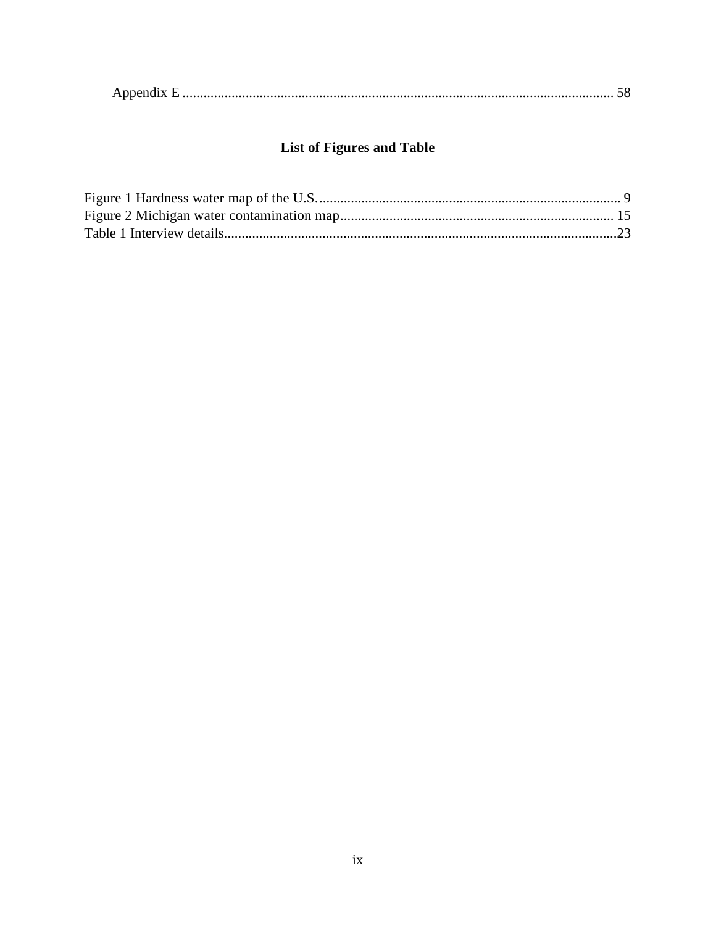|--|

# **List of Figures and Table**

<span id="page-9-0"></span>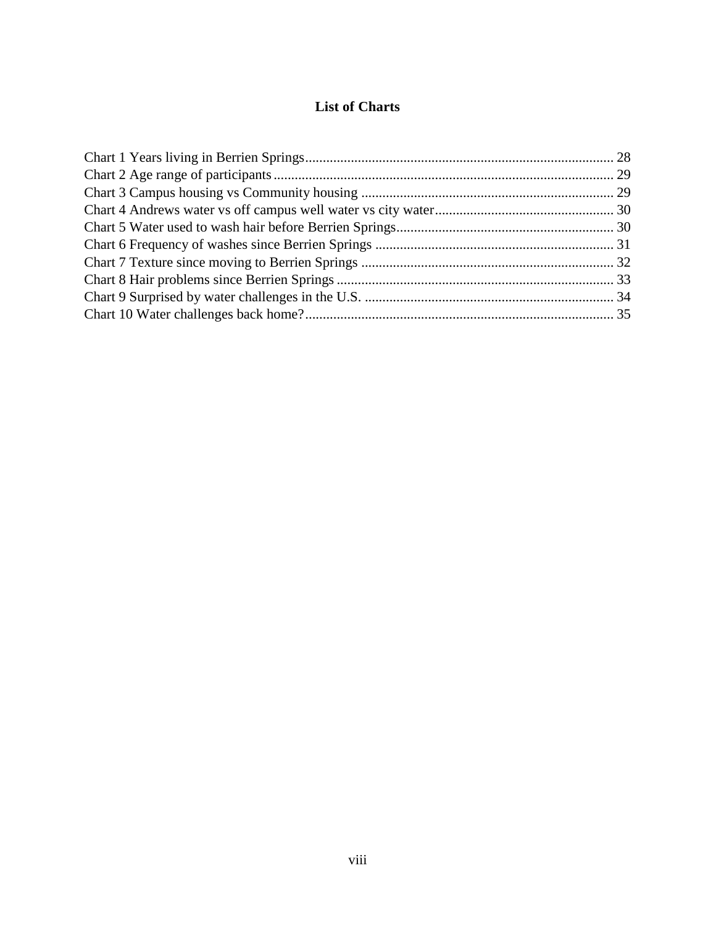# **List of Charts**

<span id="page-10-0"></span>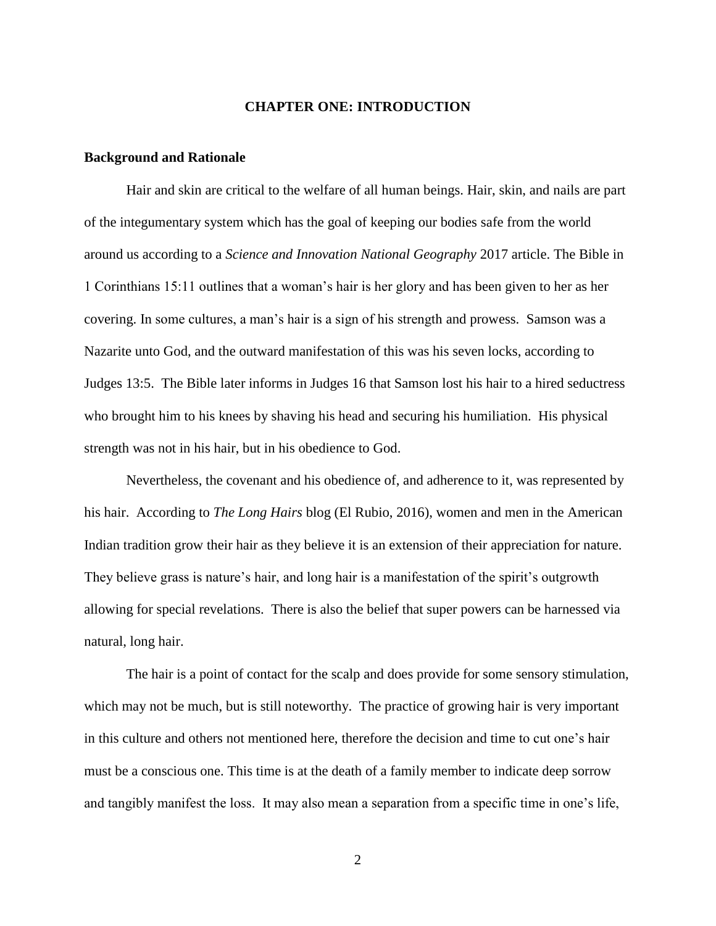#### **CHAPTER ONE: INTRODUCTION**

#### <span id="page-11-1"></span><span id="page-11-0"></span>**Background and Rationale**

Hair and skin are critical to the welfare of all human beings. Hair, skin, and nails are part of the integumentary system which has the goal of keeping our bodies safe from the world around us according to a *Science and Innovation National Geography* 2017 article. The Bible in 1 Corinthians 15:11 outlines that a woman's hair is her glory and has been given to her as her covering. In some cultures, a man's hair is a sign of his strength and prowess. Samson was a Nazarite unto God, and the outward manifestation of this was his seven locks, according to Judges 13:5. The Bible later informs in Judges 16 that Samson lost his hair to a hired seductress who brought him to his knees by shaving his head and securing his humiliation. His physical strength was not in his hair, but in his obedience to God.

Nevertheless, the covenant and his obedience of, and adherence to it, was represented by his hair. According to *The Long Hairs* blog (El Rubio, 2016), women and men in the American Indian tradition grow their hair as they believe it is an extension of their appreciation for nature. They believe grass is nature's hair, and long hair is a manifestation of the spirit's outgrowth allowing for special revelations. There is also the belief that super powers can be harnessed via natural, long hair.

The hair is a point of contact for the scalp and does provide for some sensory stimulation, which may not be much, but is still noteworthy. The practice of growing hair is very important in this culture and others not mentioned here, therefore the decision and time to cut one's hair must be a conscious one. This time is at the death of a family member to indicate deep sorrow and tangibly manifest the loss. It may also mean a separation from a specific time in one's life,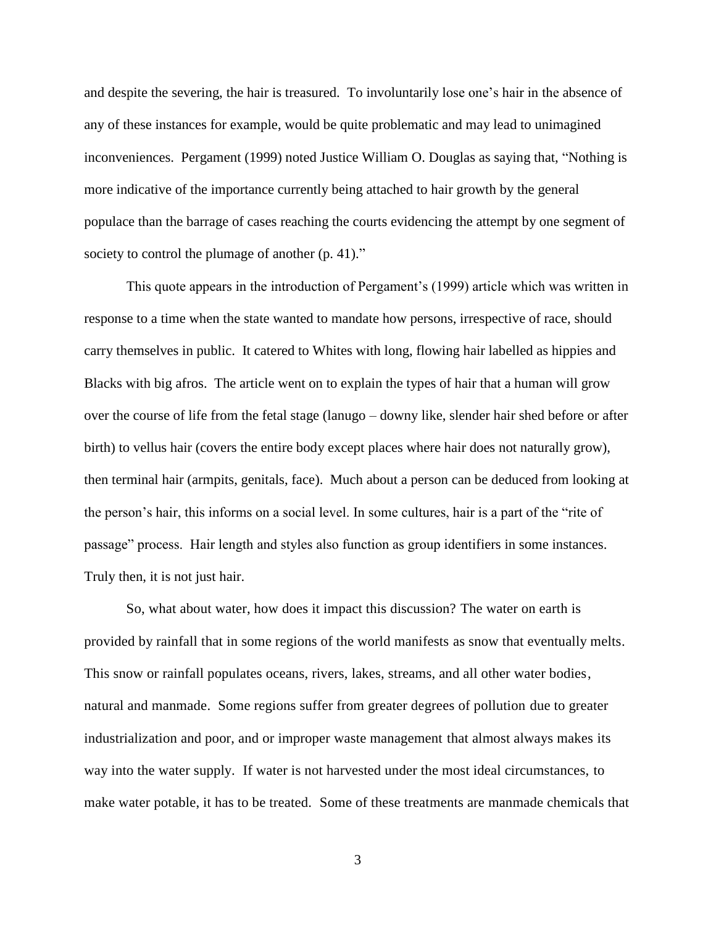and despite the severing, the hair is treasured. To involuntarily lose one's hair in the absence of any of these instances for example, would be quite problematic and may lead to unimagined inconveniences. Pergament (1999) noted Justice William O. Douglas as saying that, "Nothing is more indicative of the importance currently being attached to hair growth by the general populace than the barrage of cases reaching the courts evidencing the attempt by one segment of society to control the plumage of another (p. 41)."

This quote appears in the introduction of Pergament's (1999) article which was written in response to a time when the state wanted to mandate how persons, irrespective of race, should carry themselves in public. It catered to Whites with long, flowing hair labelled as hippies and Blacks with big afros. The article went on to explain the types of hair that a human will grow over the course of life from the fetal stage (lanugo – downy like, slender hair shed before or after birth) to vellus hair (covers the entire body except places where hair does not naturally grow), then terminal hair (armpits, genitals, face). Much about a person can be deduced from looking at the person's hair, this informs on a social level. In some cultures, hair is a part of the "rite of passage" process. Hair length and styles also function as group identifiers in some instances. Truly then, it is not just hair.

So, what about water, how does it impact this discussion? The water on earth is provided by rainfall that in some regions of the world manifests as snow that eventually melts. This snow or rainfall populates oceans, rivers, lakes, streams, and all other water bodies, natural and manmade. Some regions suffer from greater degrees of pollution due to greater industrialization and poor, and or improper waste management that almost always makes its way into the water supply. If water is not harvested under the most ideal circumstances, to make water potable, it has to be treated. Some of these treatments are manmade chemicals that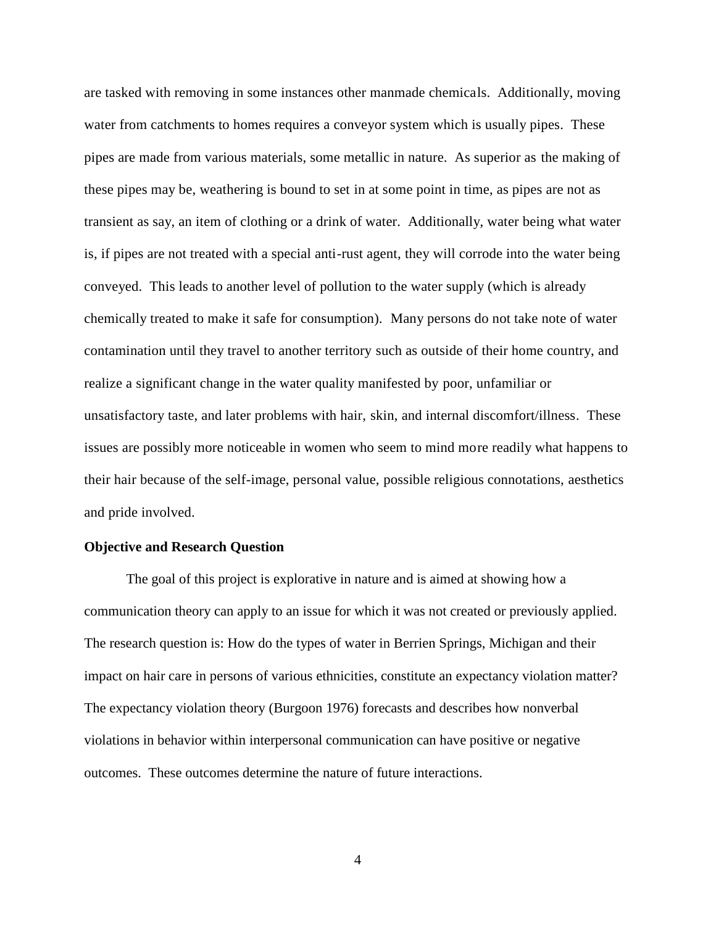are tasked with removing in some instances other manmade chemicals. Additionally, moving water from catchments to homes requires a conveyor system which is usually pipes. These pipes are made from various materials, some metallic in nature. As superior as the making of these pipes may be, weathering is bound to set in at some point in time, as pipes are not as transient as say, an item of clothing or a drink of water. Additionally, water being what water is, if pipes are not treated with a special anti-rust agent, they will corrode into the water being conveyed. This leads to another level of pollution to the water supply (which is already chemically treated to make it safe for consumption). Many persons do not take note of water contamination until they travel to another territory such as outside of their home country, and realize a significant change in the water quality manifested by poor, unfamiliar or unsatisfactory taste, and later problems with hair, skin, and internal discomfort/illness. These issues are possibly more noticeable in women who seem to mind more readily what happens to their hair because of the self-image, personal value, possible religious connotations, aesthetics and pride involved.

#### <span id="page-13-0"></span>**Objective and Research Question**

The goal of this project is explorative in nature and is aimed at showing how a communication theory can apply to an issue for which it was not created or previously applied. The research question is: How do the types of water in Berrien Springs, Michigan and their impact on hair care in persons of various ethnicities, constitute an expectancy violation matter? The expectancy violation theory (Burgoon 1976) forecasts and describes how nonverbal violations in behavior within interpersonal communication can have positive or negative outcomes. These outcomes determine the nature of future interactions.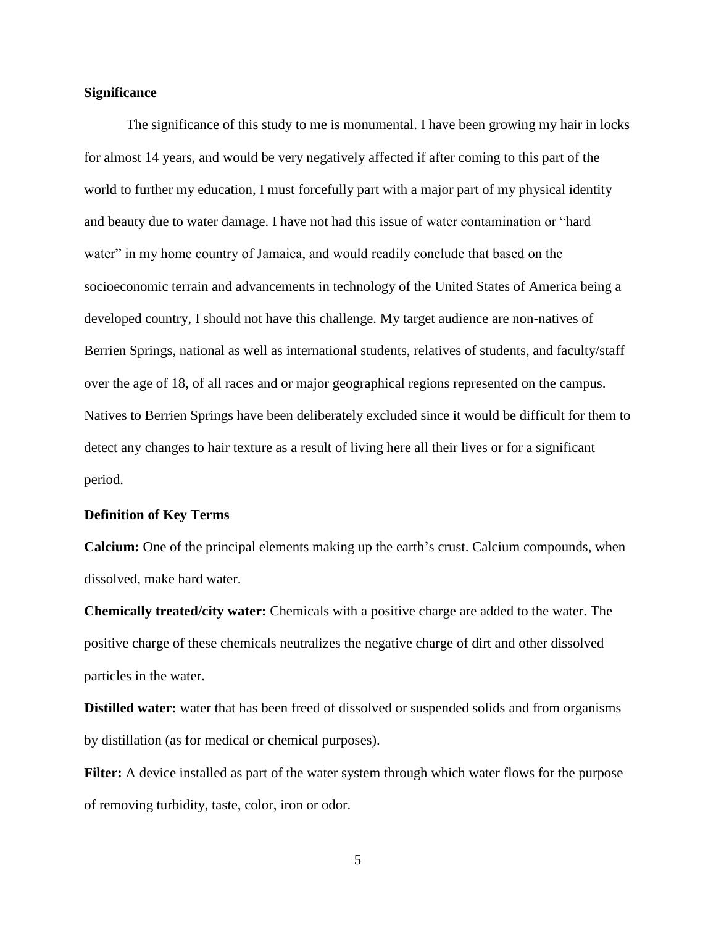#### <span id="page-14-0"></span>**Significance**

The significance of this study to me is monumental. I have been growing my hair in locks for almost 14 years, and would be very negatively affected if after coming to this part of the world to further my education, I must forcefully part with a major part of my physical identity and beauty due to water damage. I have not had this issue of water contamination or "hard water" in my home country of Jamaica, and would readily conclude that based on the socioeconomic terrain and advancements in technology of the United States of America being a developed country, I should not have this challenge. My target audience are non-natives of Berrien Springs, national as well as international students, relatives of students, and faculty/staff over the age of 18, of all races and or major geographical regions represented on the campus. Natives to Berrien Springs have been deliberately excluded since it would be difficult for them to detect any changes to hair texture as a result of living here all their lives or for a significant period.

#### <span id="page-14-1"></span>**Definition of Key Terms**

**Calcium:** One of the principal elements making up the earth's crust. Calcium compounds, when dissolved, make hard water.

**Chemically treated/city water:** Chemicals with a positive charge are added to the water. The positive charge of these chemicals neutralizes the negative charge of dirt and other dissolved particles in the water.

**Distilled water:** water that has been freed of dissolved or suspended solids and from organisms by distillation (as for medical or chemical purposes).

Filter: A device installed as part of the water system through which water flows for the purpose of removing turbidity, taste, color, iron or odor.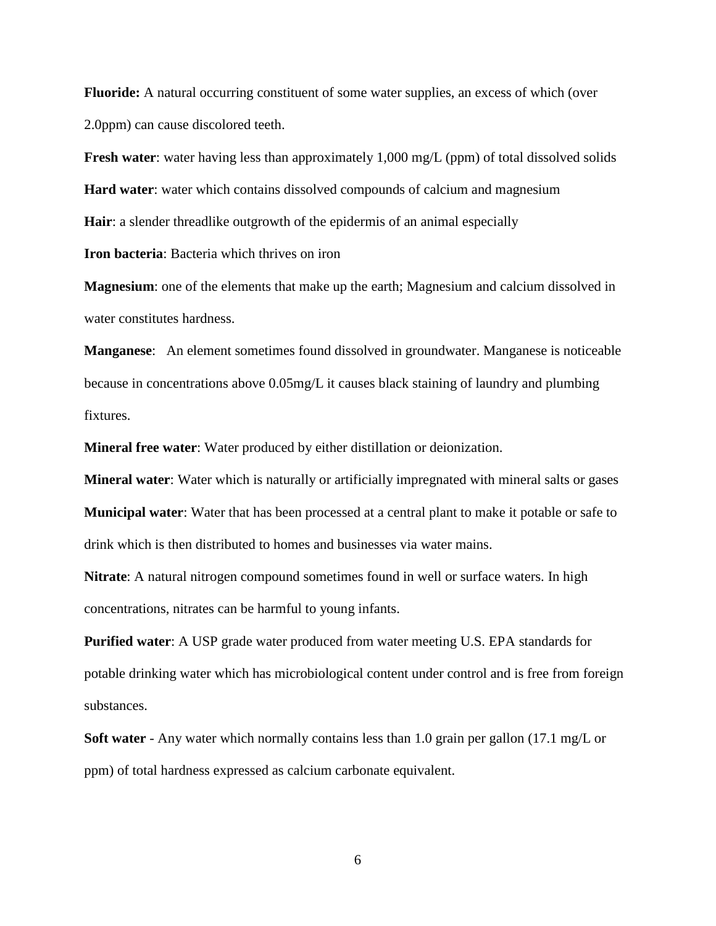**Fluoride:** A natural occurring constituent of some water supplies, an excess of which (over 2.0ppm) can cause discolored teeth.

**Fresh water**: water having less than approximately 1,000 mg/L (ppm) of total dissolved solids **Hard water**: water which contains dissolved compounds of calcium and magnesium **Hair**: a slender threadlike outgrowth of the epidermis of an animal especially

**Iron bacteria**: Bacteria which thrives on iron

**Magnesium**: one of the elements that make up the earth; Magnesium and calcium dissolved in water constitutes hardness.

**Manganese**: An element sometimes found dissolved in groundwater. Manganese is noticeable because in concentrations above 0.05mg/L it causes black staining of laundry and plumbing fixtures.

**Mineral free water**: Water produced by either distillation or deionization.

**Mineral water**: Water which is naturally or artificially impregnated with mineral salts or gases **Municipal water**: Water that has been processed at a central plant to make it potable or safe to drink which is then distributed to homes and businesses via water mains.

**Nitrate**: A natural nitrogen compound sometimes found in well or surface waters. In high concentrations, nitrates can be harmful to young infants.

**Purified water**: A USP grade water produced from water meeting U.S. EPA standards for potable drinking water which has microbiological content under control and is free from foreign substances.

**Soft water** - Any water which normally contains less than 1.0 grain per gallon (17.1 mg/L or ppm) of total hardness expressed as calcium carbonate equivalent.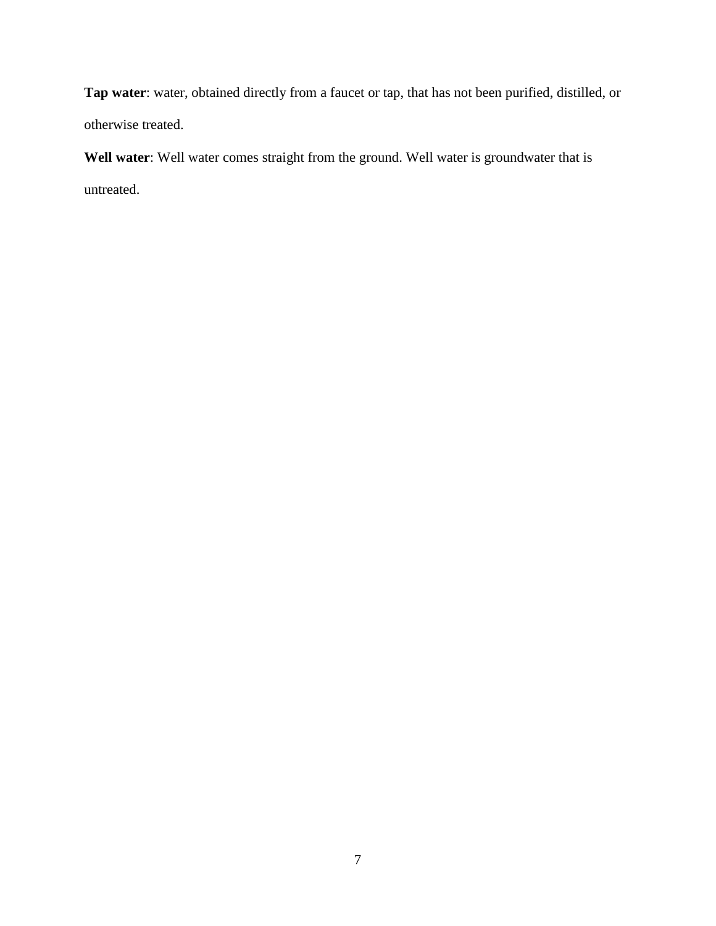**Tap water**: water, obtained directly from a faucet or tap, that has not been purified, distilled, or otherwise treated.

**Well water**: Well water comes straight from the ground. Well water is groundwater that is untreated.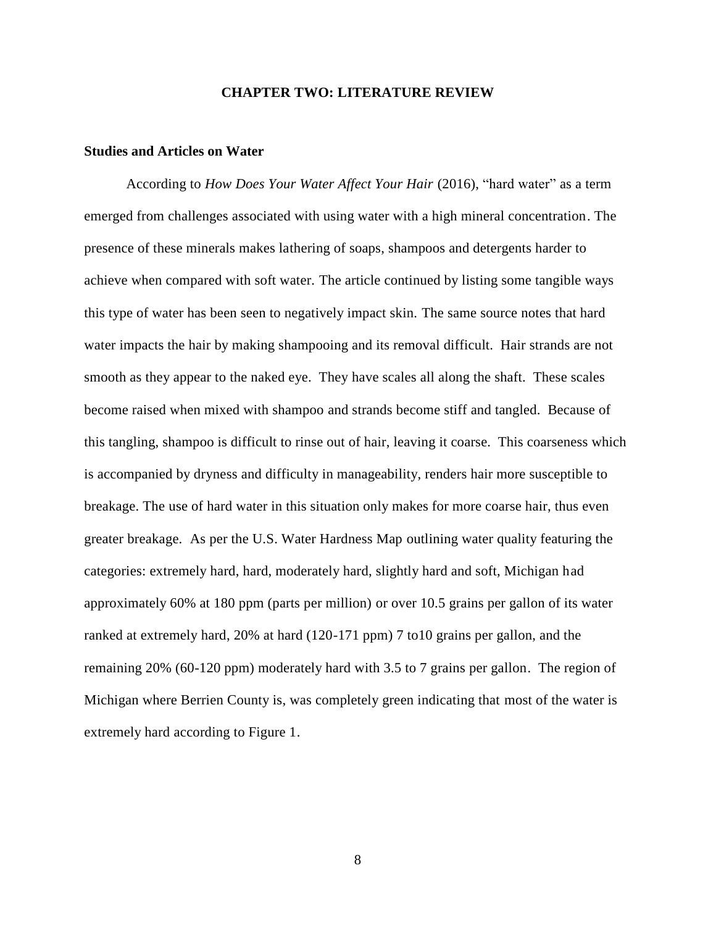#### **CHAPTER TWO: LITERATURE REVIEW**

#### <span id="page-17-1"></span><span id="page-17-0"></span>**Studies and Articles on Water**

According to *How Does Your Water Affect Your Hair* (2016), "hard water" as a term emerged from challenges associated with using water with a high mineral concentration. The presence of these minerals makes lathering of soaps, shampoos and detergents harder to achieve when compared with soft water. The article continued by listing some tangible ways this type of water has been seen to negatively impact skin. The same source notes that hard water impacts the hair by making shampooing and its removal difficult. Hair strands are not smooth as they appear to the naked eye. They have scales all along the shaft. These scales become raised when mixed with shampoo and strands become stiff and tangled. Because of this tangling, shampoo is difficult to rinse out of hair, leaving it coarse. This coarseness which is accompanied by dryness and difficulty in manageability, renders hair more susceptible to breakage. The use of hard water in this situation only makes for more coarse hair, thus even greater breakage. As per the U.S. Water Hardness Map outlining water quality featuring the categories: extremely hard, hard, moderately hard, slightly hard and soft, Michigan had approximately 60% at 180 ppm (parts per million) or over 10.5 grains per gallon of its water ranked at extremely hard, 20% at hard (120-171 ppm) 7 to10 grains per gallon, and the remaining 20% (60-120 ppm) moderately hard with 3.5 to 7 grains per gallon. The region of Michigan where Berrien County is, was completely green indicating that most of the water is extremely hard according to Figure 1.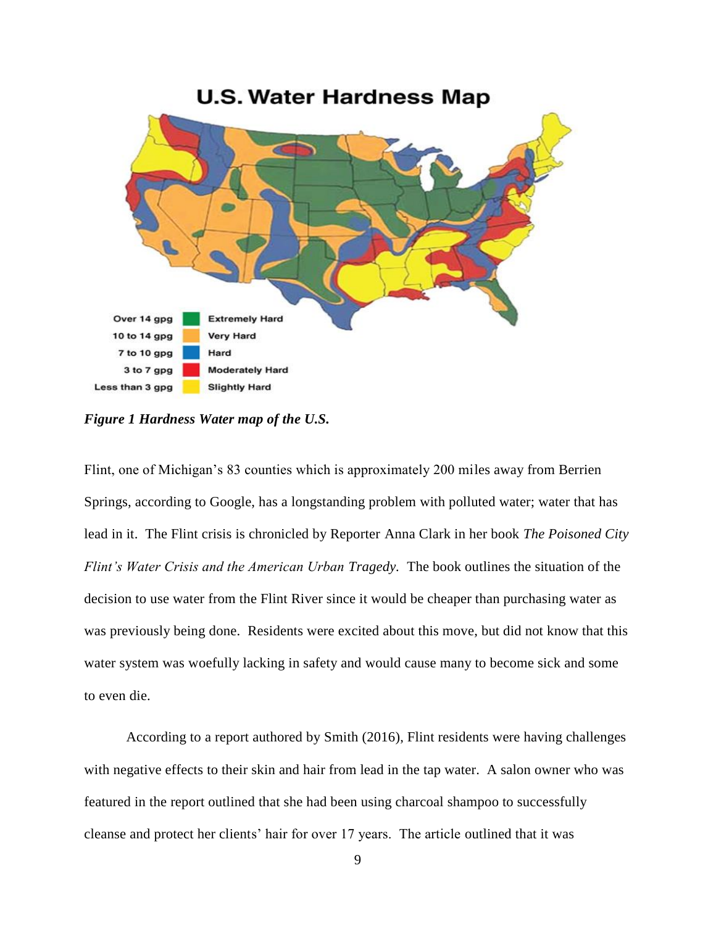

<span id="page-18-0"></span>*Figure 1 Hardness Water map of the U.S.*

Flint, one of Michigan's 83 counties which is approximately 200 miles away from Berrien Springs, according to Google, has a longstanding problem with polluted water; water that has lead in it. The Flint crisis is chronicled by Reporter Anna Clark in her book *The Poisoned City Flint's Water Crisis and the American Urban Tragedy.* The book outlines the situation of the decision to use water from the Flint River since it would be cheaper than purchasing water as was previously being done. Residents were excited about this move, but did not know that this water system was woefully lacking in safety and would cause many to become sick and some to even die.

According to a report authored by Smith (2016), Flint residents were having challenges with negative effects to their skin and hair from lead in the tap water. A salon owner who was featured in the report outlined that she had been using charcoal shampoo to successfully cleanse and protect her clients' hair for over 17 years. The article outlined that it was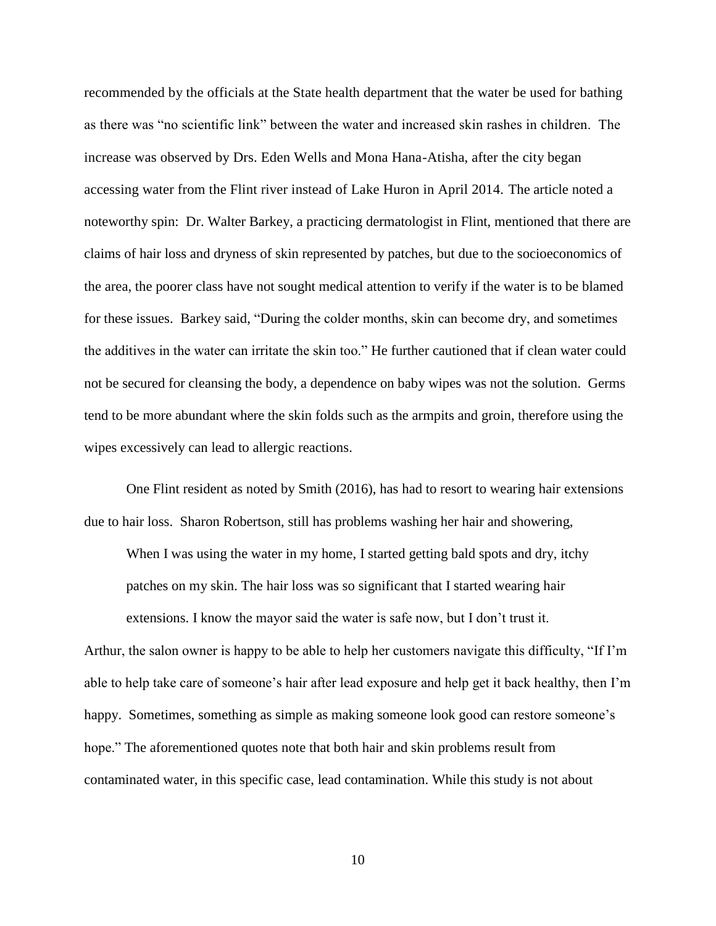recommended by the officials at the State health department that the water be used for bathing as there was "no scientific link" between the water and increased skin rashes in children. The increase was observed by Drs. Eden Wells and Mona Hana-Atisha, after the city began accessing water from the Flint river instead of Lake Huron in April 2014. The article noted a noteworthy spin: Dr. Walter Barkey, a practicing dermatologist in Flint, mentioned that there are claims of hair loss and dryness of skin represented by patches, but due to the socioeconomics of the area, the poorer class have not sought medical attention to verify if the water is to be blamed for these issues. Barkey said, "During the colder months, skin can become dry, and sometimes the additives in the water can irritate the skin too." He further cautioned that if clean water could not be secured for cleansing the body, a dependence on baby wipes was not the solution. Germs tend to be more abundant where the skin folds such as the armpits and groin, therefore using the wipes excessively can lead to allergic reactions.

One Flint resident as noted by Smith (2016), has had to resort to wearing hair extensions due to hair loss. Sharon Robertson, still has problems washing her hair and showering,

When I was using the water in my home, I started getting bald spots and dry, itchy patches on my skin. The hair loss was so significant that I started wearing hair extensions. I know the mayor said the water is safe now, but I don't trust it.

Arthur, the salon owner is happy to be able to help her customers navigate this difficulty, "If I'm able to help take care of someone's hair after lead exposure and help get it back healthy, then I'm happy. Sometimes, something as simple as making someone look good can restore someone's hope." The aforementioned quotes note that both hair and skin problems result from contaminated water, in this specific case, lead contamination. While this study is not about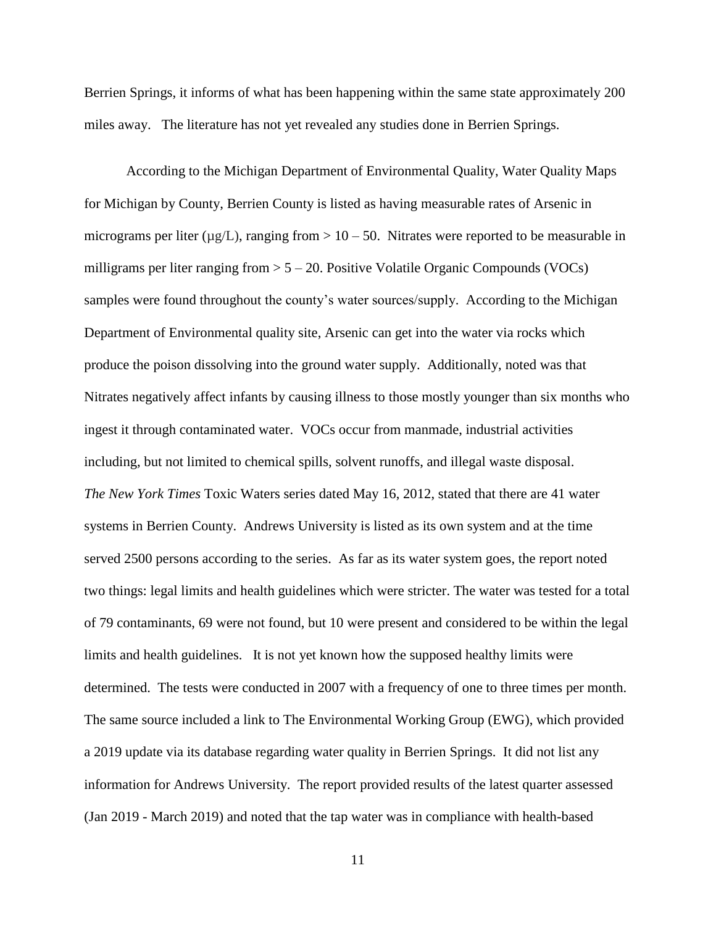Berrien Springs, it informs of what has been happening within the same state approximately 200 miles away. The literature has not yet revealed any studies done in Berrien Springs.

According to the Michigan Department of Environmental Quality, Water Quality Maps for Michigan by County, Berrien County is listed as having measurable rates of Arsenic in micrograms per liter ( $\mu$ g/L), ranging from  $> 10 - 50$ . Nitrates were reported to be measurable in milligrams per liter ranging from  $> 5 - 20$ . Positive Volatile Organic Compounds (VOCs) samples were found throughout the county's water sources/supply. According to the Michigan Department of Environmental quality site, Arsenic can get into the water via rocks which produce the poison dissolving into the ground water supply. Additionally, noted was that Nitrates negatively affect infants by causing illness to those mostly younger than six months who ingest it through contaminated water. VOCs occur from manmade, industrial activities including, but not limited to chemical spills, solvent runoffs, and illegal waste disposal. *The New York Times* Toxic Waters series dated May 16, 2012, stated that there are 41 water systems in Berrien County. Andrews University is listed as its own system and at the time served 2500 persons according to the series. As far as its water system goes, the report noted two things: legal limits and health guidelines which were stricter. The water was tested for a total of 79 contaminants, 69 were not found, but 10 were present and considered to be within the legal limits and health guidelines. It is not yet known how the supposed healthy limits were determined. The tests were conducted in 2007 with a frequency of one to three times per month. The same source included a link to The Environmental Working Group (EWG), which provided a 2019 update via its database regarding water quality in Berrien Springs. It did not list any information for Andrews University. The report provided results of the latest quarter assessed (Jan 2019 - March 2019) and noted that the tap water was in compliance with health-based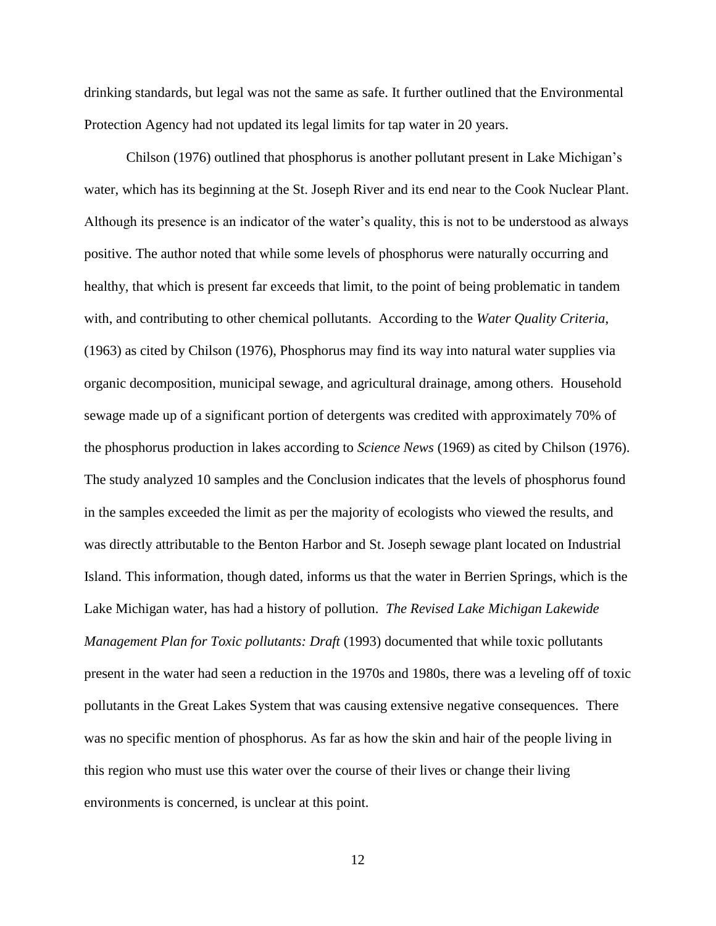drinking standards, but legal was not the same as safe. It further outlined that the Environmental Protection Agency had not updated its legal limits for tap water in 20 years.

Chilson (1976) outlined that phosphorus is another pollutant present in Lake Michigan's water, which has its beginning at the St. Joseph River and its end near to the Cook Nuclear Plant. Although its presence is an indicator of the water's quality, this is not to be understood as always positive. The author noted that while some levels of phosphorus were naturally occurring and healthy, that which is present far exceeds that limit, to the point of being problematic in tandem with, and contributing to other chemical pollutants. According to the *Water Quality Criteria*, (1963) as cited by Chilson (1976), Phosphorus may find its way into natural water supplies via organic decomposition, municipal sewage, and agricultural drainage, among others. Household sewage made up of a significant portion of detergents was credited with approximately 70% of the phosphorus production in lakes according to *Science News* (1969) as cited by Chilson (1976). The study analyzed 10 samples and the Conclusion indicates that the levels of phosphorus found in the samples exceeded the limit as per the majority of ecologists who viewed the results, and was directly attributable to the Benton Harbor and St. Joseph sewage plant located on Industrial Island. This information, though dated, informs us that the water in Berrien Springs, which is the Lake Michigan water, has had a history of pollution. *The Revised Lake Michigan Lakewide Management Plan for Toxic pollutants: Draft* (1993) documented that while toxic pollutants present in the water had seen a reduction in the 1970s and 1980s, there was a leveling off of toxic pollutants in the Great Lakes System that was causing extensive negative consequences. There was no specific mention of phosphorus. As far as how the skin and hair of the people living in this region who must use this water over the course of their lives or change their living environments is concerned, is unclear at this point.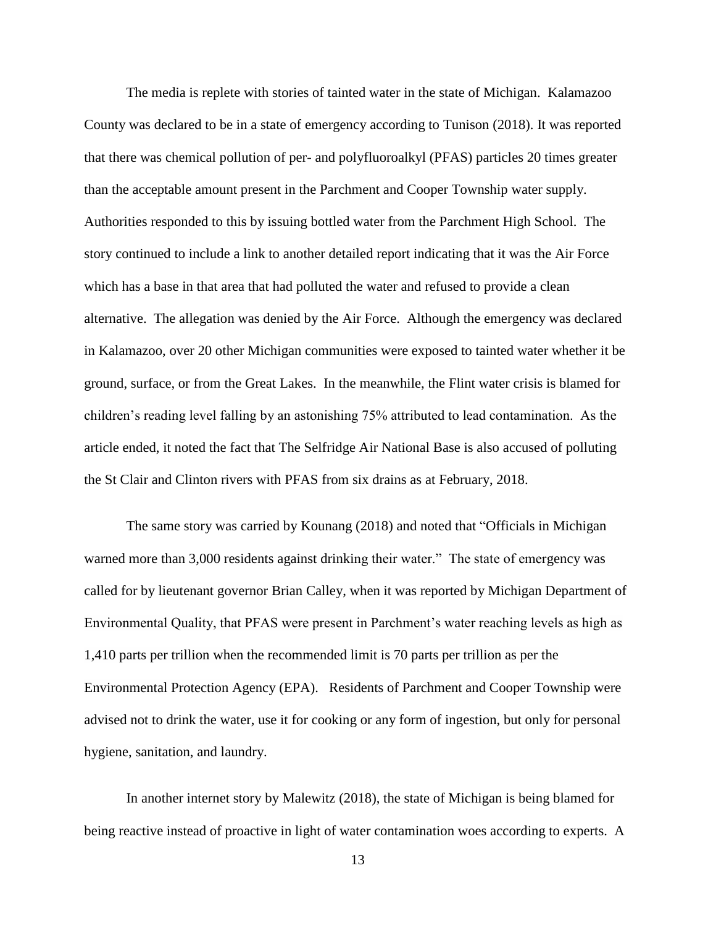The media is replete with stories of tainted water in the state of Michigan. Kalamazoo County was declared to be in a state of emergency according to Tunison (2018). It was reported that there was chemical pollution of per- and polyfluoroalkyl (PFAS) particles 20 times greater than the acceptable amount present in the Parchment and Cooper Township water supply. Authorities responded to this by issuing bottled water from the Parchment High School. The story continued to include a link to another detailed report indicating that it was the Air Force which has a base in that area that had polluted the water and refused to provide a clean alternative. The allegation was denied by the Air Force. Although the emergency was declared in Kalamazoo, over 20 other Michigan communities were exposed to tainted water whether it be ground, surface, or from the Great Lakes. In the meanwhile, the Flint water crisis is blamed for children's reading level falling by an astonishing 75% attributed to lead contamination. As the article ended, it noted the fact that The Selfridge Air National Base is also accused of polluting the St Clair and Clinton rivers with PFAS from six drains as at February, 2018.

The same story was carried by Kounang (2018) and noted that "Officials in Michigan warned more than 3,000 residents against drinking their water." The state of emergency was called for by lieutenant governor Brian Calley, when it was reported by Michigan Department of Environmental Quality, that PFAS were present in Parchment's water reaching levels as high as 1,410 parts per trillion when the recommended limit is 70 parts per trillion as per the Environmental Protection Agency (EPA). Residents of Parchment and Cooper Township were advised not to drink the water, use it for cooking or any form of ingestion, but only for personal hygiene, sanitation, and laundry.

In another internet story by Malewitz (2018), the state of Michigan is being blamed for being reactive instead of proactive in light of water contamination woes according to experts. A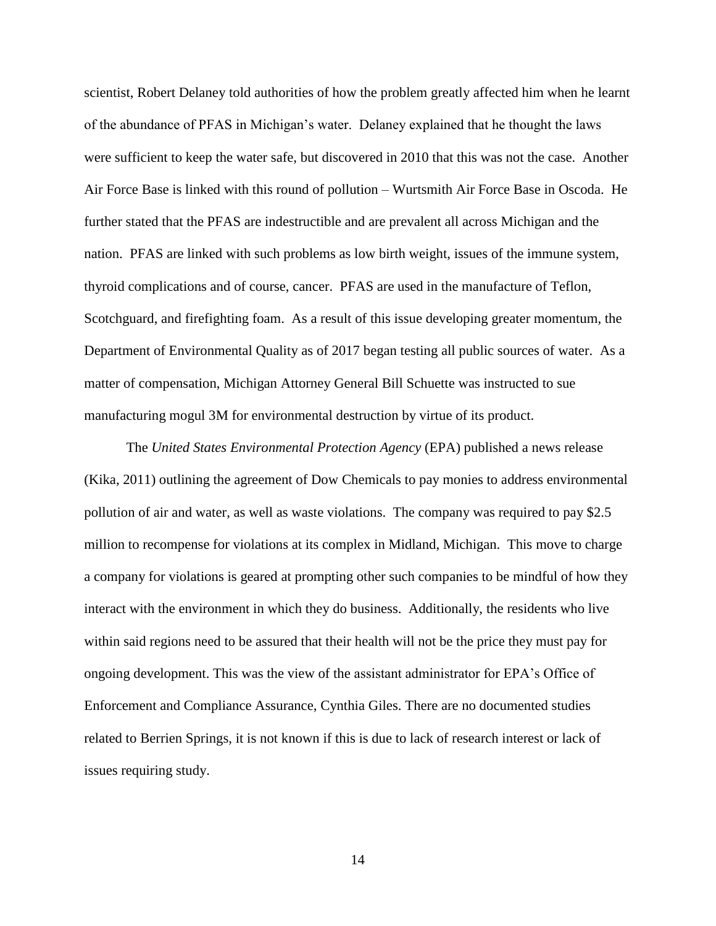scientist, Robert Delaney told authorities of how the problem greatly affected him when he learnt of the abundance of PFAS in Michigan's water. Delaney explained that he thought the laws were sufficient to keep the water safe, but discovered in 2010 that this was not the case. Another Air Force Base is linked with this round of pollution – Wurtsmith Air Force Base in Oscoda. He further stated that the PFAS are indestructible and are prevalent all across Michigan and the nation. PFAS are linked with such problems as low birth weight, issues of the immune system, thyroid complications and of course, cancer. PFAS are used in the manufacture of Teflon, Scotchguard, and firefighting foam. As a result of this issue developing greater momentum, the Department of Environmental Quality as of 2017 began testing all public sources of water. As a matter of compensation, Michigan Attorney General Bill Schuette was instructed to sue manufacturing mogul 3M for environmental destruction by virtue of its product.

The *United States Environmental Protection Agency* (EPA) published a news release (Kika, 2011) outlining the agreement of Dow Chemicals to pay monies to address environmental pollution of air and water, as well as waste violations. The company was required to pay \$2.5 million to recompense for violations at its complex in Midland, Michigan. This move to charge a company for violations is geared at prompting other such companies to be mindful of how they interact with the environment in which they do business. Additionally, the residents who live within said regions need to be assured that their health will not be the price they must pay for ongoing development. This was the view of the assistant administrator for EPA's Office of Enforcement and Compliance Assurance, Cynthia Giles. There are no documented studies related to Berrien Springs, it is not known if this is due to lack of research interest or lack of issues requiring study.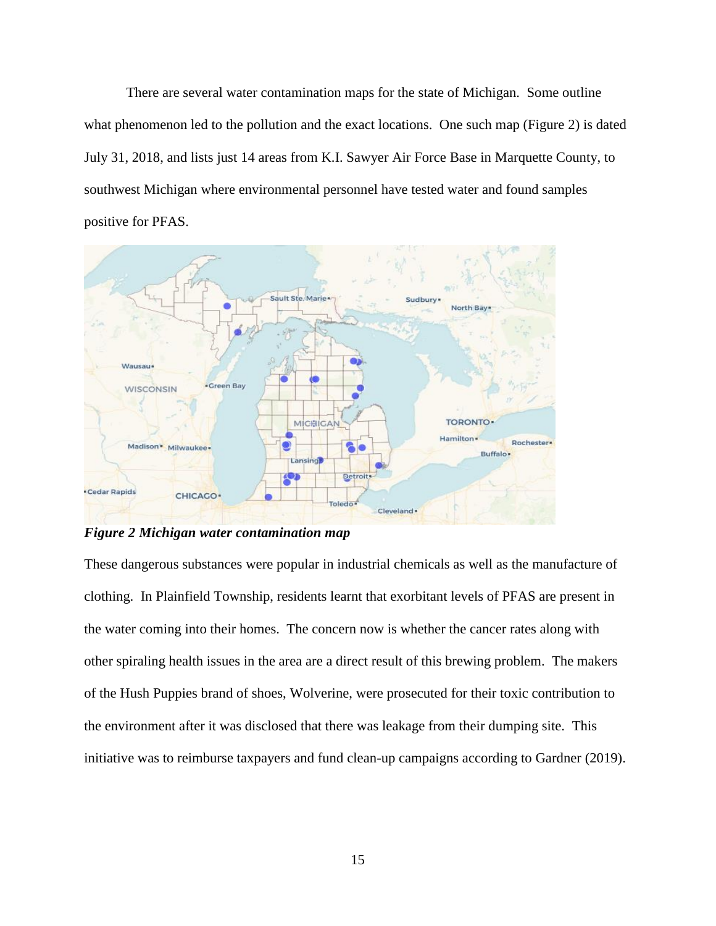There are several water contamination maps for the state of Michigan. Some outline what phenomenon led to the pollution and the exact locations. One such map (Figure 2) is dated July 31, 2018, and lists just 14 areas from K.I. Sawyer Air Force Base in Marquette County, to southwest Michigan where environmental personnel have tested water and found samples positive for PFAS.



<span id="page-24-0"></span>*Figure 2 Michigan water contamination map*

These dangerous substances were popular in industrial chemicals as well as the manufacture of clothing. In Plainfield Township, residents learnt that exorbitant levels of PFAS are present in the water coming into their homes. The concern now is whether the cancer rates along with other spiraling health issues in the area are a direct result of this brewing problem. The makers of the Hush Puppies brand of shoes, Wolverine, were prosecuted for their toxic contribution to the environment after it was disclosed that there was leakage from their dumping site. This initiative was to reimburse taxpayers and fund clean-up campaigns according to Gardner (2019).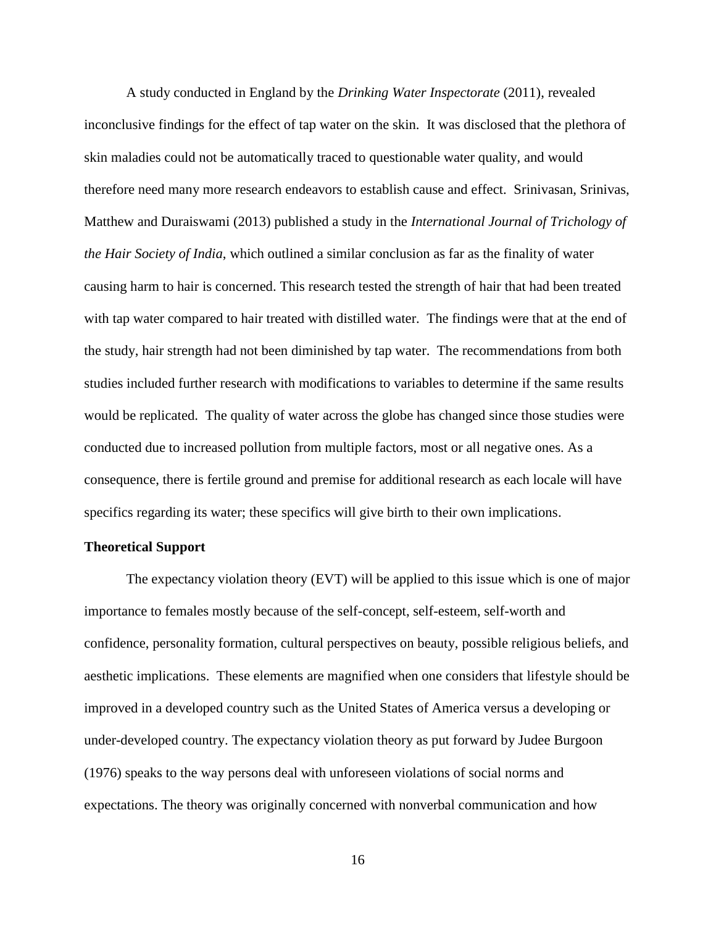A study conducted in England by the *Drinking Water Inspectorate* (2011), revealed inconclusive findings for the effect of tap water on the skin. It was disclosed that the plethora of skin maladies could not be automatically traced to questionable water quality, and would therefore need many more research endeavors to establish cause and effect. Srinivasan, Srinivas, Matthew and Duraiswami (2013) published a study in the *International Journal of Trichology of the Hair Society of India*, which outlined a similar conclusion as far as the finality of water causing harm to hair is concerned. This research tested the strength of hair that had been treated with tap water compared to hair treated with distilled water. The findings were that at the end of the study, hair strength had not been diminished by tap water. The recommendations from both studies included further research with modifications to variables to determine if the same results would be replicated. The quality of water across the globe has changed since those studies were conducted due to increased pollution from multiple factors, most or all negative ones. As a consequence, there is fertile ground and premise for additional research as each locale will have specifics regarding its water; these specifics will give birth to their own implications.

#### <span id="page-25-0"></span>**Theoretical Support**

The expectancy violation theory (EVT) will be applied to this issue which is one of major importance to females mostly because of the self-concept, self-esteem, self-worth and confidence, personality formation, cultural perspectives on beauty, possible religious beliefs, and aesthetic implications. These elements are magnified when one considers that lifestyle should be improved in a developed country such as the United States of America versus a developing or under-developed country. The expectancy violation theory as put forward by Judee Burgoon (1976) speaks to the way persons deal with unforeseen violations of social norms and expectations. The theory was originally concerned with nonverbal communication and how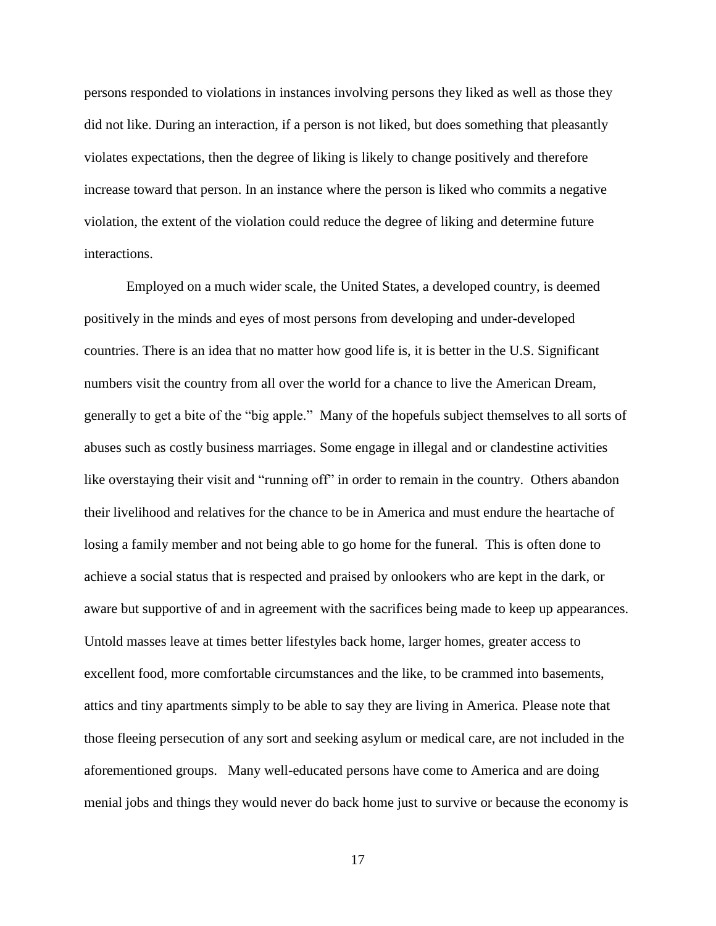persons responded to violations in instances involving persons they liked as well as those they did not like. During an interaction, if a person is not liked, but does something that pleasantly violates expectations, then the degree of liking is likely to change positively and therefore increase toward that person. In an instance where the person is liked who commits a negative violation, the extent of the violation could reduce the degree of liking and determine future interactions.

Employed on a much wider scale, the United States, a developed country, is deemed positively in the minds and eyes of most persons from developing and under-developed countries. There is an idea that no matter how good life is, it is better in the U.S. Significant numbers visit the country from all over the world for a chance to live the American Dream, generally to get a bite of the "big apple." Many of the hopefuls subject themselves to all sorts of abuses such as costly business marriages. Some engage in illegal and or clandestine activities like overstaying their visit and "running off" in order to remain in the country. Others abandon their livelihood and relatives for the chance to be in America and must endure the heartache of losing a family member and not being able to go home for the funeral. This is often done to achieve a social status that is respected and praised by onlookers who are kept in the dark, or aware but supportive of and in agreement with the sacrifices being made to keep up appearances. Untold masses leave at times better lifestyles back home, larger homes, greater access to excellent food, more comfortable circumstances and the like, to be crammed into basements, attics and tiny apartments simply to be able to say they are living in America. Please note that those fleeing persecution of any sort and seeking asylum or medical care, are not included in the aforementioned groups. Many well-educated persons have come to America and are doing menial jobs and things they would never do back home just to survive or because the economy is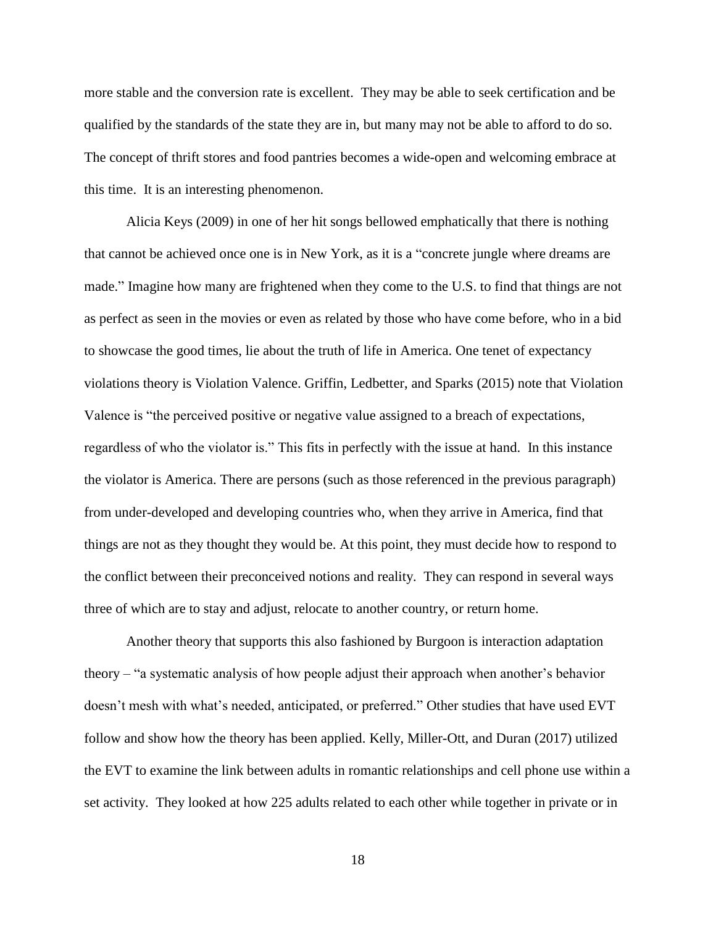more stable and the conversion rate is excellent. They may be able to seek certification and be qualified by the standards of the state they are in, but many may not be able to afford to do so. The concept of thrift stores and food pantries becomes a wide-open and welcoming embrace at this time. It is an interesting phenomenon.

Alicia Keys (2009) in one of her hit songs bellowed emphatically that there is nothing that cannot be achieved once one is in New York, as it is a "concrete jungle where dreams are made." Imagine how many are frightened when they come to the U.S. to find that things are not as perfect as seen in the movies or even as related by those who have come before, who in a bid to showcase the good times, lie about the truth of life in America. One tenet of expectancy violations theory is Violation Valence. Griffin, Ledbetter, and Sparks (2015) note that Violation Valence is "the perceived positive or negative value assigned to a breach of expectations, regardless of who the violator is." This fits in perfectly with the issue at hand. In this instance the violator is America. There are persons (such as those referenced in the previous paragraph) from under-developed and developing countries who, when they arrive in America, find that things are not as they thought they would be. At this point, they must decide how to respond to the conflict between their preconceived notions and reality. They can respond in several ways three of which are to stay and adjust, relocate to another country, or return home.

Another theory that supports this also fashioned by Burgoon is interaction adaptation theory – "a systematic analysis of how people adjust their approach when another's behavior doesn't mesh with what's needed, anticipated, or preferred." Other studies that have used EVT follow and show how the theory has been applied. Kelly, Miller-Ott, and Duran (2017) utilized the EVT to examine the link between adults in romantic relationships and cell phone use within a set activity. They looked at how 225 adults related to each other while together in private or in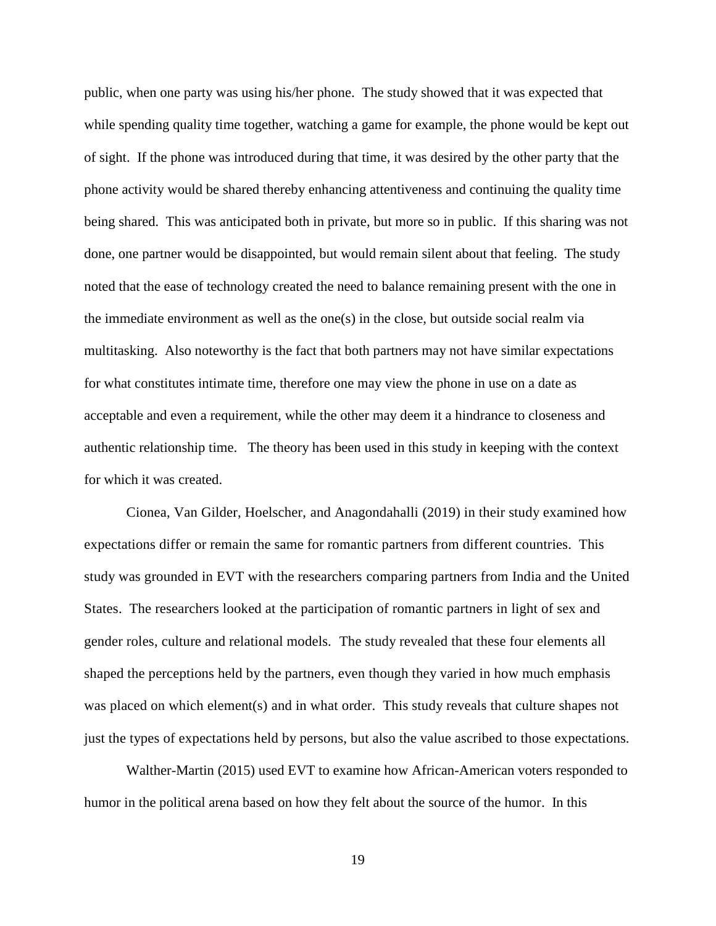public, when one party was using his/her phone. The study showed that it was expected that while spending quality time together, watching a game for example, the phone would be kept out of sight. If the phone was introduced during that time, it was desired by the other party that the phone activity would be shared thereby enhancing attentiveness and continuing the quality time being shared. This was anticipated both in private, but more so in public. If this sharing was not done, one partner would be disappointed, but would remain silent about that feeling. The study noted that the ease of technology created the need to balance remaining present with the one in the immediate environment as well as the one(s) in the close, but outside social realm via multitasking. Also noteworthy is the fact that both partners may not have similar expectations for what constitutes intimate time, therefore one may view the phone in use on a date as acceptable and even a requirement, while the other may deem it a hindrance to closeness and authentic relationship time. The theory has been used in this study in keeping with the context for which it was created.

Cionea, Van Gilder, Hoelscher, and Anagondahalli (2019) in their study examined how expectations differ or remain the same for romantic partners from different countries. This study was grounded in EVT with the researchers comparing partners from India and the United States. The researchers looked at the participation of romantic partners in light of sex and gender roles, culture and relational models. The study revealed that these four elements all shaped the perceptions held by the partners, even though they varied in how much emphasis was placed on which element(s) and in what order. This study reveals that culture shapes not just the types of expectations held by persons, but also the value ascribed to those expectations.

Walther-Martin (2015) used EVT to examine how African-American voters responded to humor in the political arena based on how they felt about the source of the humor. In this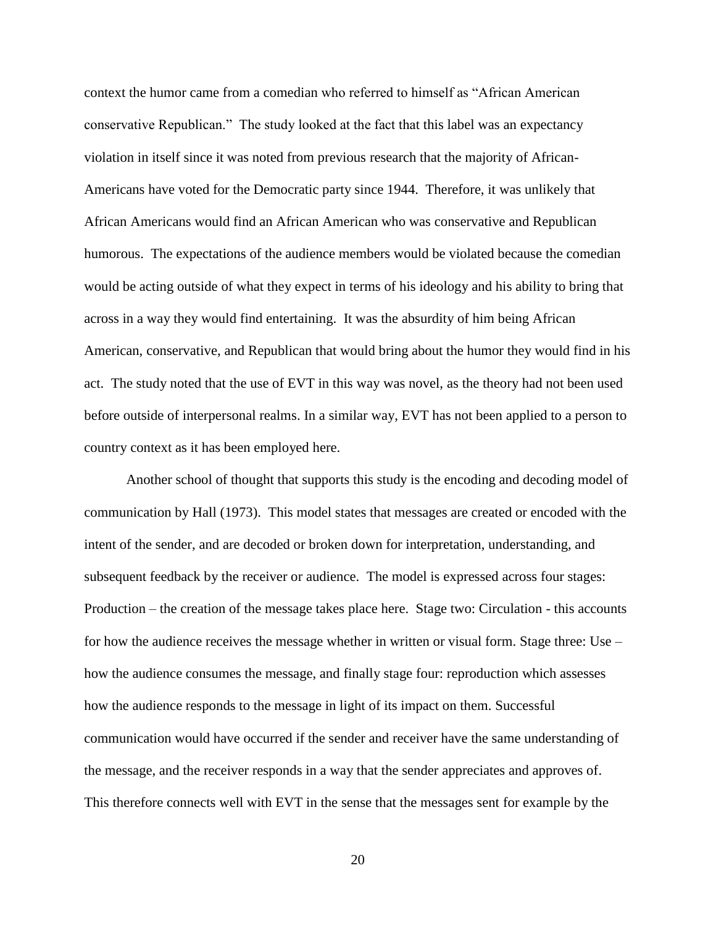context the humor came from a comedian who referred to himself as "African American conservative Republican." The study looked at the fact that this label was an expectancy violation in itself since it was noted from previous research that the majority of African-Americans have voted for the Democratic party since 1944. Therefore, it was unlikely that African Americans would find an African American who was conservative and Republican humorous. The expectations of the audience members would be violated because the comedian would be acting outside of what they expect in terms of his ideology and his ability to bring that across in a way they would find entertaining. It was the absurdity of him being African American, conservative, and Republican that would bring about the humor they would find in his act. The study noted that the use of EVT in this way was novel, as the theory had not been used before outside of interpersonal realms. In a similar way, EVT has not been applied to a person to country context as it has been employed here.

Another school of thought that supports this study is the encoding and decoding model of communication by Hall (1973). This model states that messages are created or encoded with the intent of the sender, and are decoded or broken down for interpretation, understanding, and subsequent feedback by the receiver or audience. The model is expressed across four stages: Production – the creation of the message takes place here. Stage two: Circulation - this accounts for how the audience receives the message whether in written or visual form. Stage three: Use – how the audience consumes the message, and finally stage four: reproduction which assesses how the audience responds to the message in light of its impact on them. Successful communication would have occurred if the sender and receiver have the same understanding of the message, and the receiver responds in a way that the sender appreciates and approves of. This therefore connects well with EVT in the sense that the messages sent for example by the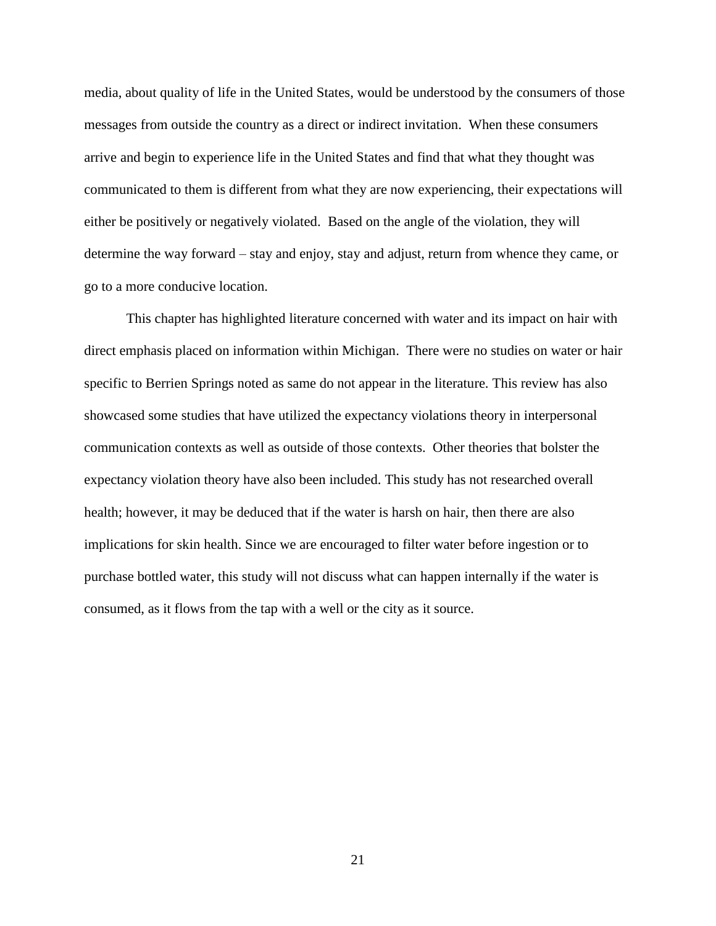media, about quality of life in the United States, would be understood by the consumers of those messages from outside the country as a direct or indirect invitation. When these consumers arrive and begin to experience life in the United States and find that what they thought was communicated to them is different from what they are now experiencing, their expectations will either be positively or negatively violated. Based on the angle of the violation, they will determine the way forward – stay and enjoy, stay and adjust, return from whence they came, or go to a more conducive location.

This chapter has highlighted literature concerned with water and its impact on hair with direct emphasis placed on information within Michigan. There were no studies on water or hair specific to Berrien Springs noted as same do not appear in the literature. This review has also showcased some studies that have utilized the expectancy violations theory in interpersonal communication contexts as well as outside of those contexts. Other theories that bolster the expectancy violation theory have also been included. This study has not researched overall health; however, it may be deduced that if the water is harsh on hair, then there are also implications for skin health. Since we are encouraged to filter water before ingestion or to purchase bottled water, this study will not discuss what can happen internally if the water is consumed, as it flows from the tap with a well or the city as it source.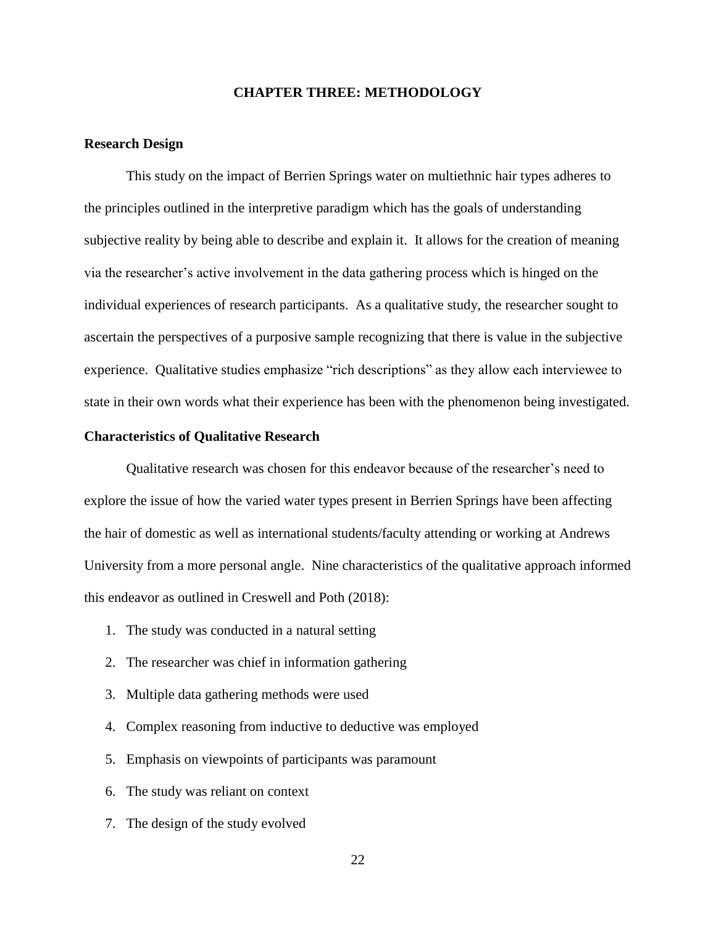#### **CHAPTER THREE: METHODOLOGY**

#### <span id="page-31-1"></span><span id="page-31-0"></span>**Research Design**

This study on the impact of Berrien Springs water on multiethnic hair types adheres to the principles outlined in the interpretive paradigm which has the goals of understanding subjective reality by being able to describe and explain it. It allows for the creation of meaning via the researcher's active involvement in the data gathering process which is hinged on the individual experiences of research participants. As a qualitative study, the researcher sought to ascertain the perspectives of a purposive sample recognizing that there is value in the subjective experience. Qualitative studies emphasize "rich descriptions" as they allow each interviewee to state in their own words what their experience has been with the phenomenon being investigated.

#### <span id="page-31-2"></span>**Characteristics of Qualitative Research**

 Qualitative research was chosen for this endeavor because of the researcher's need to explore the issue of how the varied water types present in Berrien Springs have been affecting the hair of domestic as well as international students/faculty attending or working at Andrews University from a more personal angle. Nine characteristics of the qualitative approach informed this endeavor as outlined in Creswell and Poth (2018):

- 1. The study was conducted in a natural setting
- 2. The researcher was chief in information gathering
- 3. Multiple data gathering methods were used
- 4. Complex reasoning from inductive to deductive was employed
- 5. Emphasis on viewpoints of participants was paramount
- 6. The study was reliant on context
- 7. The design of the study evolved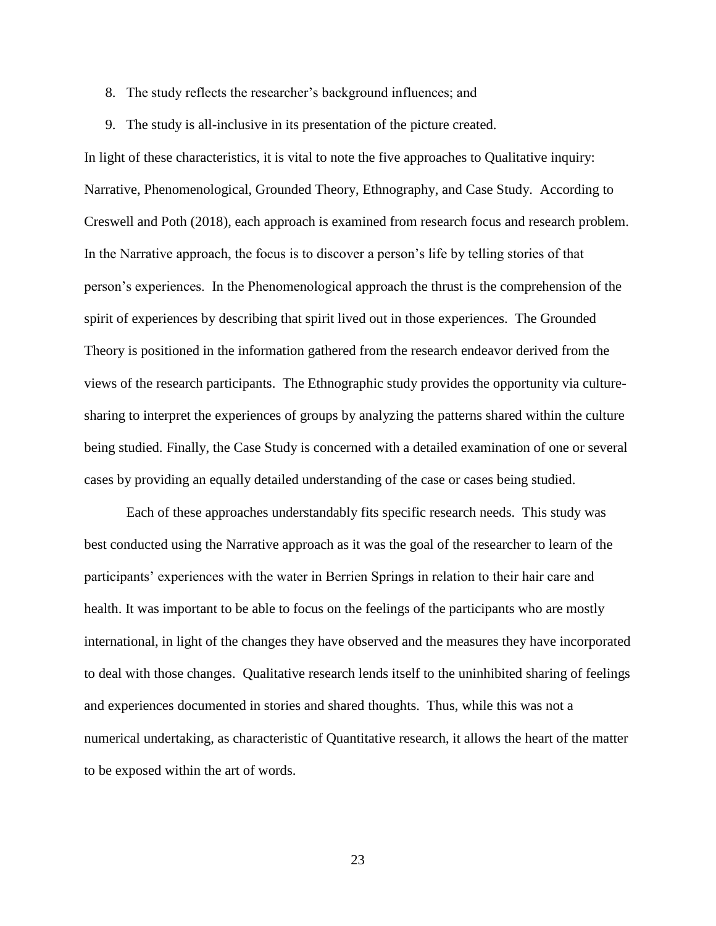- 8. The study reflects the researcher's background influences; and
- 9. The study is all-inclusive in its presentation of the picture created.

In light of these characteristics, it is vital to note the five approaches to Qualitative inquiry: Narrative, Phenomenological, Grounded Theory, Ethnography, and Case Study. According to Creswell and Poth (2018), each approach is examined from research focus and research problem. In the Narrative approach, the focus is to discover a person's life by telling stories of that person's experiences. In the Phenomenological approach the thrust is the comprehension of the spirit of experiences by describing that spirit lived out in those experiences. The Grounded Theory is positioned in the information gathered from the research endeavor derived from the views of the research participants. The Ethnographic study provides the opportunity via culturesharing to interpret the experiences of groups by analyzing the patterns shared within the culture being studied. Finally, the Case Study is concerned with a detailed examination of one or several cases by providing an equally detailed understanding of the case or cases being studied.

Each of these approaches understandably fits specific research needs. This study was best conducted using the Narrative approach as it was the goal of the researcher to learn of the participants' experiences with the water in Berrien Springs in relation to their hair care and health. It was important to be able to focus on the feelings of the participants who are mostly international, in light of the changes they have observed and the measures they have incorporated to deal with those changes. Qualitative research lends itself to the uninhibited sharing of feelings and experiences documented in stories and shared thoughts. Thus, while this was not a numerical undertaking, as characteristic of Quantitative research, it allows the heart of the matter to be exposed within the art of words.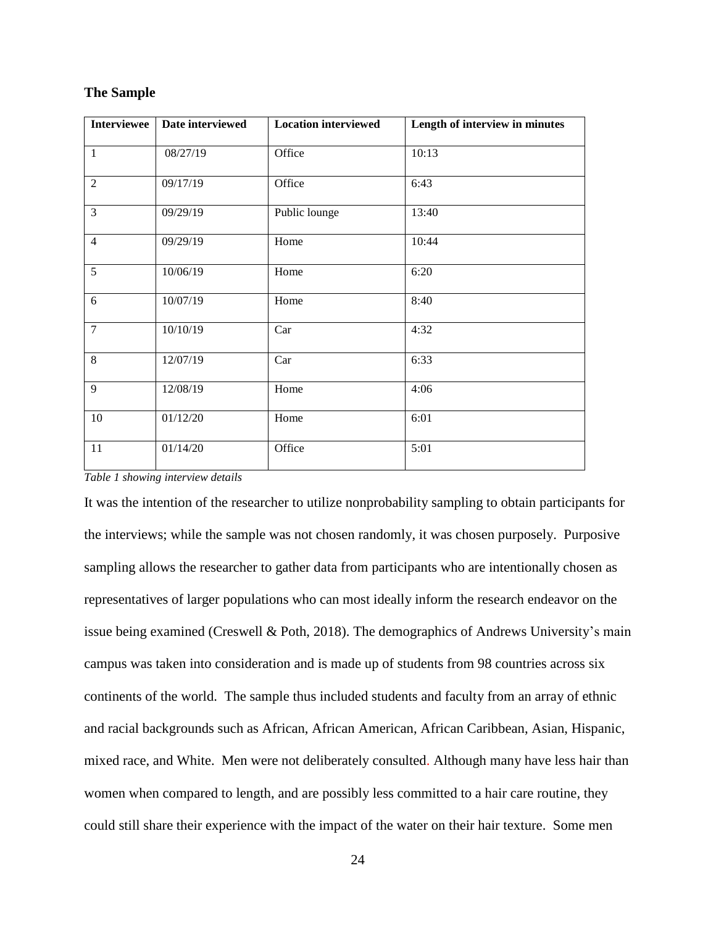#### <span id="page-33-0"></span>**The Sample**

| <b>Interviewee</b> | Date interviewed | <b>Location interviewed</b> | Length of interview in minutes |  |  |  |  |
|--------------------|------------------|-----------------------------|--------------------------------|--|--|--|--|
| $\mathbf{1}$       | 08/27/19         | Office                      | 10:13                          |  |  |  |  |
| $\overline{2}$     | 09/17/19         | Office                      | 6:43                           |  |  |  |  |
| $\overline{3}$     | 09/29/19         | Public lounge               | 13:40                          |  |  |  |  |
| $\overline{4}$     | 09/29/19         | Home                        | 10:44                          |  |  |  |  |
| $\overline{5}$     | 10/06/19         | Home                        | 6:20                           |  |  |  |  |
| 6                  | 10/07/19         | Home                        | 8:40                           |  |  |  |  |
| $\overline{7}$     | 10/10/19         | Car                         | 4:32                           |  |  |  |  |
| 8                  | 12/07/19         | Car                         | 6:33                           |  |  |  |  |
| 9                  | 12/08/19         | Home                        | 4:06                           |  |  |  |  |
| 10                 | 01/12/20         | Home                        | 6:01                           |  |  |  |  |
| 11                 | 01/14/20         | Office                      | 5:01                           |  |  |  |  |

*Table 1 showing interview details*

It was the intention of the researcher to utilize nonprobability sampling to obtain participants for the interviews; while the sample was not chosen randomly, it was chosen purposely. Purposive sampling allows the researcher to gather data from participants who are intentionally chosen as representatives of larger populations who can most ideally inform the research endeavor on the issue being examined (Creswell & Poth, 2018). The demographics of Andrews University's main campus was taken into consideration and is made up of students from 98 countries across six continents of the world. The sample thus included students and faculty from an array of ethnic and racial backgrounds such as African, African American, African Caribbean, Asian, Hispanic, mixed race, and White. Men were not deliberately consulted. Although many have less hair than women when compared to length, and are possibly less committed to a hair care routine, they could still share their experience with the impact of the water on their hair texture. Some men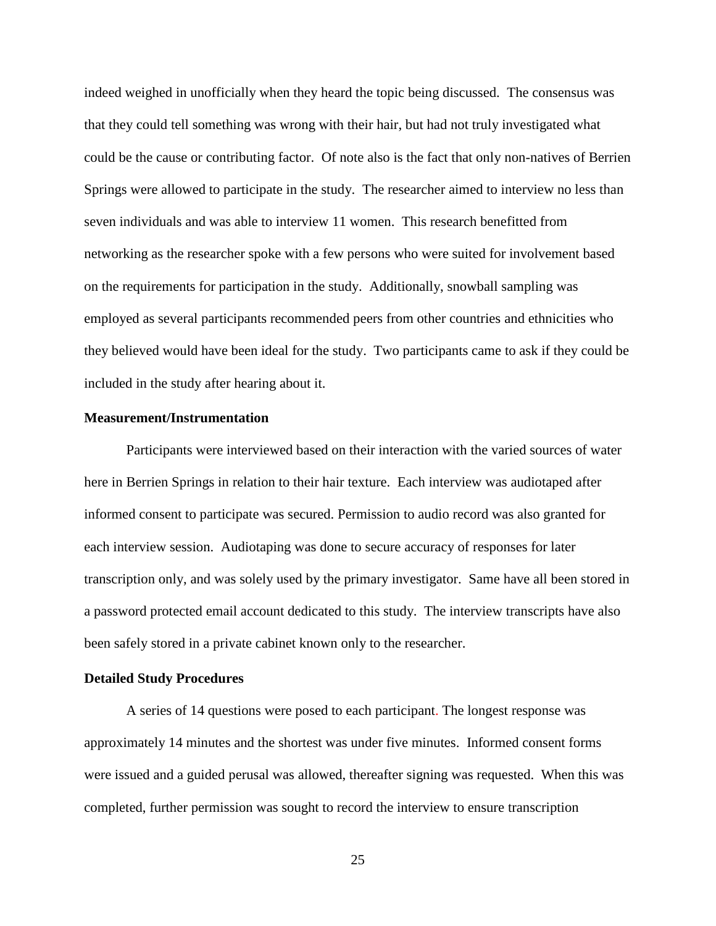indeed weighed in unofficially when they heard the topic being discussed. The consensus was that they could tell something was wrong with their hair, but had not truly investigated what could be the cause or contributing factor. Of note also is the fact that only non-natives of Berrien Springs were allowed to participate in the study. The researcher aimed to interview no less than seven individuals and was able to interview 11 women. This research benefitted from networking as the researcher spoke with a few persons who were suited for involvement based on the requirements for participation in the study. Additionally, snowball sampling was employed as several participants recommended peers from other countries and ethnicities who they believed would have been ideal for the study. Two participants came to ask if they could be included in the study after hearing about it.

#### <span id="page-34-0"></span>**Measurement/Instrumentation**

Participants were interviewed based on their interaction with the varied sources of water here in Berrien Springs in relation to their hair texture. Each interview was audiotaped after informed consent to participate was secured. Permission to audio record was also granted for each interview session. Audiotaping was done to secure accuracy of responses for later transcription only, and was solely used by the primary investigator. Same have all been stored in a password protected email account dedicated to this study. The interview transcripts have also been safely stored in a private cabinet known only to the researcher.

#### <span id="page-34-1"></span>**Detailed Study Procedures**

A series of 14 questions were posed to each participant. The longest response was approximately 14 minutes and the shortest was under five minutes. Informed consent forms were issued and a guided perusal was allowed, thereafter signing was requested. When this was completed, further permission was sought to record the interview to ensure transcription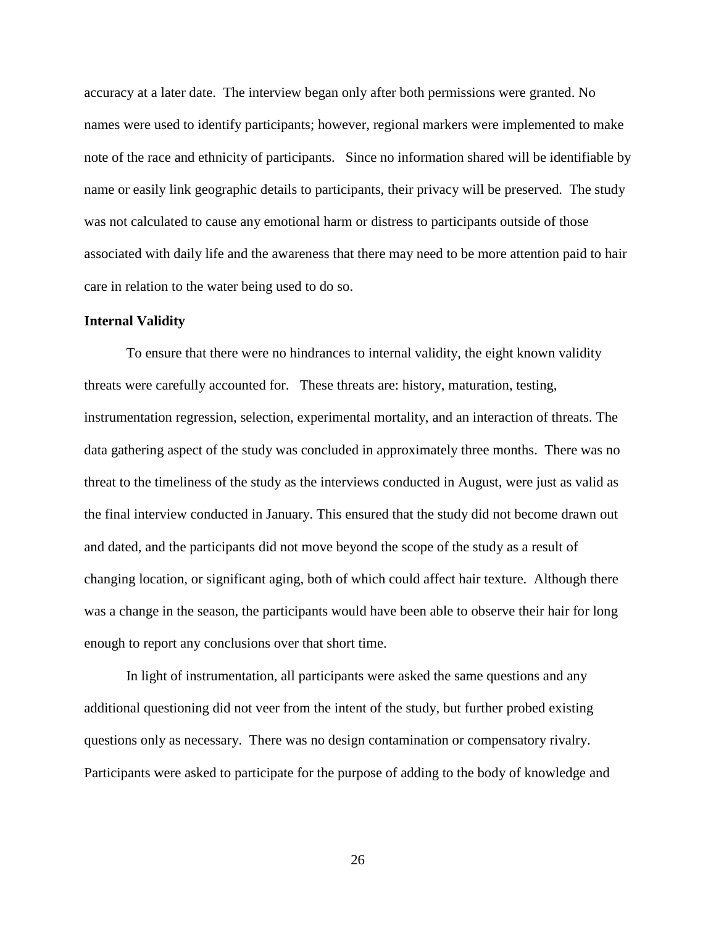accuracy at a later date. The interview began only after both permissions were granted. No names were used to identify participants; however, regional markers were implemented to make note of the race and ethnicity of participants. Since no information shared will be identifiable by name or easily link geographic details to participants, their privacy will be preserved. The study was not calculated to cause any emotional harm or distress to participants outside of those associated with daily life and the awareness that there may need to be more attention paid to hair care in relation to the water being used to do so.

#### <span id="page-35-0"></span>**Internal Validity**

To ensure that there were no hindrances to internal validity, the eight known validity threats were carefully accounted for. These threats are: history, maturation, testing, instrumentation regression, selection, experimental mortality, and an interaction of threats. The data gathering aspect of the study was concluded in approximately three months. There was no threat to the timeliness of the study as the interviews conducted in August, were just as valid as the final interview conducted in January. This ensured that the study did not become drawn out and dated, and the participants did not move beyond the scope of the study as a result of changing location, or significant aging, both of which could affect hair texture. Although there was a change in the season, the participants would have been able to observe their hair for long enough to report any conclusions over that short time.

In light of instrumentation, all participants were asked the same questions and any additional questioning did not veer from the intent of the study, but further probed existing questions only as necessary. There was no design contamination or compensatory rivalry. Participants were asked to participate for the purpose of adding to the body of knowledge and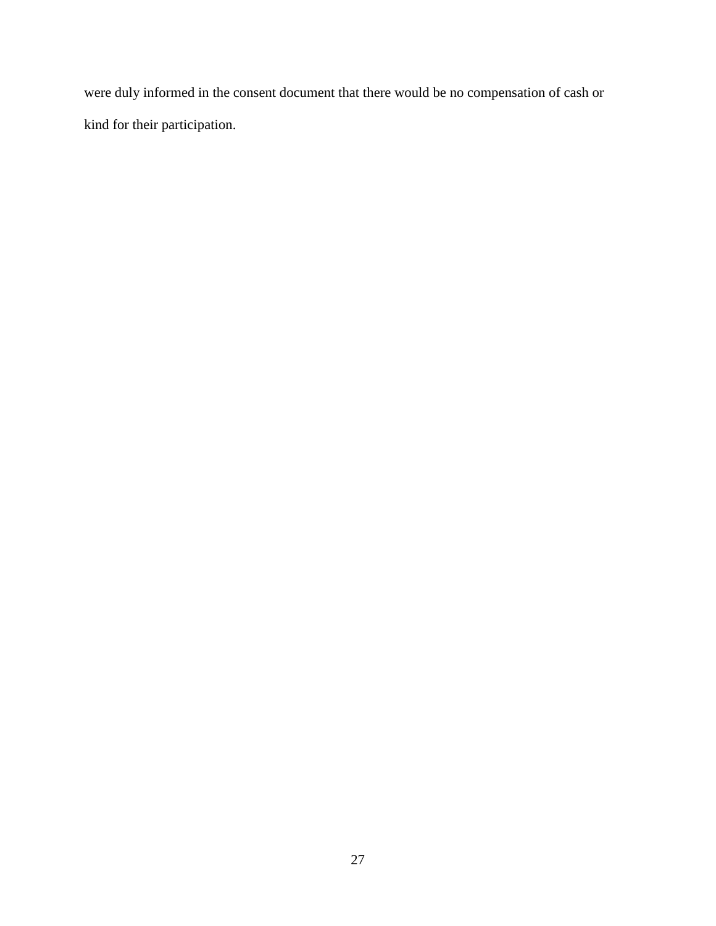were duly informed in the consent document that there would be no compensation of cash or kind for their participation.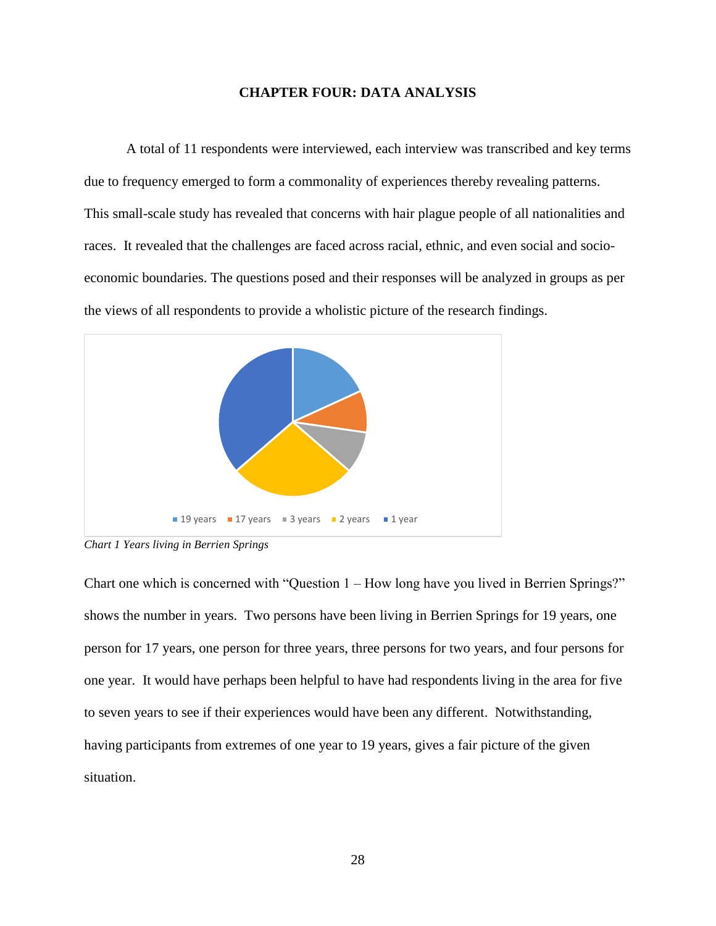#### **CHAPTER FOUR: DATA ANALYSIS**

<span id="page-37-0"></span>A total of 11 respondents were interviewed, each interview was transcribed and key terms due to frequency emerged to form a commonality of experiences thereby revealing patterns. This small-scale study has revealed that concerns with hair plague people of all nationalities and races. It revealed that the challenges are faced across racial, ethnic, and even social and socioeconomic boundaries. The questions posed and their responses will be analyzed in groups as per the views of all respondents to provide a wholistic picture of the research findings.



<span id="page-37-1"></span>*Chart 1 Years living in Berrien Springs*

Chart one which is concerned with "Question 1 – How long have you lived in Berrien Springs?" shows the number in years. Two persons have been living in Berrien Springs for 19 years, one person for 17 years, one person for three years, three persons for two years, and four persons for one year. It would have perhaps been helpful to have had respondents living in the area for five to seven years to see if their experiences would have been any different. Notwithstanding, having participants from extremes of one year to 19 years, gives a fair picture of the given situation.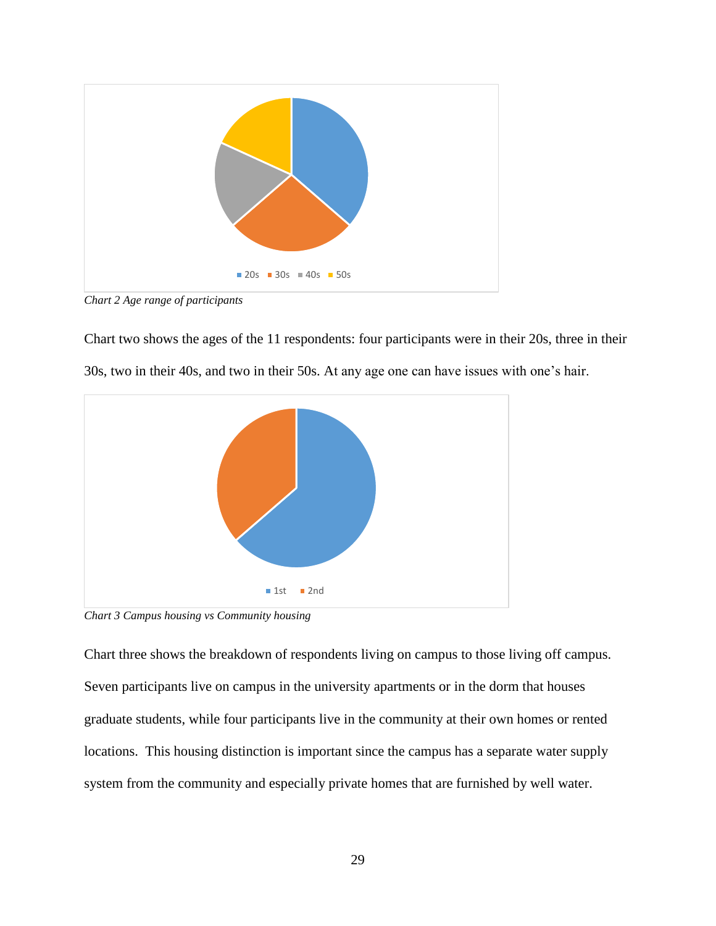

<span id="page-38-0"></span>*Chart 2 Age range of participants*

Chart two shows the ages of the 11 respondents: four participants were in their 20s, three in their 30s, two in their 40s, and two in their 50s. At any age one can have issues with one's hair.



<span id="page-38-1"></span>*Chart 3 Campus housing vs Community housing*

Chart three shows the breakdown of respondents living on campus to those living off campus. Seven participants live on campus in the university apartments or in the dorm that houses graduate students, while four participants live in the community at their own homes or rented locations. This housing distinction is important since the campus has a separate water supply system from the community and especially private homes that are furnished by well water.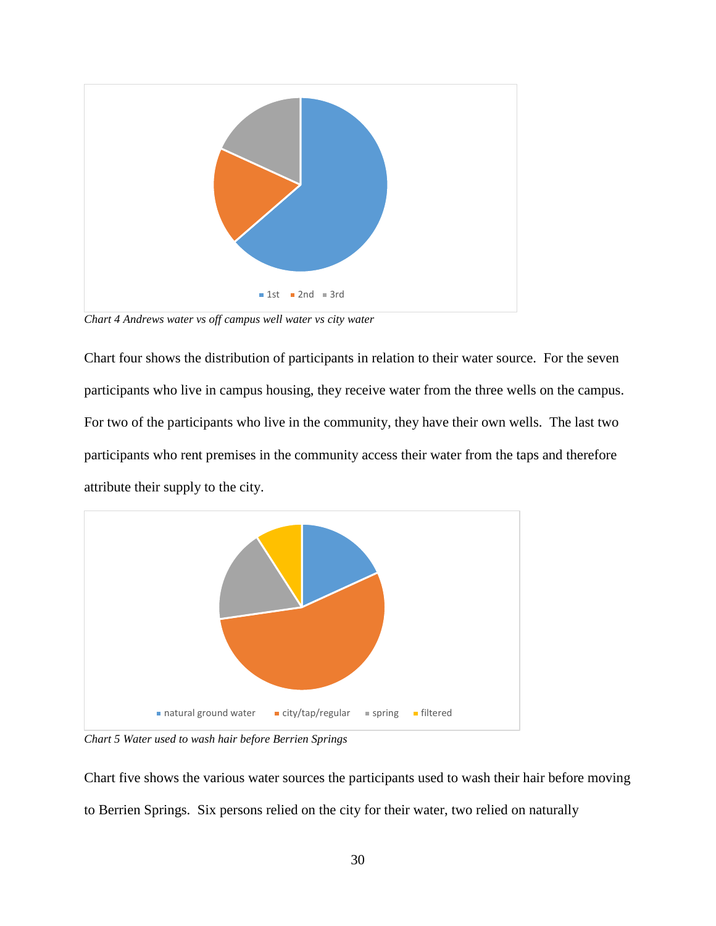

<span id="page-39-0"></span>*Chart 4 Andrews water vs off campus well water vs city water*

Chart four shows the distribution of participants in relation to their water source. For the seven participants who live in campus housing, they receive water from the three wells on the campus. For two of the participants who live in the community, they have their own wells. The last two participants who rent premises in the community access their water from the taps and therefore attribute their supply to the city.



<span id="page-39-1"></span>*Chart 5 Water used to wash hair before Berrien Springs*

Chart five shows the various water sources the participants used to wash their hair before moving to Berrien Springs. Six persons relied on the city for their water, two relied on naturally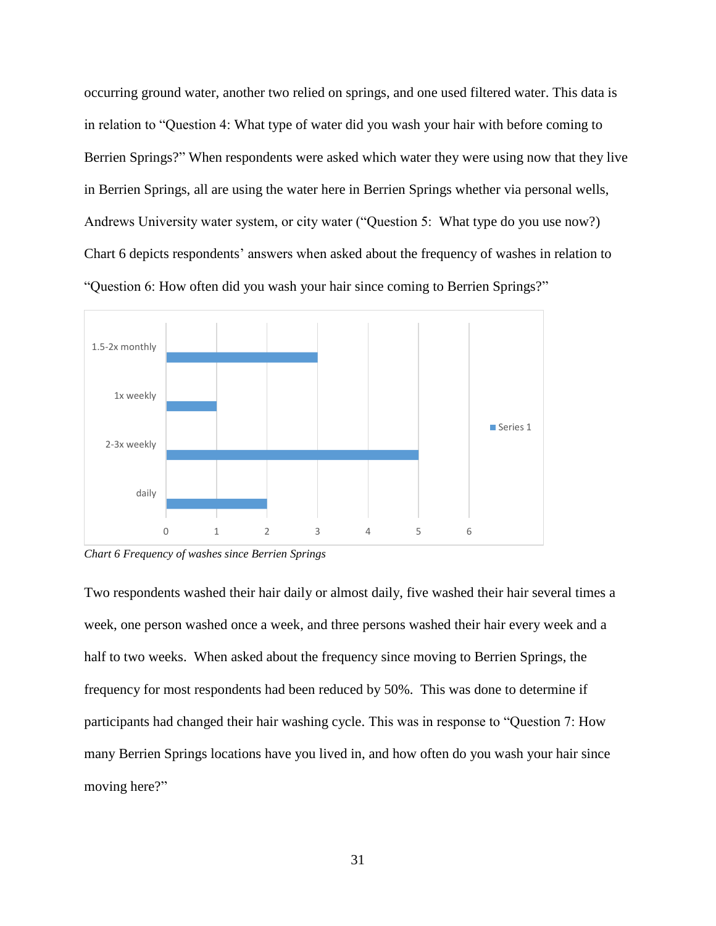occurring ground water, another two relied on springs, and one used filtered water. This data is in relation to "Question 4: What type of water did you wash your hair with before coming to Berrien Springs?" When respondents were asked which water they were using now that they live in Berrien Springs, all are using the water here in Berrien Springs whether via personal wells, Andrews University water system, or city water ("Question 5: What type do you use now?) Chart 6 depicts respondents' answers when asked about the frequency of washes in relation to "Question 6: How often did you wash your hair since coming to Berrien Springs?"



<span id="page-40-0"></span>*Chart 6 Frequency of washes since Berrien Springs*

Two respondents washed their hair daily or almost daily, five washed their hair several times a week, one person washed once a week, and three persons washed their hair every week and a half to two weeks. When asked about the frequency since moving to Berrien Springs, the frequency for most respondents had been reduced by 50%. This was done to determine if participants had changed their hair washing cycle. This was in response to "Question 7: How many Berrien Springs locations have you lived in, and how often do you wash your hair since moving here?"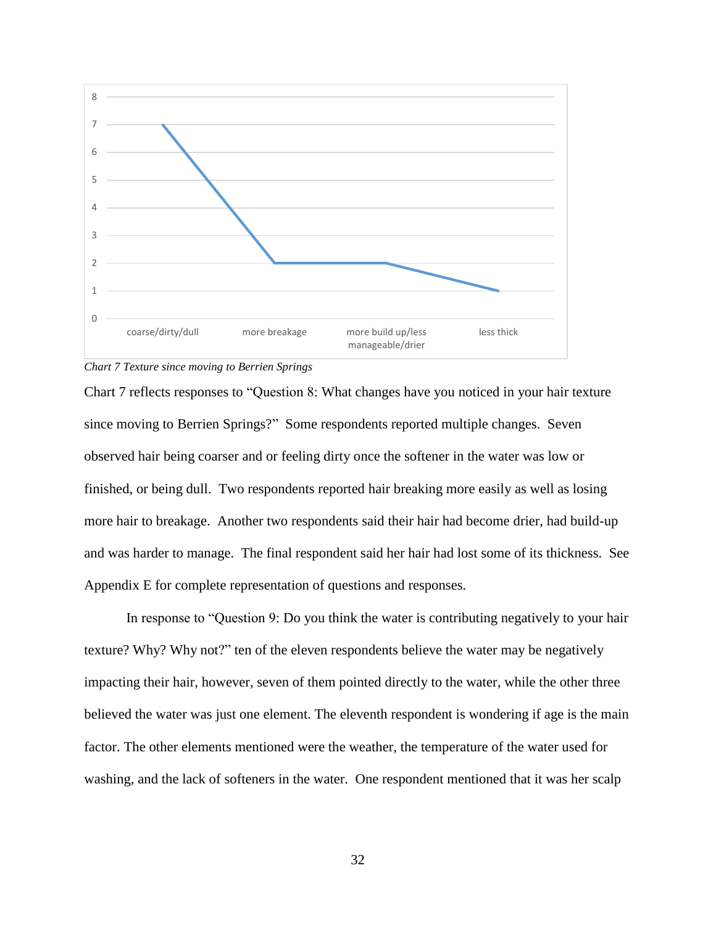

<span id="page-41-0"></span>*Chart 7 Texture since moving to Berrien Springs*

Chart 7 reflects responses to "Question 8: What changes have you noticed in your hair texture since moving to Berrien Springs?" Some respondents reported multiple changes. Seven observed hair being coarser and or feeling dirty once the softener in the water was low or finished, or being dull. Two respondents reported hair breaking more easily as well as losing more hair to breakage. Another two respondents said their hair had become drier, had build-up and was harder to manage. The final respondent said her hair had lost some of its thickness. See Appendix E for complete representation of questions and responses.

In response to "Question 9: Do you think the water is contributing negatively to your hair texture? Why? Why not?" ten of the eleven respondents believe the water may be negatively impacting their hair, however, seven of them pointed directly to the water, while the other three believed the water was just one element. The eleventh respondent is wondering if age is the main factor. The other elements mentioned were the weather, the temperature of the water used for washing, and the lack of softeners in the water. One respondent mentioned that it was her scalp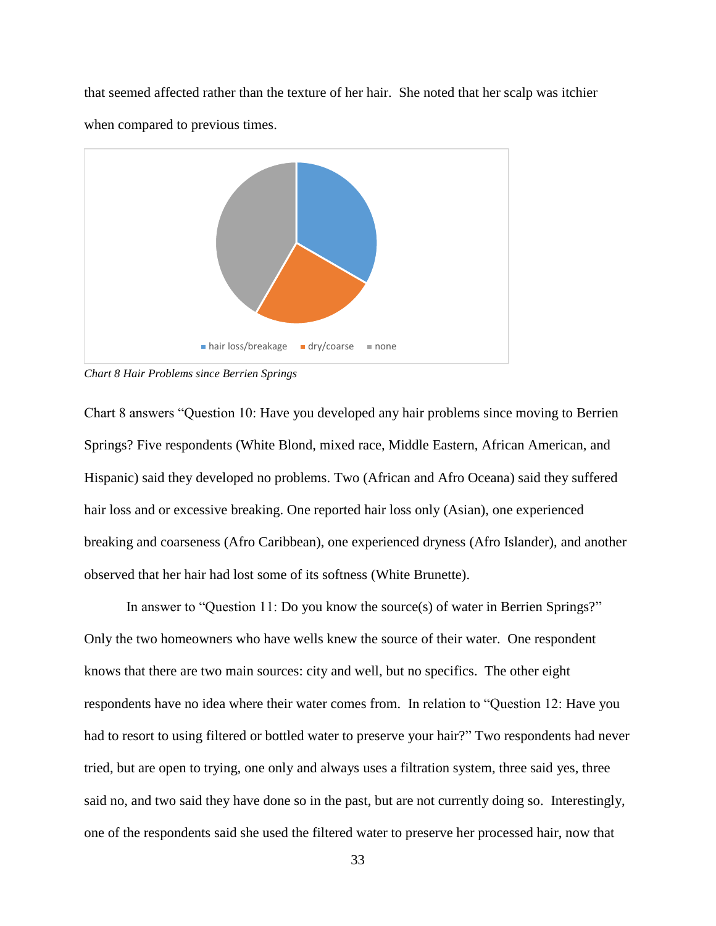that seemed affected rather than the texture of her hair. She noted that her scalp was itchier when compared to previous times.



<span id="page-42-0"></span>*Chart 8 Hair Problems since Berrien Springs*

Chart 8 answers "Question 10: Have you developed any hair problems since moving to Berrien Springs? Five respondents (White Blond, mixed race, Middle Eastern, African American, and Hispanic) said they developed no problems. Two (African and Afro Oceana) said they suffered hair loss and or excessive breaking. One reported hair loss only (Asian), one experienced breaking and coarseness (Afro Caribbean), one experienced dryness (Afro Islander), and another observed that her hair had lost some of its softness (White Brunette).

In answer to "Question 11: Do you know the source(s) of water in Berrien Springs?" Only the two homeowners who have wells knew the source of their water. One respondent knows that there are two main sources: city and well, but no specifics. The other eight respondents have no idea where their water comes from. In relation to "Question 12: Have you had to resort to using filtered or bottled water to preserve your hair?" Two respondents had never tried, but are open to trying, one only and always uses a filtration system, three said yes, three said no, and two said they have done so in the past, but are not currently doing so. Interestingly, one of the respondents said she used the filtered water to preserve her processed hair, now that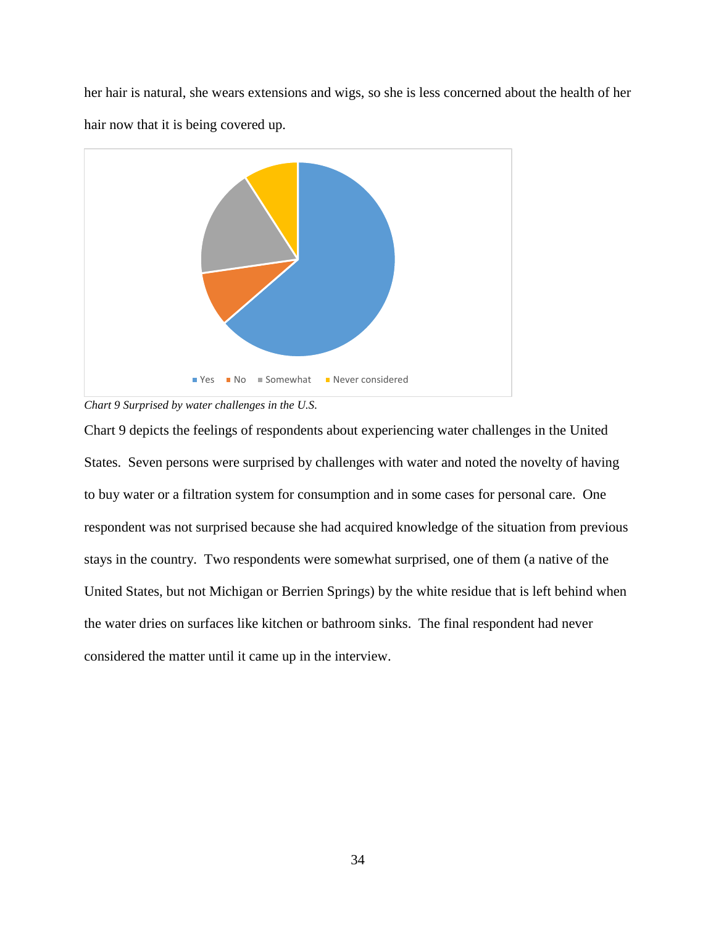her hair is natural, she wears extensions and wigs, so she is less concerned about the health of her hair now that it is being covered up.



<span id="page-43-0"></span>*Chart 9 Surprised by water challenges in the U.S.*

Chart 9 depicts the feelings of respondents about experiencing water challenges in the United States. Seven persons were surprised by challenges with water and noted the novelty of having to buy water or a filtration system for consumption and in some cases for personal care. One respondent was not surprised because she had acquired knowledge of the situation from previous stays in the country. Two respondents were somewhat surprised, one of them (a native of the United States, but not Michigan or Berrien Springs) by the white residue that is left behind when the water dries on surfaces like kitchen or bathroom sinks. The final respondent had never considered the matter until it came up in the interview.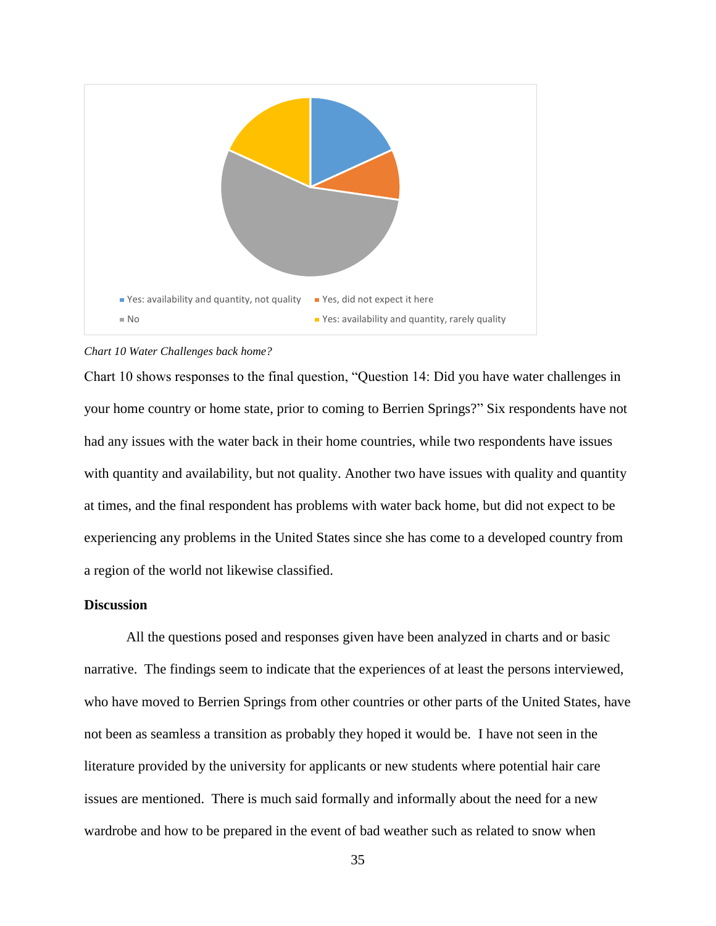

<span id="page-44-1"></span>

Chart 10 shows responses to the final question, "Question 14: Did you have water challenges in your home country or home state, prior to coming to Berrien Springs?" Six respondents have not had any issues with the water back in their home countries, while two respondents have issues with quantity and availability, but not quality. Another two have issues with quality and quantity at times, and the final respondent has problems with water back home, but did not expect to be experiencing any problems in the United States since she has come to a developed country from a region of the world not likewise classified.

#### <span id="page-44-0"></span>**Discussion**

All the questions posed and responses given have been analyzed in charts and or basic narrative. The findings seem to indicate that the experiences of at least the persons interviewed, who have moved to Berrien Springs from other countries or other parts of the United States, have not been as seamless a transition as probably they hoped it would be. I have not seen in the literature provided by the university for applicants or new students where potential hair care issues are mentioned. There is much said formally and informally about the need for a new wardrobe and how to be prepared in the event of bad weather such as related to snow when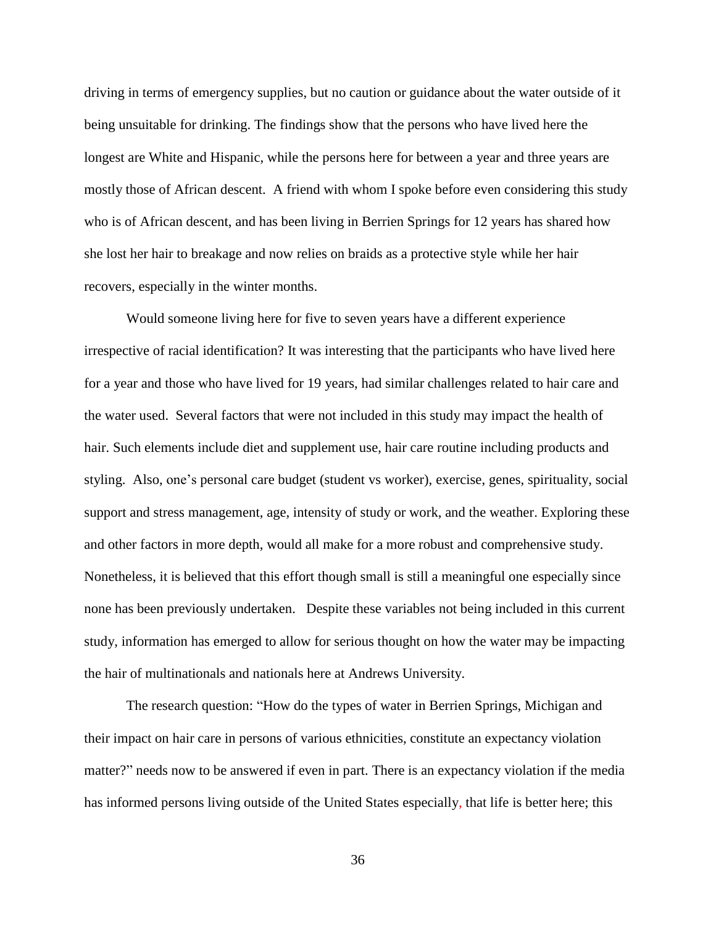driving in terms of emergency supplies, but no caution or guidance about the water outside of it being unsuitable for drinking. The findings show that the persons who have lived here the longest are White and Hispanic, while the persons here for between a year and three years are mostly those of African descent. A friend with whom I spoke before even considering this study who is of African descent, and has been living in Berrien Springs for 12 years has shared how she lost her hair to breakage and now relies on braids as a protective style while her hair recovers, especially in the winter months.

Would someone living here for five to seven years have a different experience irrespective of racial identification? It was interesting that the participants who have lived here for a year and those who have lived for 19 years, had similar challenges related to hair care and the water used. Several factors that were not included in this study may impact the health of hair. Such elements include diet and supplement use, hair care routine including products and styling. Also, one's personal care budget (student vs worker), exercise, genes, spirituality, social support and stress management, age, intensity of study or work, and the weather. Exploring these and other factors in more depth, would all make for a more robust and comprehensive study. Nonetheless, it is believed that this effort though small is still a meaningful one especially since none has been previously undertaken. Despite these variables not being included in this current study, information has emerged to allow for serious thought on how the water may be impacting the hair of multinationals and nationals here at Andrews University.

The research question: "How do the types of water in Berrien Springs, Michigan and their impact on hair care in persons of various ethnicities, constitute an expectancy violation matter?" needs now to be answered if even in part. There is an expectancy violation if the media has informed persons living outside of the United States especially, that life is better here; this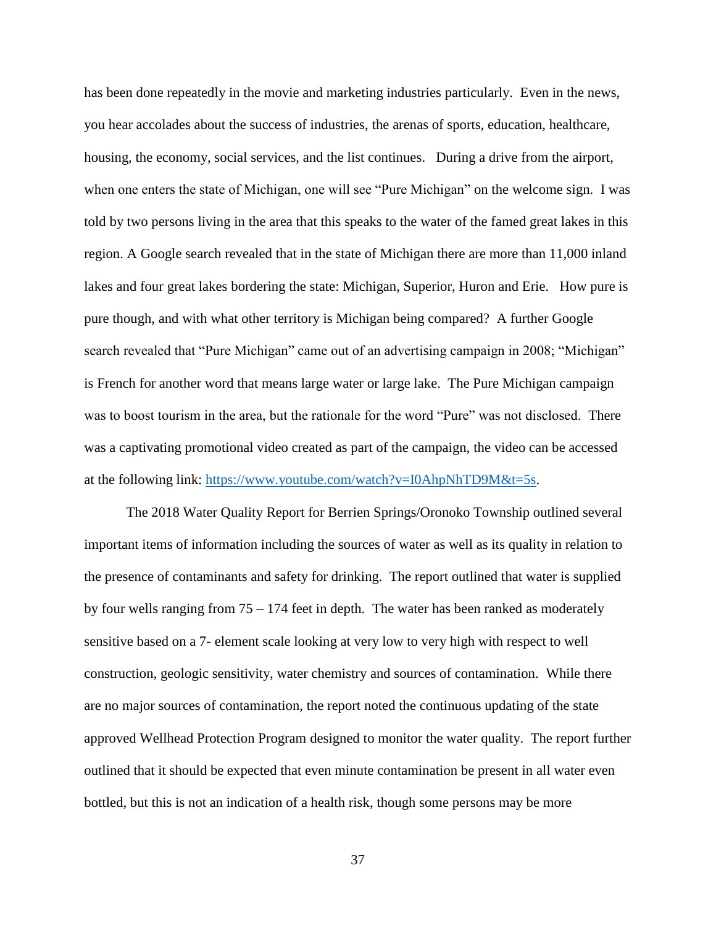has been done repeatedly in the movie and marketing industries particularly. Even in the news, you hear accolades about the success of industries, the arenas of sports, education, healthcare, housing, the economy, social services, and the list continues. During a drive from the airport, when one enters the state of Michigan, one will see "Pure Michigan" on the welcome sign. I was told by two persons living in the area that this speaks to the water of the famed great lakes in this region. A Google search revealed that in the state of Michigan there are more than 11,000 inland lakes and four great lakes bordering the state: Michigan, Superior, Huron and Erie. How pure is pure though, and with what other territory is Michigan being compared? A further Google search revealed that "Pure Michigan" came out of an advertising campaign in 2008; "Michigan" is French for another word that means large water or large lake. The Pure Michigan campaign was to boost tourism in the area, but the rationale for the word "Pure" was not disclosed. There was a captivating promotional video created as part of the campaign, the video can be accessed at the following link: [https://www.youtube.com/watch?v=I0AhpNhTD9M&t=5s.](https://www.youtube.com/watch?v=I0AhpNhTD9M&t=5s)

The 2018 Water Quality Report for Berrien Springs/Oronoko Township outlined several important items of information including the sources of water as well as its quality in relation to the presence of contaminants and safety for drinking. The report outlined that water is supplied by four wells ranging from 75 – 174 feet in depth. The water has been ranked as moderately sensitive based on a 7- element scale looking at very low to very high with respect to well construction, geologic sensitivity, water chemistry and sources of contamination. While there are no major sources of contamination, the report noted the continuous updating of the state approved Wellhead Protection Program designed to monitor the water quality. The report further outlined that it should be expected that even minute contamination be present in all water even bottled, but this is not an indication of a health risk, though some persons may be more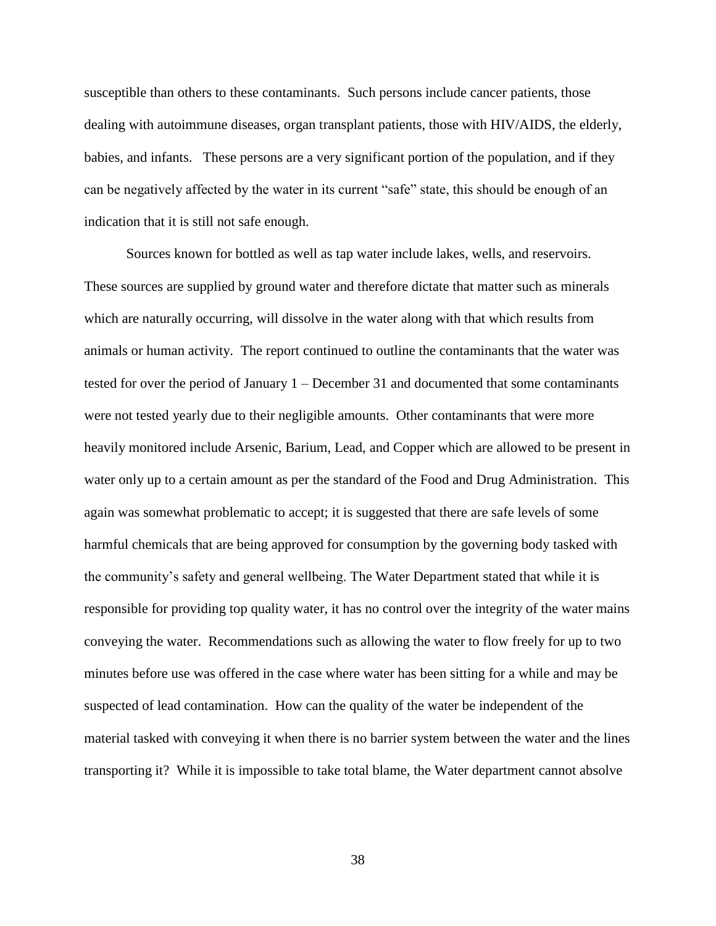susceptible than others to these contaminants. Such persons include cancer patients, those dealing with autoimmune diseases, organ transplant patients, those with HIV/AIDS, the elderly, babies, and infants. These persons are a very significant portion of the population, and if they can be negatively affected by the water in its current "safe" state, this should be enough of an indication that it is still not safe enough.

Sources known for bottled as well as tap water include lakes, wells, and reservoirs. These sources are supplied by ground water and therefore dictate that matter such as minerals which are naturally occurring, will dissolve in the water along with that which results from animals or human activity. The report continued to outline the contaminants that the water was tested for over the period of January 1 – December 31 and documented that some contaminants were not tested yearly due to their negligible amounts. Other contaminants that were more heavily monitored include Arsenic, Barium, Lead, and Copper which are allowed to be present in water only up to a certain amount as per the standard of the Food and Drug Administration. This again was somewhat problematic to accept; it is suggested that there are safe levels of some harmful chemicals that are being approved for consumption by the governing body tasked with the community's safety and general wellbeing. The Water Department stated that while it is responsible for providing top quality water, it has no control over the integrity of the water mains conveying the water. Recommendations such as allowing the water to flow freely for up to two minutes before use was offered in the case where water has been sitting for a while and may be suspected of lead contamination. How can the quality of the water be independent of the material tasked with conveying it when there is no barrier system between the water and the lines transporting it? While it is impossible to take total blame, the Water department cannot absolve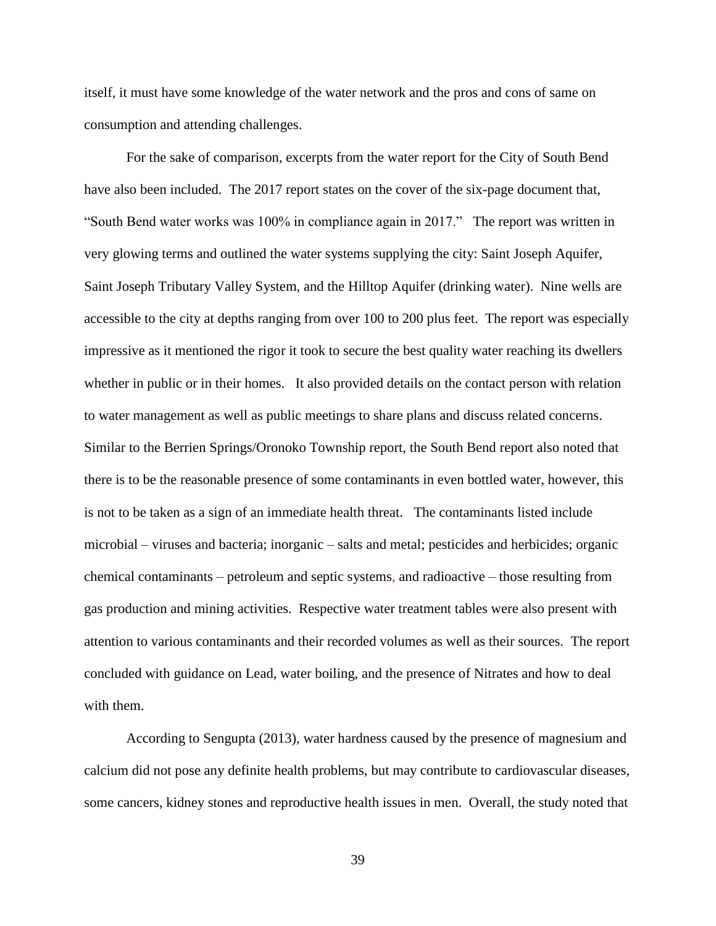itself, it must have some knowledge of the water network and the pros and cons of same on consumption and attending challenges.

For the sake of comparison, excerpts from the water report for the City of South Bend have also been included. The 2017 report states on the cover of the six-page document that, "South Bend water works was 100% in compliance again in 2017." The report was written in very glowing terms and outlined the water systems supplying the city: Saint Joseph Aquifer, Saint Joseph Tributary Valley System, and the Hilltop Aquifer (drinking water). Nine wells are accessible to the city at depths ranging from over 100 to 200 plus feet. The report was especially impressive as it mentioned the rigor it took to secure the best quality water reaching its dwellers whether in public or in their homes. It also provided details on the contact person with relation to water management as well as public meetings to share plans and discuss related concerns. Similar to the Berrien Springs/Oronoko Township report, the South Bend report also noted that there is to be the reasonable presence of some contaminants in even bottled water, however, this is not to be taken as a sign of an immediate health threat. The contaminants listed include microbial – viruses and bacteria; inorganic – salts and metal; pesticides and herbicides; organic chemical contaminants – petroleum and septic systems, and radioactive – those resulting from gas production and mining activities. Respective water treatment tables were also present with attention to various contaminants and their recorded volumes as well as their sources. The report concluded with guidance on Lead, water boiling, and the presence of Nitrates and how to deal with them.

According to Sengupta (2013), water hardness caused by the presence of magnesium and calcium did not pose any definite health problems, but may contribute to cardiovascular diseases, some cancers, kidney stones and reproductive health issues in men. Overall, the study noted that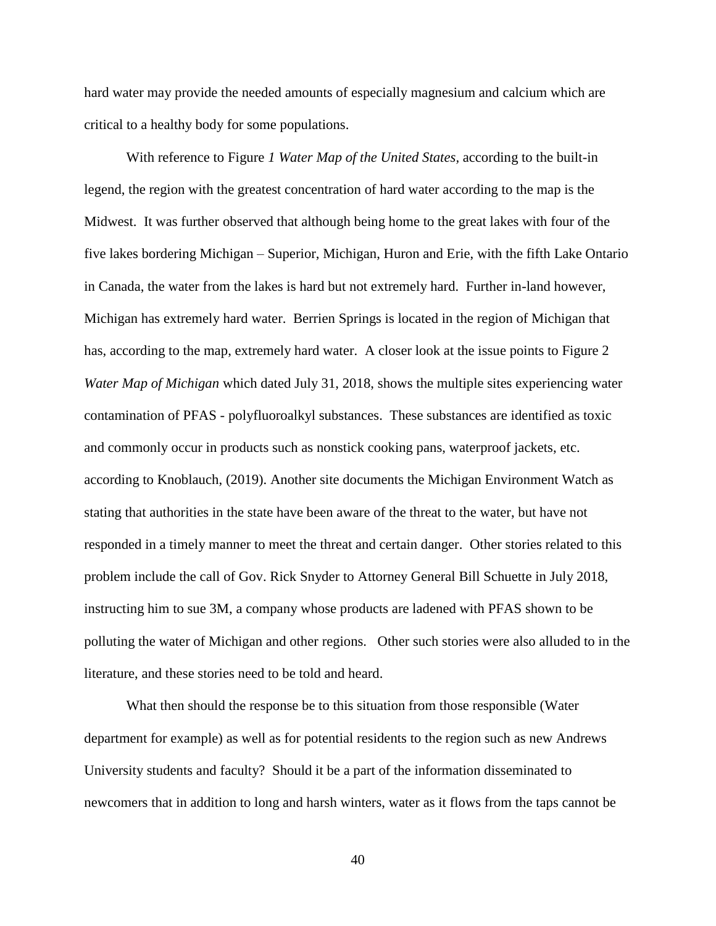hard water may provide the needed amounts of especially magnesium and calcium which are critical to a healthy body for some populations.

With reference to Figure *1 Water Map of the United States,* according to the built-in legend, the region with the greatest concentration of hard water according to the map is the Midwest. It was further observed that although being home to the great lakes with four of the five lakes bordering Michigan – Superior, Michigan, Huron and Erie, with the fifth Lake Ontario in Canada, the water from the lakes is hard but not extremely hard. Further in-land however, Michigan has extremely hard water. Berrien Springs is located in the region of Michigan that has, according to the map, extremely hard water. A closer look at the issue points to Figure 2 *Water Map of Michigan* which dated July 31, 2018, shows the multiple sites experiencing water contamination of PFAS - polyfluoroalkyl substances. These substances are identified as toxic and commonly occur in products such as nonstick cooking pans, waterproof jackets, etc. according to Knoblauch, (2019). Another site documents the Michigan Environment Watch as stating that authorities in the state have been aware of the threat to the water, but have not responded in a timely manner to meet the threat and certain danger. Other stories related to this problem include the call of Gov. Rick Snyder to Attorney General Bill Schuette in July 2018, instructing him to sue 3M, a company whose products are ladened with PFAS shown to be polluting the water of Michigan and other regions. Other such stories were also alluded to in the literature, and these stories need to be told and heard.

What then should the response be to this situation from those responsible (Water department for example) as well as for potential residents to the region such as new Andrews University students and faculty? Should it be a part of the information disseminated to newcomers that in addition to long and harsh winters, water as it flows from the taps cannot be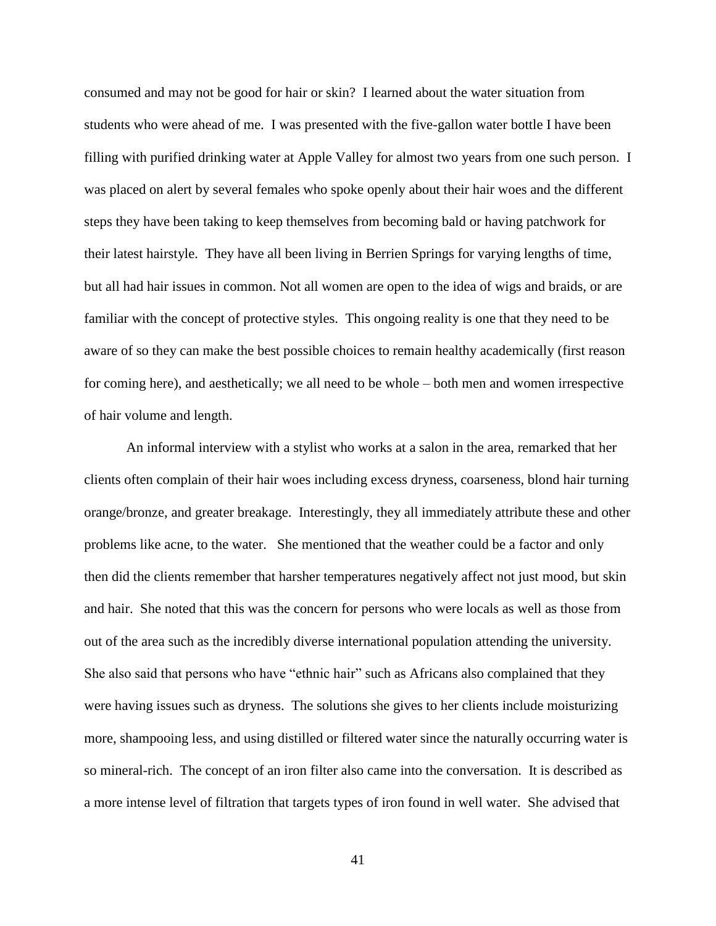consumed and may not be good for hair or skin? I learned about the water situation from students who were ahead of me. I was presented with the five-gallon water bottle I have been filling with purified drinking water at Apple Valley for almost two years from one such person. I was placed on alert by several females who spoke openly about their hair woes and the different steps they have been taking to keep themselves from becoming bald or having patchwork for their latest hairstyle. They have all been living in Berrien Springs for varying lengths of time, but all had hair issues in common. Not all women are open to the idea of wigs and braids, or are familiar with the concept of protective styles. This ongoing reality is one that they need to be aware of so they can make the best possible choices to remain healthy academically (first reason for coming here), and aesthetically; we all need to be whole – both men and women irrespective of hair volume and length.

An informal interview with a stylist who works at a salon in the area, remarked that her clients often complain of their hair woes including excess dryness, coarseness, blond hair turning orange/bronze, and greater breakage. Interestingly, they all immediately attribute these and other problems like acne, to the water. She mentioned that the weather could be a factor and only then did the clients remember that harsher temperatures negatively affect not just mood, but skin and hair. She noted that this was the concern for persons who were locals as well as those from out of the area such as the incredibly diverse international population attending the university. She also said that persons who have "ethnic hair" such as Africans also complained that they were having issues such as dryness. The solutions she gives to her clients include moisturizing more, shampooing less, and using distilled or filtered water since the naturally occurring water is so mineral-rich. The concept of an iron filter also came into the conversation. It is described as a more intense level of filtration that targets types of iron found in well water. She advised that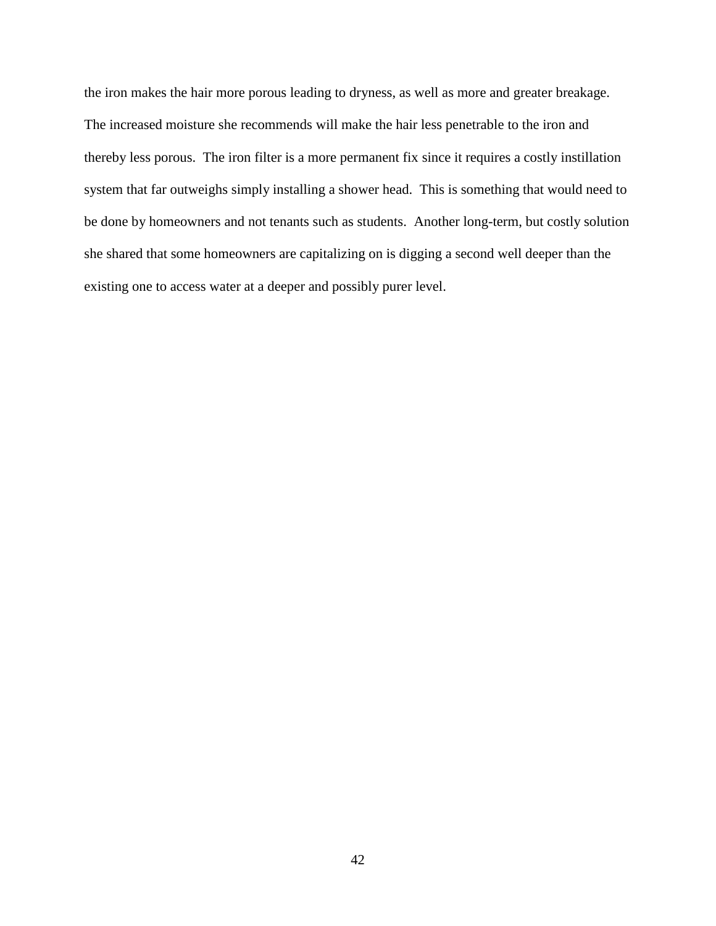the iron makes the hair more porous leading to dryness, as well as more and greater breakage. The increased moisture she recommends will make the hair less penetrable to the iron and thereby less porous. The iron filter is a more permanent fix since it requires a costly instillation system that far outweighs simply installing a shower head. This is something that would need to be done by homeowners and not tenants such as students. Another long-term, but costly solution she shared that some homeowners are capitalizing on is digging a second well deeper than the existing one to access water at a deeper and possibly purer level.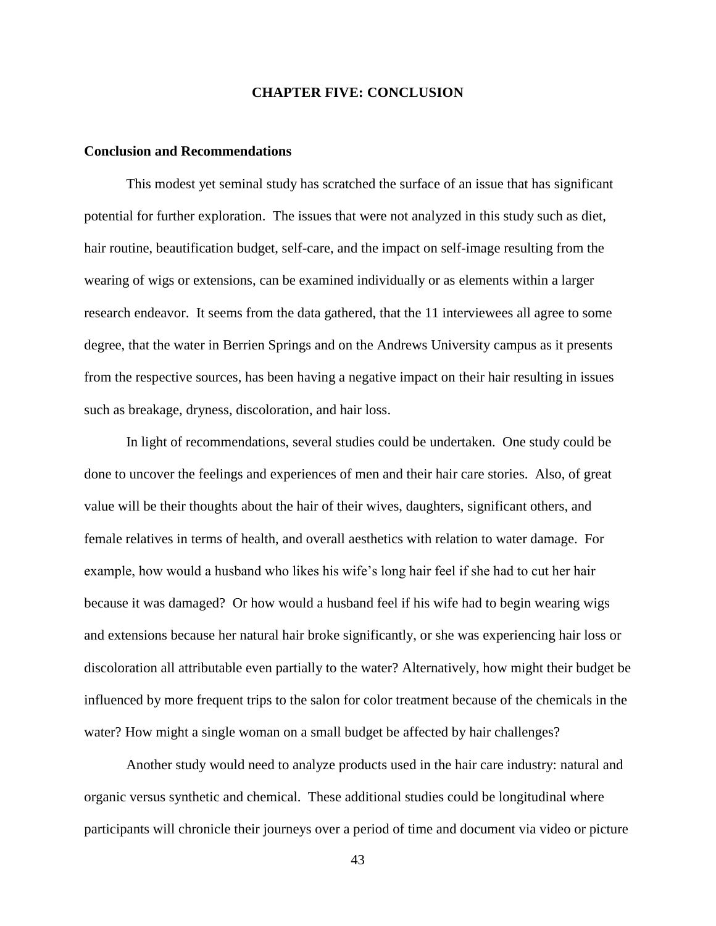#### **CHAPTER FIVE: CONCLUSION**

#### <span id="page-52-1"></span><span id="page-52-0"></span>**Conclusion and Recommendations**

This modest yet seminal study has scratched the surface of an issue that has significant potential for further exploration. The issues that were not analyzed in this study such as diet, hair routine, beautification budget, self-care, and the impact on self-image resulting from the wearing of wigs or extensions, can be examined individually or as elements within a larger research endeavor. It seems from the data gathered, that the 11 interviewees all agree to some degree, that the water in Berrien Springs and on the Andrews University campus as it presents from the respective sources, has been having a negative impact on their hair resulting in issues such as breakage, dryness, discoloration, and hair loss.

In light of recommendations, several studies could be undertaken. One study could be done to uncover the feelings and experiences of men and their hair care stories. Also, of great value will be their thoughts about the hair of their wives, daughters, significant others, and female relatives in terms of health, and overall aesthetics with relation to water damage. For example, how would a husband who likes his wife's long hair feel if she had to cut her hair because it was damaged? Or how would a husband feel if his wife had to begin wearing wigs and extensions because her natural hair broke significantly, or she was experiencing hair loss or discoloration all attributable even partially to the water? Alternatively, how might their budget be influenced by more frequent trips to the salon for color treatment because of the chemicals in the water? How might a single woman on a small budget be affected by hair challenges?

Another study would need to analyze products used in the hair care industry: natural and organic versus synthetic and chemical. These additional studies could be longitudinal where participants will chronicle their journeys over a period of time and document via video or picture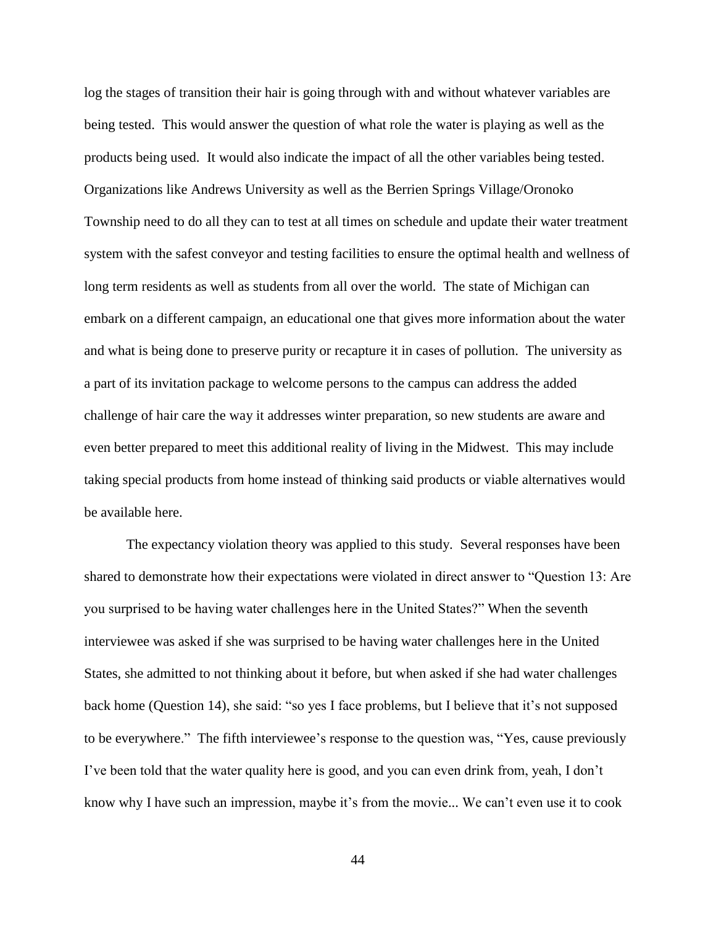log the stages of transition their hair is going through with and without whatever variables are being tested. This would answer the question of what role the water is playing as well as the products being used. It would also indicate the impact of all the other variables being tested. Organizations like Andrews University as well as the Berrien Springs Village/Oronoko Township need to do all they can to test at all times on schedule and update their water treatment system with the safest conveyor and testing facilities to ensure the optimal health and wellness of long term residents as well as students from all over the world. The state of Michigan can embark on a different campaign, an educational one that gives more information about the water and what is being done to preserve purity or recapture it in cases of pollution. The university as a part of its invitation package to welcome persons to the campus can address the added challenge of hair care the way it addresses winter preparation, so new students are aware and even better prepared to meet this additional reality of living in the Midwest. This may include taking special products from home instead of thinking said products or viable alternatives would be available here.

The expectancy violation theory was applied to this study. Several responses have been shared to demonstrate how their expectations were violated in direct answer to "Question 13: Are you surprised to be having water challenges here in the United States?" When the seventh interviewee was asked if she was surprised to be having water challenges here in the United States, she admitted to not thinking about it before, but when asked if she had water challenges back home (Question 14), she said: "so yes I face problems, but I believe that it's not supposed to be everywhere." The fifth interviewee's response to the question was, "Yes, cause previously I've been told that the water quality here is good, and you can even drink from, yeah, I don't know why I have such an impression, maybe it's from the movie... We can't even use it to cook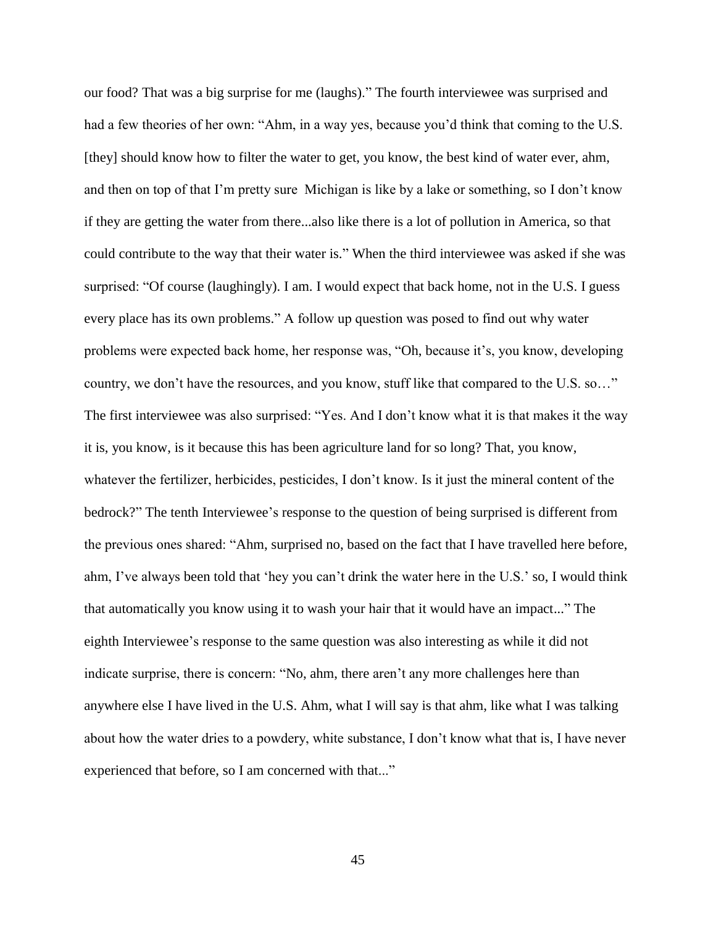our food? That was a big surprise for me (laughs)." The fourth interviewee was surprised and had a few theories of her own: "Ahm, in a way yes, because you'd think that coming to the U.S. [they] should know how to filter the water to get, you know, the best kind of water ever, ahm, and then on top of that I'm pretty sure Michigan is like by a lake or something, so I don't know if they are getting the water from there...also like there is a lot of pollution in America, so that could contribute to the way that their water is." When the third interviewee was asked if she was surprised: "Of course (laughingly). I am. I would expect that back home, not in the U.S. I guess every place has its own problems." A follow up question was posed to find out why water problems were expected back home, her response was, "Oh, because it's, you know, developing country, we don't have the resources, and you know, stuff like that compared to the U.S. so…" The first interviewee was also surprised: "Yes. And I don't know what it is that makes it the way it is, you know, is it because this has been agriculture land for so long? That, you know, whatever the fertilizer, herbicides, pesticides, I don't know. Is it just the mineral content of the bedrock?" The tenth Interviewee's response to the question of being surprised is different from the previous ones shared: "Ahm, surprised no, based on the fact that I have travelled here before, ahm, I've always been told that 'hey you can't drink the water here in the U.S.' so, I would think that automatically you know using it to wash your hair that it would have an impact..." The eighth Interviewee's response to the same question was also interesting as while it did not indicate surprise, there is concern: "No, ahm, there aren't any more challenges here than anywhere else I have lived in the U.S. Ahm, what I will say is that ahm, like what I was talking about how the water dries to a powdery, white substance, I don't know what that is, I have never experienced that before, so I am concerned with that..."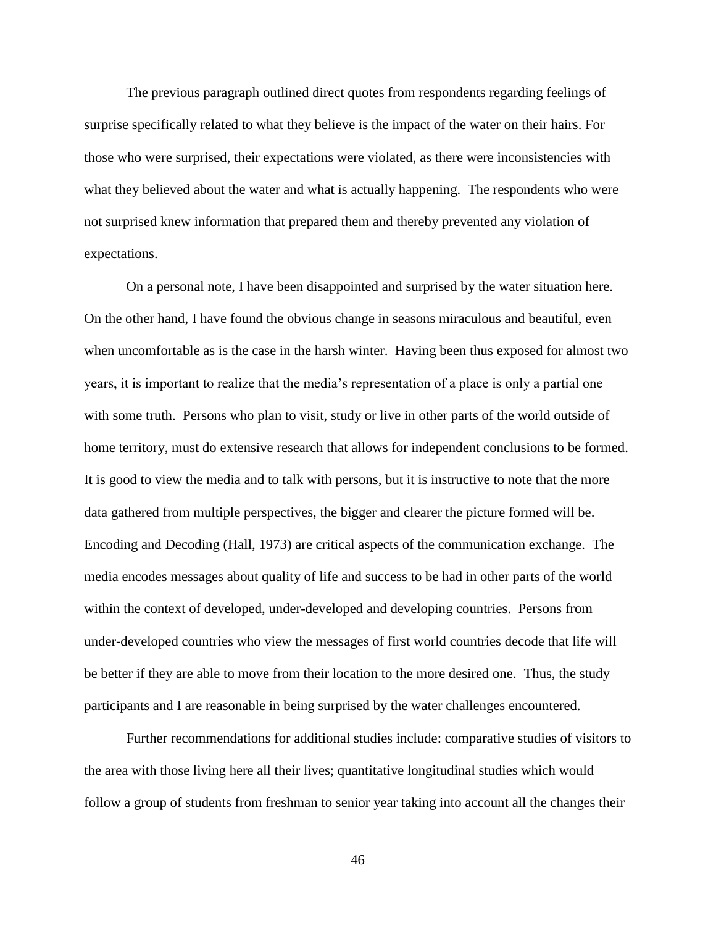The previous paragraph outlined direct quotes from respondents regarding feelings of surprise specifically related to what they believe is the impact of the water on their hairs. For those who were surprised, their expectations were violated, as there were inconsistencies with what they believed about the water and what is actually happening. The respondents who were not surprised knew information that prepared them and thereby prevented any violation of expectations.

On a personal note, I have been disappointed and surprised by the water situation here. On the other hand, I have found the obvious change in seasons miraculous and beautiful, even when uncomfortable as is the case in the harsh winter. Having been thus exposed for almost two years, it is important to realize that the media's representation of a place is only a partial one with some truth. Persons who plan to visit, study or live in other parts of the world outside of home territory, must do extensive research that allows for independent conclusions to be formed. It is good to view the media and to talk with persons, but it is instructive to note that the more data gathered from multiple perspectives, the bigger and clearer the picture formed will be. Encoding and Decoding (Hall, 1973) are critical aspects of the communication exchange. The media encodes messages about quality of life and success to be had in other parts of the world within the context of developed, under-developed and developing countries. Persons from under-developed countries who view the messages of first world countries decode that life will be better if they are able to move from their location to the more desired one. Thus, the study participants and I are reasonable in being surprised by the water challenges encountered.

Further recommendations for additional studies include: comparative studies of visitors to the area with those living here all their lives; quantitative longitudinal studies which would follow a group of students from freshman to senior year taking into account all the changes their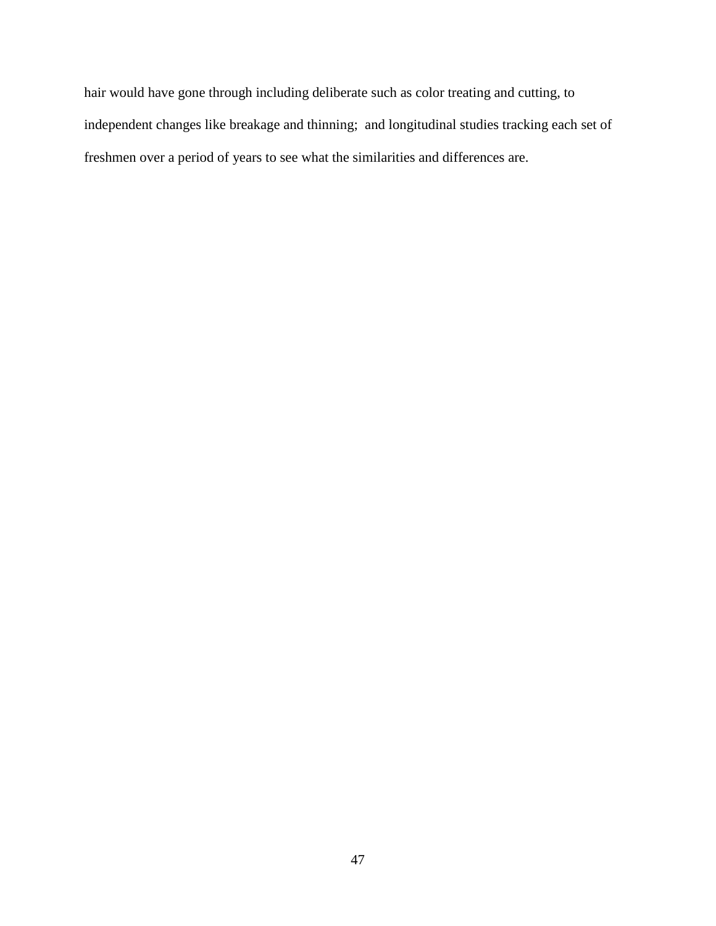hair would have gone through including deliberate such as color treating and cutting, to independent changes like breakage and thinning; and longitudinal studies tracking each set of freshmen over a period of years to see what the similarities and differences are.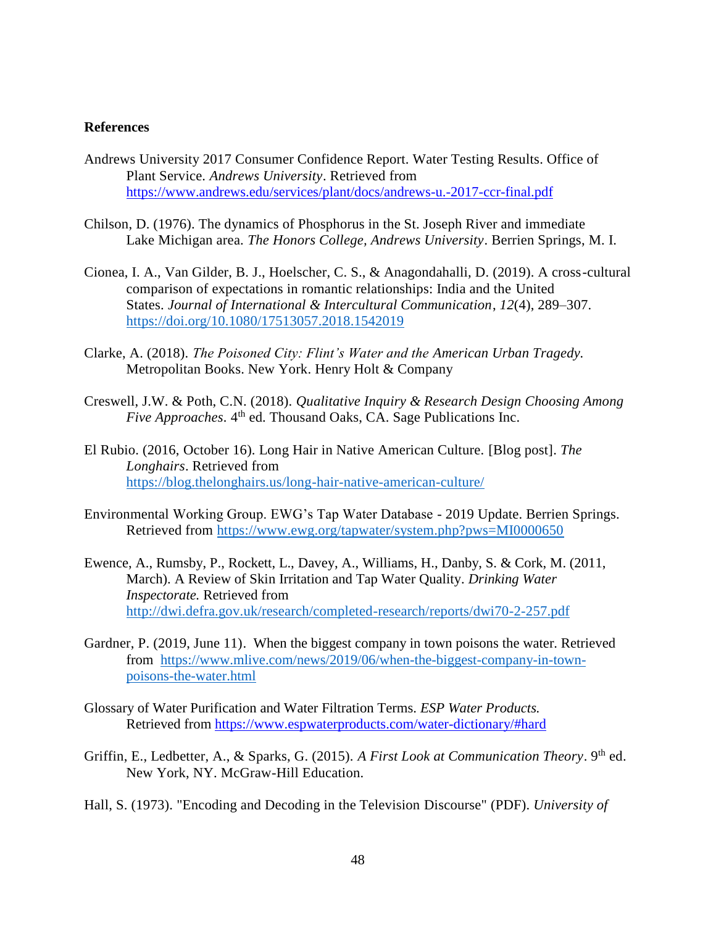#### <span id="page-57-0"></span>**References**

- Andrews University 2017 Consumer Confidence Report. Water Testing Results. Office of Plant Service. *Andrews University*. Retrieved from <https://www.andrews.edu/services/plant/docs/andrews-u.-2017-ccr-final.pdf>
- Chilson, D. (1976). The dynamics of Phosphorus in the St. Joseph River and immediate Lake Michigan area. *The Honors College, Andrews University*. Berrien Springs, M. I.
- Cionea, I. A., Van Gilder, B. J., Hoelscher, C. S., & Anagondahalli, D. (2019). A cross-cultural comparison of expectations in romantic relationships: India and the United States. *Journal of International & Intercultural Communication*, *12*(4), 289–307. <https://doi.org/10.1080/17513057.2018.1542019>
- Clarke, A. (2018). *The Poisoned City: Flint's Water and the American Urban Tragedy.* Metropolitan Books. New York. Henry Holt & Company
- Creswell, J.W. & Poth, C.N. (2018). *Qualitative Inquiry & Research Design Choosing Among* Five Approaches. 4<sup>th</sup> ed. Thousand Oaks, CA. Sage Publications Inc.
- El Rubio. (2016, October 16). Long Hair in Native American Culture. [Blog post]. *The Longhairs*. Retrieved from <https://blog.thelonghairs.us/long-hair-native-american-culture/>
- Environmental Working Group. EWG's Tap Water Database 2019 Update. Berrien Springs. Retrieved from<https://www.ewg.org/tapwater/system.php?pws=MI0000650>
- Ewence, A., Rumsby, P., Rockett, L., Davey, A., Williams, H., Danby, S. & Cork, M. (2011, March). A Review of Skin Irritation and Tap Water Quality. *Drinking Water Inspectorate.* Retrieved from <http://dwi.defra.gov.uk/research/completed-research/reports/dwi70-2-257.pdf>
- Gardner, P. (2019, June 11). When the biggest company in town poisons the water. Retrieved from [https://www.mlive.com/news/2019/06/when-the-biggest-company-in-town](https://www.mlive.com/news/2019/06/when-the-biggest-company-in-town-poisons-the-water.html)[poisons-the-water.html](https://www.mlive.com/news/2019/06/when-the-biggest-company-in-town-poisons-the-water.html)
- Glossary of Water Purification and Water Filtration Terms. *ESP Water Products.* Retrieved from<https://www.espwaterproducts.com/water-dictionary/#hard>
- Griffin, E., Ledbetter, A., & Sparks, G. (2015). *A First Look at Communication Theory*. 9<sup>th</sup> ed. New York, NY. McGraw-Hill Education.
- Hall, S. (1973). ["Encoding and Decoding in the Television Discourse"](https://www.birmingham.ac.uk/Documents/college-artslaw/history/cccs/stencilled-occasional-papers/1to8and11to24and38to48/SOP07.pdf) (PDF). *University of*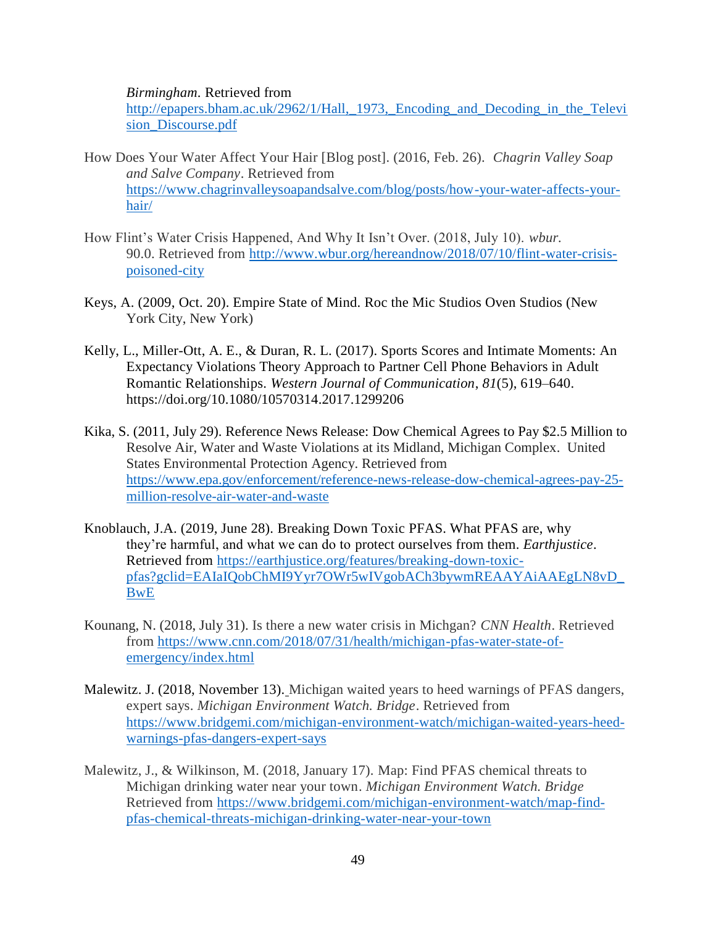*Birmingham.* Retrieved from

[http://epapers.bham.ac.uk/2962/1/Hall,\\_1973,\\_Encoding\\_and\\_Decoding\\_in\\_the\\_Televi](http://epapers.bham.ac.uk/2962/1/Hall,_1973,_Encoding_and_Decoding_in_the_Television_Discourse.pdf) [sion\\_Discourse.pdf](http://epapers.bham.ac.uk/2962/1/Hall,_1973,_Encoding_and_Decoding_in_the_Television_Discourse.pdf)

- How Does Your Water Affect Your Hair [Blog post]. (2016, Feb. 26). *Chagrin Valley Soap and Salve Company*. Retrieved from [https://www.chagrinvalleysoapandsalve.com/blog/posts/how-your-water-affects-your](https://www.chagrinvalleysoapandsalve.com/blog/posts/how-your-water-affects-your-hair/)[hair/](https://www.chagrinvalleysoapandsalve.com/blog/posts/how-your-water-affects-your-hair/)
- How Flint's Water Crisis Happened, And Why It Isn't Over. (2018, July 10). *wbur.* 90.0. Retrieved from [http://www.wbur.org/hereandnow/2018/07/10/flint-water-crisis](http://www.wbur.org/hereandnow/2018/07/10/flint-water-crisis-poisoned-city)[poisoned-city](http://www.wbur.org/hereandnow/2018/07/10/flint-water-crisis-poisoned-city)
- Keys, A. (2009, Oct. 20). Empire State of Mind. Roc the Mic Studios Oven Studios (New York City, New York)
- Kelly, L., Miller-Ott, A. E., & Duran, R. L. (2017). Sports Scores and Intimate Moments: An Expectancy Violations Theory Approach to Partner Cell Phone Behaviors in Adult Romantic Relationships. *Western Journal of Communication*, *81*(5), 619–640. <https://doi.org/10.1080/10570314.2017.1299206>
- Kika, S. (2011, July 29). Reference News Release: Dow Chemical Agrees to Pay \$2.5 Million to Resolve Air, Water and Waste Violations at its Midland, Michigan Complex. United States Environmental Protection Agency. Retrieved from [https://www.epa.gov/enforcement/reference-news-release-dow-chemical-agrees-pay-25](https://www.epa.gov/enforcement/reference-news-release-dow-chemical-agrees-pay-25-million-resolve-air-water-and-waste) [million-resolve-air-water-and-waste](https://www.epa.gov/enforcement/reference-news-release-dow-chemical-agrees-pay-25-million-resolve-air-water-and-waste)
- Knoblauch, J.A. (2019, June 28). Breaking Down Toxic PFAS. What PFAS are, why they're harmful, and what we can do to protect ourselves from them. *Earthjustice*. Retrieved from [https://earthjustice.org/features/breaking-down-toxic](https://earthjustice.org/features/breaking-down-toxic-pfas?gclid=EAIaIQobChMI9Yyr7OWr5wIVgobACh3bywmREAAYAiAAEgLN8vD_BwE)[pfas?gclid=EAIaIQobChMI9Yyr7OWr5wIVgobACh3bywmREAAYAiAAEgLN8vD\\_](https://earthjustice.org/features/breaking-down-toxic-pfas?gclid=EAIaIQobChMI9Yyr7OWr5wIVgobACh3bywmREAAYAiAAEgLN8vD_BwE) [BwE](https://earthjustice.org/features/breaking-down-toxic-pfas?gclid=EAIaIQobChMI9Yyr7OWr5wIVgobACh3bywmREAAYAiAAEgLN8vD_BwE)
- Kounang, N. (2018, July 31). Is there a new water crisis in Michgan? *CNN Health*. Retrieved from [https://www.cnn.com/2018/07/31/health/michigan-pfas-water-state-of](https://www.cnn.com/2018/07/31/health/michigan-pfas-water-state-of-emergency/index.html)[emergency/index.html](https://www.cnn.com/2018/07/31/health/michigan-pfas-water-state-of-emergency/index.html)
- Malewitz. J. (2018, November 13). Michigan waited years to heed warnings of PFAS dangers, expert says. *Michigan Environment Watch. Bridge*. Retrieved from [https://www.bridgemi.com/michigan-environment-watch/michigan-waited-years-heed](https://www.bridgemi.com/michigan-environment-watch/michigan-waited-years-heed-warnings-pfas-dangers-expert-says)[warnings-pfas-dangers-expert-says](https://www.bridgemi.com/michigan-environment-watch/michigan-waited-years-heed-warnings-pfas-dangers-expert-says)
- Malewitz, J., & Wilkinson, M. (2018, January 17). Map: Find PFAS chemical threats to Michigan drinking water near your town. *Michigan Environment Watch. Bridge* Retrieved from [https://www.bridgemi.com/michigan-environment-watch/map-find](https://www.bridgemi.com/michigan-environment-watch/map-find-pfas-chemical-threats-michigan-drinking-water-near-your-town)[pfas-chemical-threats-michigan-drinking-water-near-your-town](https://www.bridgemi.com/michigan-environment-watch/map-find-pfas-chemical-threats-michigan-drinking-water-near-your-town)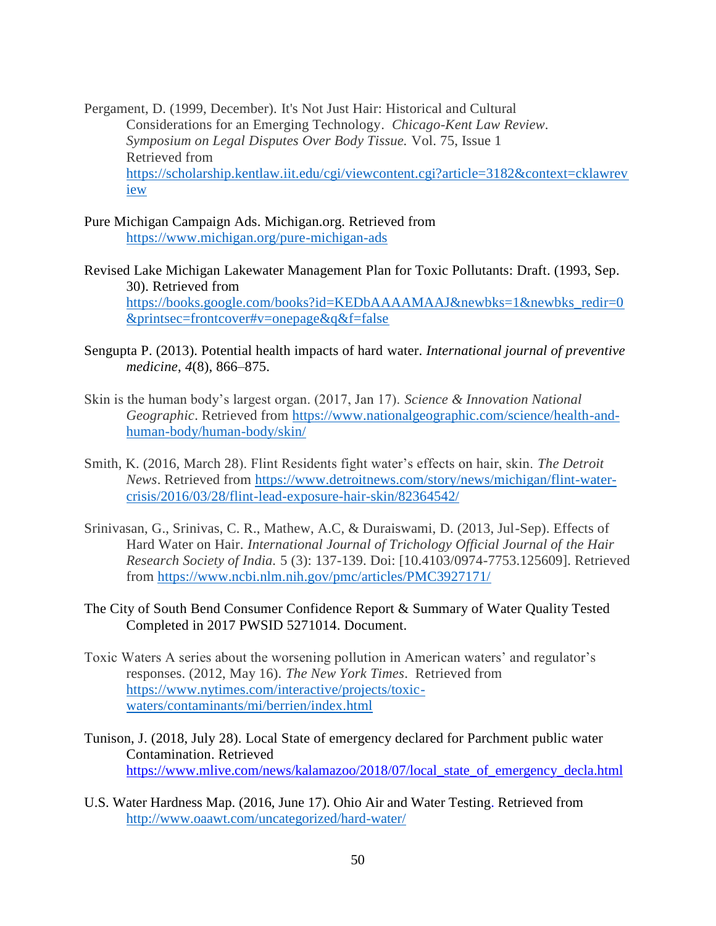Pergament, D. (1999, December). It's Not Just Hair: Historical and Cultural Considerations for an Emerging Technology. *Chicago-Kent Law Review. Symposium on Legal Disputes Over Body Tissue.* Vol. 75, Issue 1 Retrieved from [https://scholarship.kentlaw.iit.edu/cgi/viewcontent.cgi?article=3182&context=cklawrev](https://scholarship.kentlaw.iit.edu/cgi/viewcontent.cgi?article=3182&context=cklawreview) [iew](https://scholarship.kentlaw.iit.edu/cgi/viewcontent.cgi?article=3182&context=cklawreview)

- Pure Michigan Campaign Ads. Michigan.org. Retrieved from <https://www.michigan.org/pure-michigan-ads>
- Revised Lake Michigan Lakewater Management Plan for Toxic Pollutants: Draft. (1993, Sep. 30). Retrieved from [https://books.google.com/books?id=KEDbAAAAMAAJ&newbks=1&newbks\\_redir=0](https://books.google.com/books?id=KEDbAAAAMAAJ&newbks=1&newbks_redir=0&printsec=frontcover#v=onepage&q&f=false) [&printsec=frontcover#v=onepage&q&f=false](https://books.google.com/books?id=KEDbAAAAMAAJ&newbks=1&newbks_redir=0&printsec=frontcover#v=onepage&q&f=false)
- Sengupta P. (2013). Potential health impacts of hard water. *International journal of preventive medicine*, *4*(8), 866–875.
- Skin is the human body's largest organ. (2017, Jan 17). *Science & Innovation National Geographic*. Retrieved from [https://www.nationalgeographic.com/science/health-and](https://www.nationalgeographic.com/science/health-and-human-body/human-body/skin/)[human-body/human-body/skin/](https://www.nationalgeographic.com/science/health-and-human-body/human-body/skin/)
- Smith, K. (2016, March 28). Flint Residents fight water's effects on hair, skin. *The Detroit News*. Retrieved from [https://www.detroitnews.com/story/news/michigan/flint-water](https://www.detroitnews.com/story/news/michigan/flint-water-crisis/2016/03/28/flint-lead-exposure-hair-skin/82364542/)[crisis/2016/03/28/flint-lead-exposure-hair-skin/82364542/](https://www.detroitnews.com/story/news/michigan/flint-water-crisis/2016/03/28/flint-lead-exposure-hair-skin/82364542/)
- Srinivasan, G., Srinivas, C. R., Mathew, A.C, & Duraiswami, D. (2013, Jul-Sep). Effects of Hard Water on Hair. *International Journal of Trichology Official Journal of the Hair Research Society of India.* 5 (3): 137-139. Doi: [10.4103/0974-7753.125609]. Retrieved from<https://www.ncbi.nlm.nih.gov/pmc/articles/PMC3927171/>
- The City of South Bend Consumer Confidence Report & Summary of Water Quality Tested Completed in 2017 PWSID 5271014. Document.
- Toxic Waters A series about the worsening pollution in American waters' and regulator's responses. (2012, May 16). *The New York Times*. Retrieved from [https://www.nytimes.com/interactive/projects/toxic](https://www.nytimes.com/interactive/projects/toxic-waters/contaminants/mi/berrien/index.html)[waters/contaminants/mi/berrien/index.html](https://www.nytimes.com/interactive/projects/toxic-waters/contaminants/mi/berrien/index.html)
- Tunison, J. (2018, July 28). Local State of emergency declared for Parchment public water Contamination. Retrieved [https://www.mlive.com/news/kalamazoo/2018/07/local\\_state\\_of\\_emergency\\_decla.html](https://www.mlive.com/news/kalamazoo/2018/07/local_state_of_emergency_decla.html)
- U.S. Water Hardness Map. (2016, June 17). Ohio Air and Water Testing. Retrieved from <http://www.oaawt.com/uncategorized/hard-water/>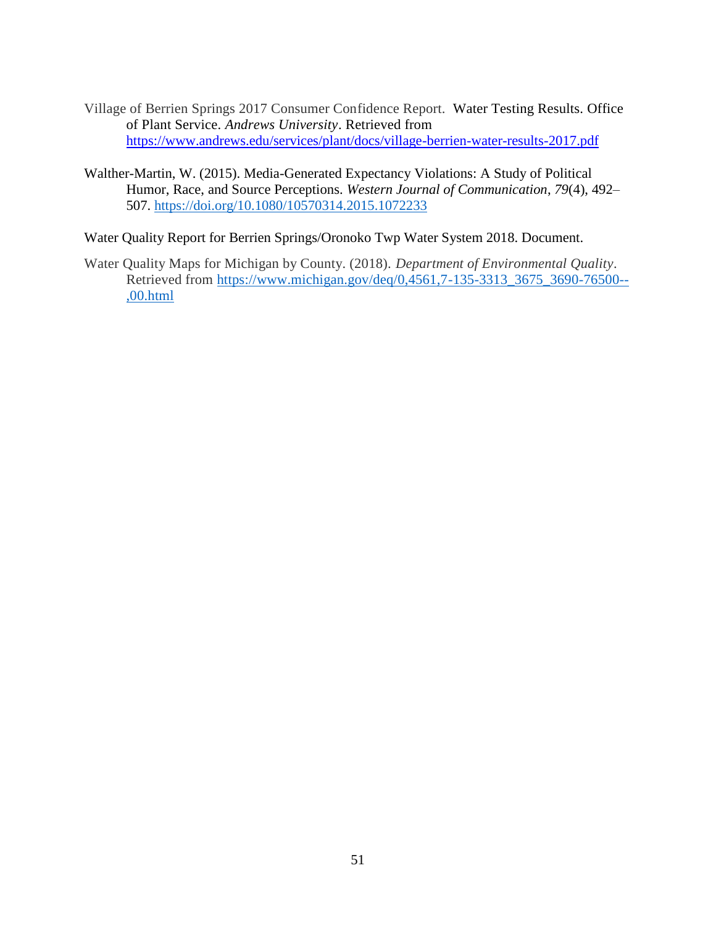- Village of Berrien Springs 2017 Consumer Confidence Report. Water Testing Results. Office of Plant Service. *Andrews University*. Retrieved from <https://www.andrews.edu/services/plant/docs/village-berrien-water-results-2017.pdf>
- Walther-Martin, W. (2015). Media-Generated Expectancy Violations: A Study of Political Humor, Race, and Source Perceptions. *Western Journal of Communication*, *79*(4), 492– 507.<https://doi.org/10.1080/10570314.2015.1072233>
- Water Quality Report for Berrien Springs/Oronoko Twp Water System 2018. Document.
- Water Quality Maps for Michigan by County. (2018). *Department of Environmental Quality.* Retrieved from [https://www.michigan.gov/deq/0,4561,7-135-3313\\_3675\\_3690-76500--](https://www.michigan.gov/deq/0,4561,7-135-3313_3675_3690-76500--,00.html) [,00.html](https://www.michigan.gov/deq/0,4561,7-135-3313_3675_3690-76500--,00.html)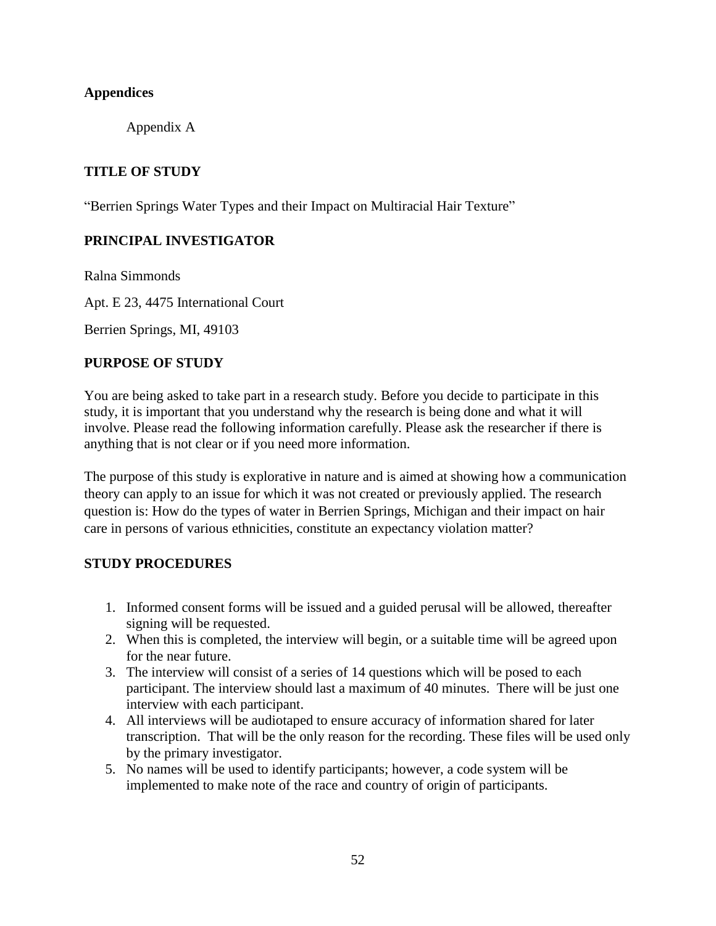## <span id="page-61-1"></span><span id="page-61-0"></span>**Appendices**

Appendix A

# **TITLE OF STUDY**

"Berrien Springs Water Types and their Impact on Multiracial Hair Texture"

# **PRINCIPAL INVESTIGATOR**

Ralna Simmonds

Apt. E 23, 4475 International Court

Berrien Springs, MI, 49103

### **PURPOSE OF STUDY**

You are being asked to take part in a research study. Before you decide to participate in this study, it is important that you understand why the research is being done and what it will involve. Please read the following information carefully. Please ask the researcher if there is anything that is not clear or if you need more information.

The purpose of this study is explorative in nature and is aimed at showing how a communication theory can apply to an issue for which it was not created or previously applied. The research question is: How do the types of water in Berrien Springs, Michigan and their impact on hair care in persons of various ethnicities, constitute an expectancy violation matter?

### **STUDY PROCEDURES**

- 1. Informed consent forms will be issued and a guided perusal will be allowed, thereafter signing will be requested.
- 2. When this is completed, the interview will begin, or a suitable time will be agreed upon for the near future.
- 3. The interview will consist of a series of 14 questions which will be posed to each participant. The interview should last a maximum of 40 minutes. There will be just one interview with each participant.
- 4. All interviews will be audiotaped to ensure accuracy of information shared for later transcription. That will be the only reason for the recording. These files will be used only by the primary investigator.
- 5. No names will be used to identify participants; however, a code system will be implemented to make note of the race and country of origin of participants.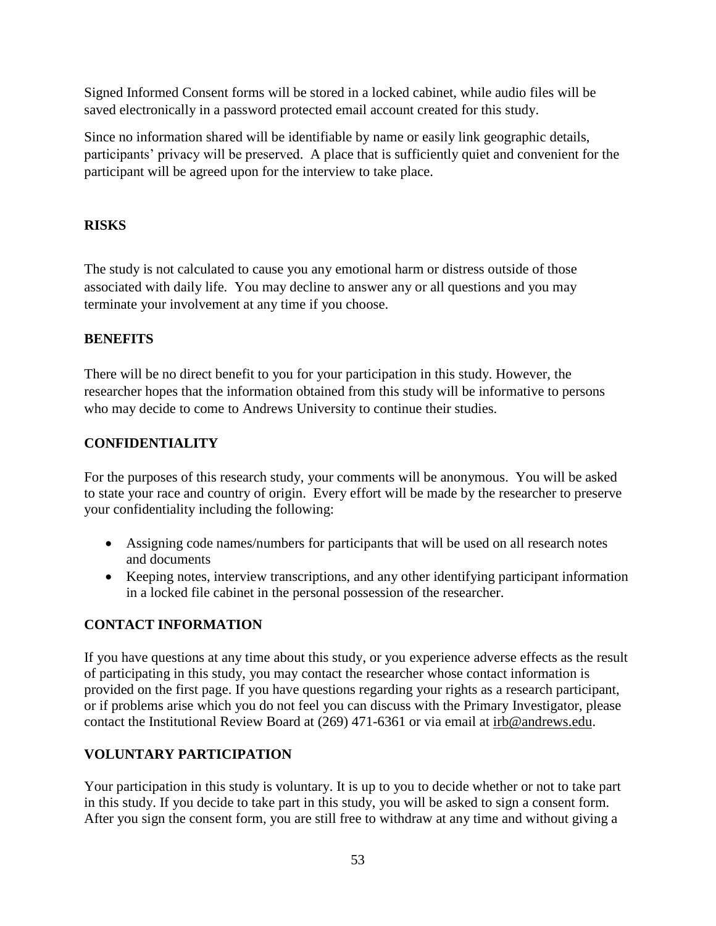Signed Informed Consent forms will be stored in a locked cabinet, while audio files will be saved electronically in a password protected email account created for this study.

Since no information shared will be identifiable by name or easily link geographic details, participants' privacy will be preserved. A place that is sufficiently quiet and convenient for the participant will be agreed upon for the interview to take place.

# **RISKS**

The study is not calculated to cause you any emotional harm or distress outside of those associated with daily life.You may decline to answer any or all questions and you may terminate your involvement at any time if you choose.

# **BENEFITS**

There will be no direct benefit to you for your participation in this study. However, the researcher hopes that the information obtained from this study will be informative to persons who may decide to come to Andrews University to continue their studies.

# **CONFIDENTIALITY**

For the purposes of this research study, your comments will be anonymous. You will be asked to state your race and country of origin. Every effort will be made by the researcher to preserve your confidentiality including the following:

- Assigning code names/numbers for participants that will be used on all research notes and documents
- Keeping notes, interview transcriptions, and any other identifying participant information in a locked file cabinet in the personal possession of the researcher.

# **CONTACT INFORMATION**

If you have questions at any time about this study, or you experience adverse effects as the result of participating in this study, you may contact the researcher whose contact information is provided on the first page. If you have questions regarding your rights as a research participant, or if problems arise which you do not feel you can discuss with the Primary Investigator, please contact the Institutional Review Board at (269) 471-6361 or via email at [irb@andrews.edu.](mailto:irb@andrews.edu)

# **VOLUNTARY PARTICIPATION**

Your participation in this study is voluntary. It is up to you to decide whether or not to take part in this study. If you decide to take part in this study, you will be asked to sign a consent form. After you sign the consent form, you are still free to withdraw at any time and without giving a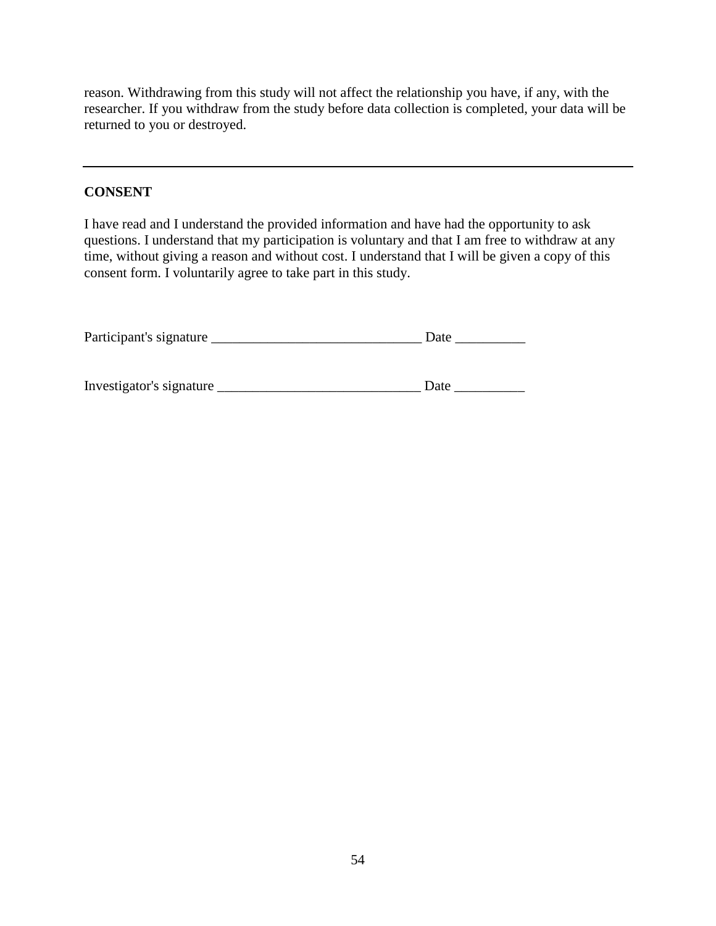reason. Withdrawing from this study will not affect the relationship you have, if any, with the researcher. If you withdraw from the study before data collection is completed, your data will be returned to you or destroyed.

### **CONSENT**

I have read and I understand the provided information and have had the opportunity to ask questions. I understand that my participation is voluntary and that I am free to withdraw at any time, without giving a reason and without cost. I understand that I will be given a copy of this consent form. I voluntarily agree to take part in this study.

| Participant's signature  | Date |  |  |  |  |  |
|--------------------------|------|--|--|--|--|--|
|                          |      |  |  |  |  |  |
|                          |      |  |  |  |  |  |
| Investigator's signature | Date |  |  |  |  |  |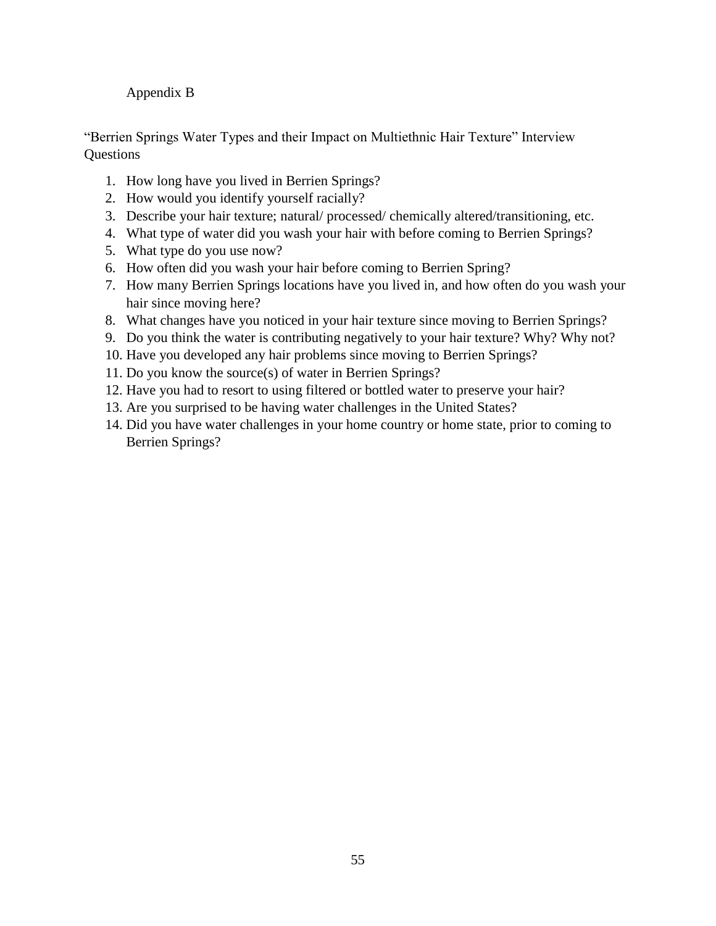# <span id="page-64-0"></span>Appendix B

"Berrien Springs Water Types and their Impact on Multiethnic Hair Texture" Interview **Questions** 

- 1. How long have you lived in Berrien Springs?
- 2. How would you identify yourself racially?
- 3. Describe your hair texture; natural/ processed/ chemically altered/transitioning, etc.
- 4. What type of water did you wash your hair with before coming to Berrien Springs?
- 5. What type do you use now?
- 6. How often did you wash your hair before coming to Berrien Spring?
- 7. How many Berrien Springs locations have you lived in, and how often do you wash your hair since moving here?
- 8. What changes have you noticed in your hair texture since moving to Berrien Springs?
- 9. Do you think the water is contributing negatively to your hair texture? Why? Why not?
- 10. Have you developed any hair problems since moving to Berrien Springs?
- 11. Do you know the source(s) of water in Berrien Springs?
- 12. Have you had to resort to using filtered or bottled water to preserve your hair?
- 13. Are you surprised to be having water challenges in the United States?
- 14. Did you have water challenges in your home country or home state, prior to coming to Berrien Springs?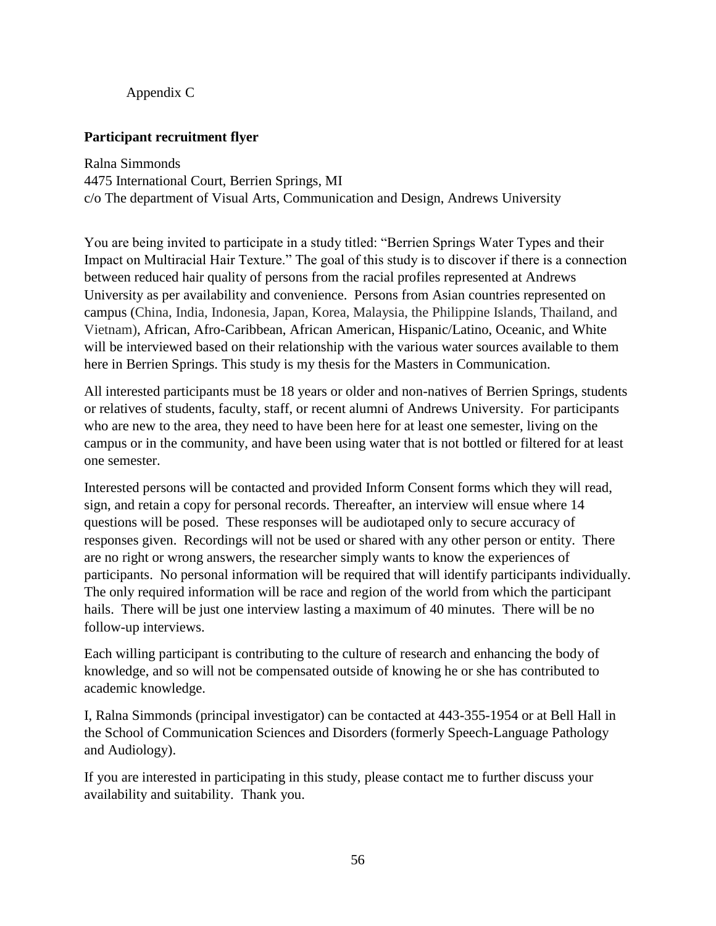## Appendix C

### <span id="page-65-0"></span>**Participant recruitment flyer**

Ralna Simmonds 4475 International Court, Berrien Springs, MI c/o The department of Visual Arts, Communication and Design, Andrews University

You are being invited to participate in a study titled: "Berrien Springs Water Types and their Impact on Multiracial Hair Texture." The goal of this study is to discover if there is a connection between reduced hair quality of persons from the racial profiles represented at Andrews University as per availability and convenience. Persons from Asian countries represented on campus (China, India, Indonesia, Japan, Korea, Malaysia, the Philippine Islands, Thailand, and Vietnam), African, Afro-Caribbean, African American, Hispanic/Latino, Oceanic, and White will be interviewed based on their relationship with the various water sources available to them here in Berrien Springs. This study is my thesis for the Masters in Communication.

All interested participants must be 18 years or older and non-natives of Berrien Springs, students or relatives of students, faculty, staff, or recent alumni of Andrews University. For participants who are new to the area, they need to have been here for at least one semester, living on the campus or in the community, and have been using water that is not bottled or filtered for at least one semester.

Interested persons will be contacted and provided Inform Consent forms which they will read, sign, and retain a copy for personal records. Thereafter, an interview will ensue where 14 questions will be posed. These responses will be audiotaped only to secure accuracy of responses given. Recordings will not be used or shared with any other person or entity. There are no right or wrong answers, the researcher simply wants to know the experiences of participants. No personal information will be required that will identify participants individually. The only required information will be race and region of the world from which the participant hails. There will be just one interview lasting a maximum of 40 minutes. There will be no follow-up interviews.

Each willing participant is contributing to the culture of research and enhancing the body of knowledge, and so will not be compensated outside of knowing he or she has contributed to academic knowledge.

I, Ralna Simmonds (principal investigator) can be contacted at 443-355-1954 or at Bell Hall in the School of Communication Sciences and Disorders (formerly Speech-Language Pathology and Audiology).

If you are interested in participating in this study, please contact me to further discuss your availability and suitability. Thank you.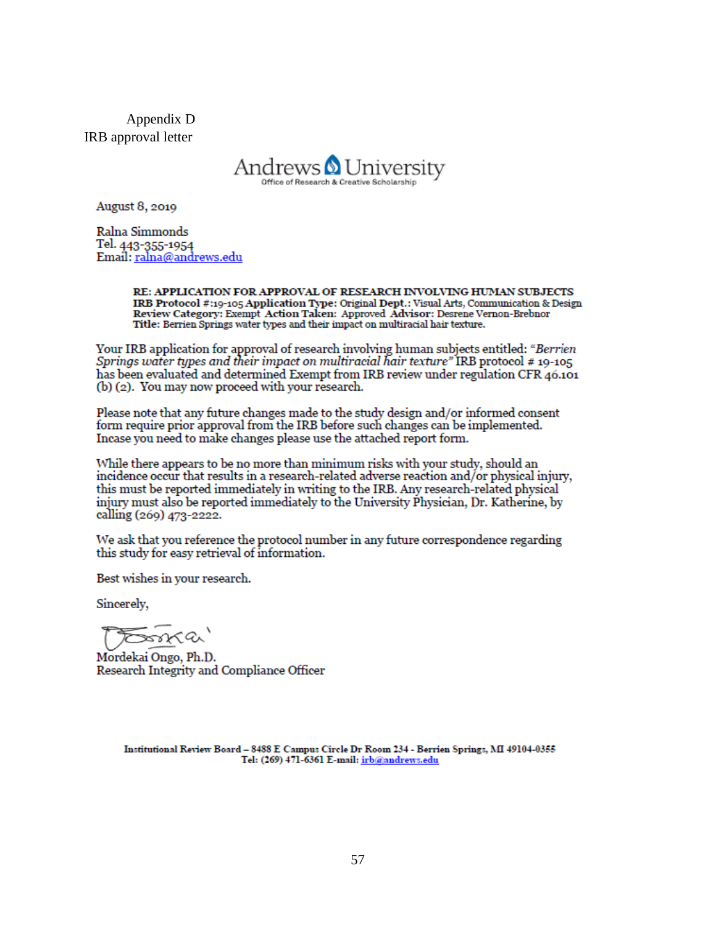<span id="page-66-0"></span>Appendix D IRB approval letter



August 8, 2019

Ralna Simmonds Tel. 443-355-1954 Email: ralna@andrews.edu

> RE: APPLICATION FOR APPROVAL OF RESEARCH INVOLVING HUMAN SUBJECTS IRB Protocol #:19-105 Application Type: Original Dept.: Visual Arts, Communication & Design Review Category: Exempt Action Taken: Approved Advisor: Desrene Vernon-Brebnor Title: Berrien Springs water types and their impact on multiracial hair texture.

Your IRB application for approval of research involving human subjects entitled: "Berrien" Springs water types and their impact on multiracial hair texture" IRB protocol # 19-105 has been evaluated and determined Exempt from IRB review under regulation CFR 46.101 (b) (2). You may now proceed with your research.

Please note that any future changes made to the study design and/or informed consent form require prior approval from the IRB before such changes can be implemented. Incase you need to make changes please use the attached report form.

While there appears to be no more than minimum risks with your study, should an incidence occur that results in a research-related adverse reaction and/or physical injury, this must be reported immediately in writing to the IRB. Any research-related physical injury must also be reported immediately to the University Physician, Dr. Katherine, by calling (269) 473-2222.

We ask that you reference the protocol number in any future correspondence regarding this study for easy retrieval of information.

Best wishes in your research.

Sincerely,

sona (a

Mordekai Ongo, Ph.D. Research Integrity and Compliance Officer

Institutional Review Board - 8488 E Campus Circle Dr Room 234 - Berrien Springs, MI 49104-0355 Tel: (269) 471-6361 E-mail: irb@andrews.edu